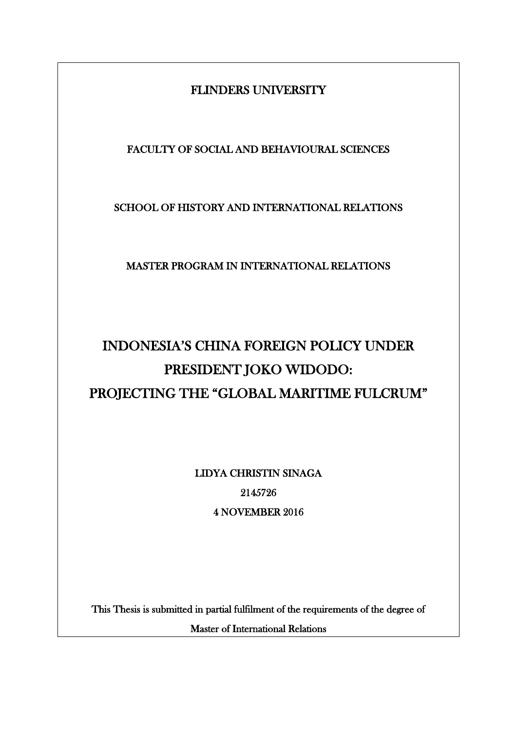# FLINDERS UNIVERSITY

# FACULTY OF SOCIAL AND BEHAVIOURAL SCIENCES

### SCHOOL OF HISTORY AND INTERNATIONAL RELATIONS

### MASTER PROGRAM IN INTERNATIONAL RELATIONS

# INDONESIA'S CHINA FOREIGN POLICY UNDER PRESIDENT JOKO WIDODO: PROJECTING THE "GLOBAL MARITIME FULCRUM"

LIDYA CHRISTIN SINAGA 2145726 4 NOVEMBER 2016

This Thesis is submitted in partial fulfilment of the requirements of the degree of

Master of International Relations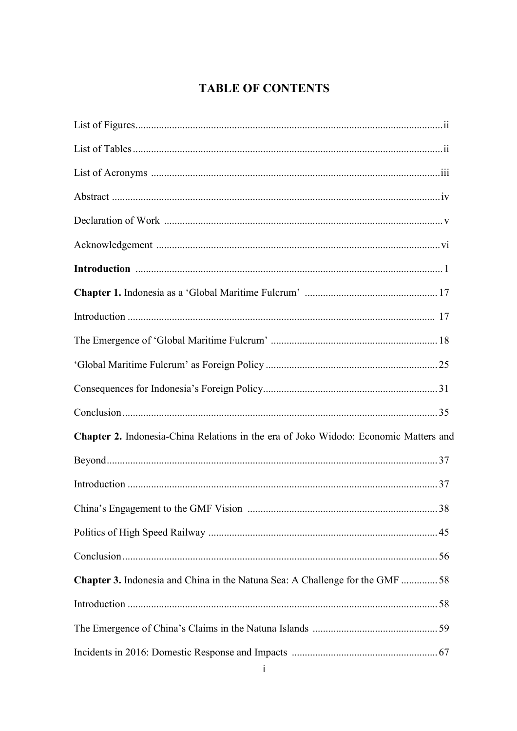# **TABLE OF CONTENTS**

| Chapter 2. Indonesia-China Relations in the era of Joko Widodo: Economic Matters and |  |
|--------------------------------------------------------------------------------------|--|
|                                                                                      |  |
|                                                                                      |  |
|                                                                                      |  |
|                                                                                      |  |
|                                                                                      |  |
| <b>Chapter 3.</b> Indonesia and China in the Natuna Sea: A Challenge for the GMF 58  |  |
|                                                                                      |  |
|                                                                                      |  |
|                                                                                      |  |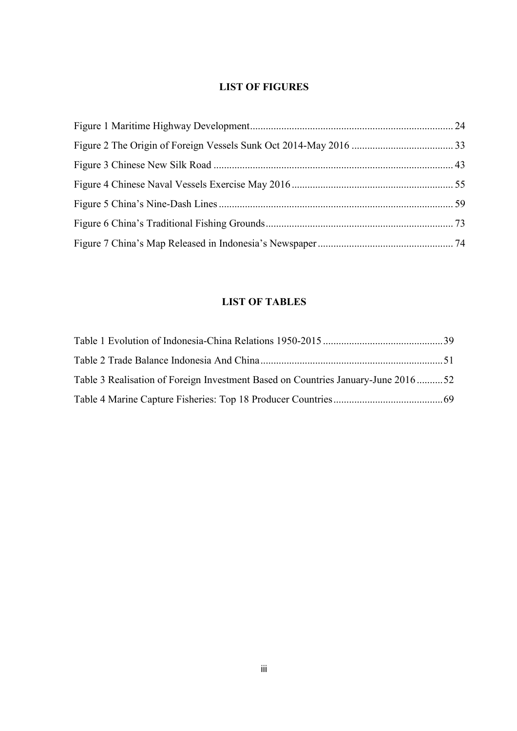### **LIST OF FIGURES**

### **LIST OF TABLES**

| Table 3 Realisation of Foreign Investment Based on Countries January-June 201652 |  |
|----------------------------------------------------------------------------------|--|
|                                                                                  |  |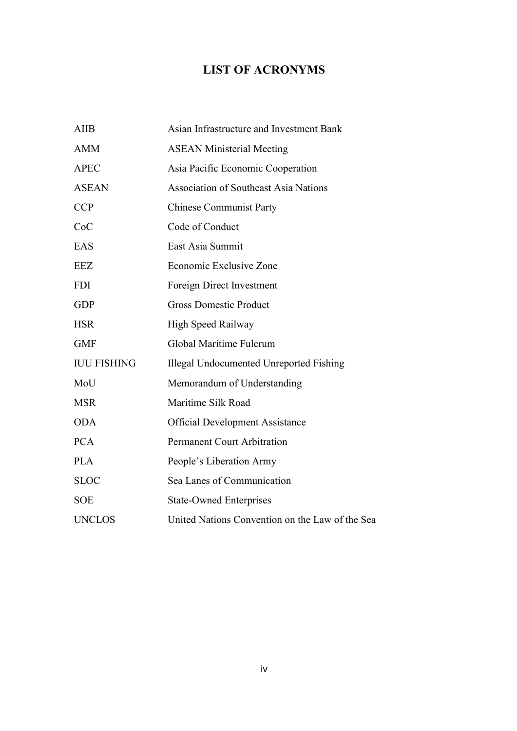# **LIST OF ACRONYMS**

| <b>AIIB</b>        | Asian Infrastructure and Investment Bank        |
|--------------------|-------------------------------------------------|
| <b>AMM</b>         | <b>ASEAN Ministerial Meeting</b>                |
| <b>APEC</b>        | Asia Pacific Economic Cooperation               |
| <b>ASEAN</b>       | <b>Association of Southeast Asia Nations</b>    |
| <b>CCP</b>         | <b>Chinese Communist Party</b>                  |
| CoC                | Code of Conduct                                 |
| EAS                | East Asia Summit                                |
| <b>EEZ</b>         | Economic Exclusive Zone                         |
| <b>FDI</b>         | Foreign Direct Investment                       |
| <b>GDP</b>         | <b>Gross Domestic Product</b>                   |
| <b>HSR</b>         | High Speed Railway                              |
| <b>GMF</b>         | Global Maritime Fulcrum                         |
| <b>IUU FISHING</b> | <b>Illegal Undocumented Unreported Fishing</b>  |
| MoU                | Memorandum of Understanding                     |
| <b>MSR</b>         | Maritime Silk Road                              |
| <b>ODA</b>         | <b>Official Development Assistance</b>          |
| <b>PCA</b>         | <b>Permanent Court Arbitration</b>              |
| <b>PLA</b>         | People's Liberation Army                        |
| <b>SLOC</b>        | Sea Lanes of Communication                      |
| <b>SOE</b>         | <b>State-Owned Enterprises</b>                  |
| <b>UNCLOS</b>      | United Nations Convention on the Law of the Sea |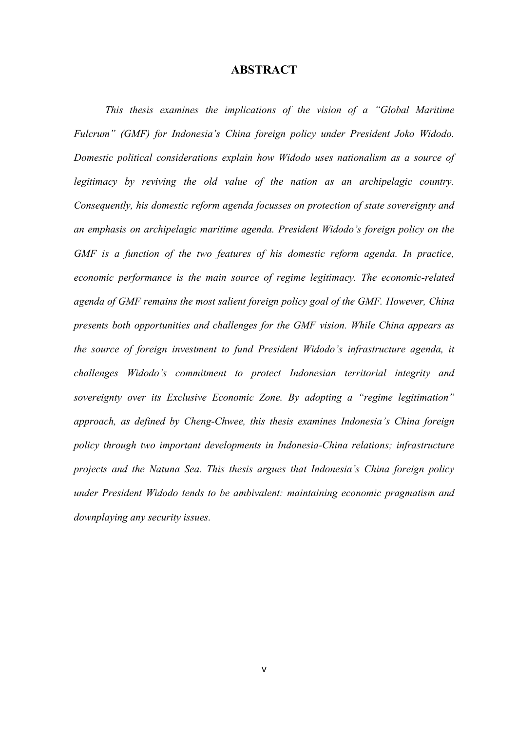### **ABSTRACT**

*This thesis examines the implications of the vision of a "Global Maritime Fulcrum" (GMF) for Indonesia's China foreign policy under President Joko Widodo. Domestic political considerations explain how Widodo uses nationalism as a source of*  legitimacy by reviving the old value of the nation as an archipelagic country. *Consequently, his domestic reform agenda focusses on protection of state sovereignty and an emphasis on archipelagic maritime agenda. President Widodo's foreign policy on the GMF is a function of the two features of his domestic reform agenda. In practice, economic performance is the main source of regime legitimacy. The economic-related agenda of GMF remains the most salient foreign policy goal of the GMF. However, China presents both opportunities and challenges for the GMF vision. While China appears as the source of foreign investment to fund President Widodo's infrastructure agenda, it challenges Widodo's commitment to protect Indonesian territorial integrity and sovereignty over its Exclusive Economic Zone. By adopting a "regime legitimation" approach, as defined by Cheng-Chwee, this thesis examines Indonesia's China foreign policy through two important developments in Indonesia-China relations; infrastructure projects and the Natuna Sea. This thesis argues that Indonesia's China foreign policy under President Widodo tends to be ambivalent: maintaining economic pragmatism and downplaying any security issues.*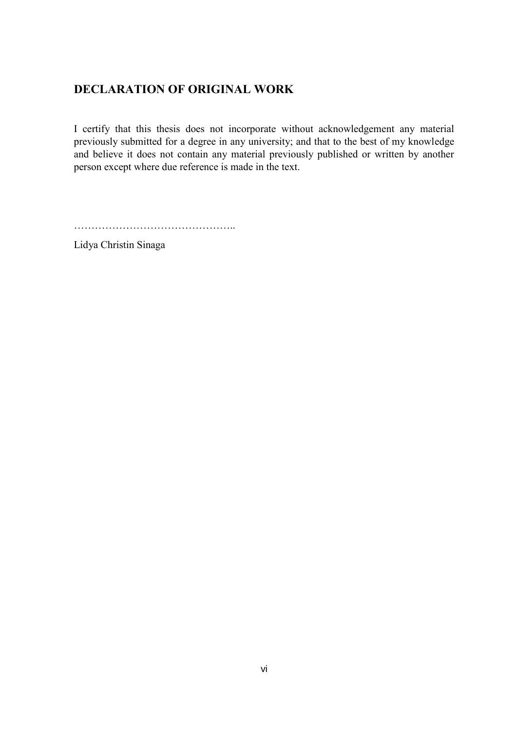# **DECLARATION OF ORIGINAL WORK**

I certify that this thesis does not incorporate without acknowledgement any material previously submitted for a degree in any university; and that to the best of my knowledge and believe it does not contain any material previously published or written by another person except where due reference is made in the text.

………………………………………..

Lidya Christin Sinaga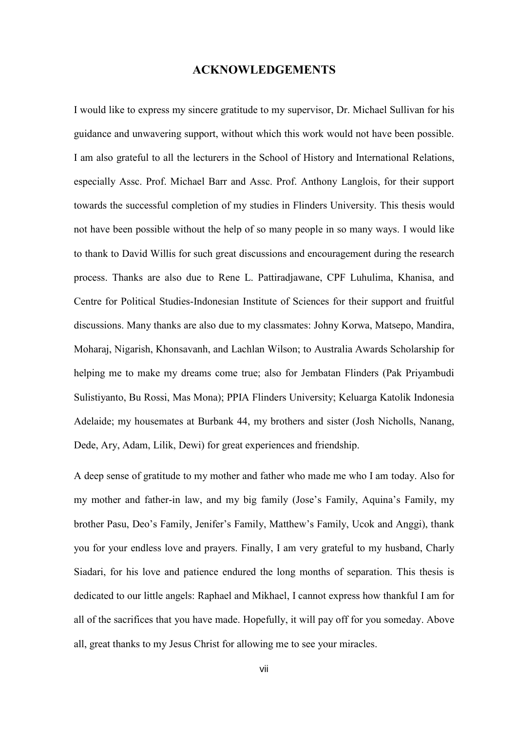### **ACKNOWLEDGEMENTS**

I would like to express my sincere gratitude to my supervisor, Dr. Michael Sullivan for his guidance and unwavering support, without which this work would not have been possible. I am also grateful to all the lecturers in the School of History and International Relations, especially Assc. Prof. Michael Barr and Assc. Prof. Anthony Langlois, for their support towards the successful completion of my studies in Flinders University. This thesis would not have been possible without the help of so many people in so many ways. I would like to thank to David Willis for such great discussions and encouragement during the research process. Thanks are also due to Rene L. Pattiradjawane, CPF Luhulima, Khanisa, and Centre for Political Studies-Indonesian Institute of Sciences for their support and fruitful discussions. Many thanks are also due to my classmates: Johny Korwa, Matsepo, Mandira, Moharaj, Nigarish, Khonsavanh, and Lachlan Wilson; to Australia Awards Scholarship for helping me to make my dreams come true; also for Jembatan Flinders (Pak Priyambudi Sulistiyanto, Bu Rossi, Mas Mona); PPIA Flinders University; Keluarga Katolik Indonesia Adelaide; my housemates at Burbank 44, my brothers and sister (Josh Nicholls, Nanang, Dede, Ary, Adam, Lilik, Dewi) for great experiences and friendship.

A deep sense of gratitude to my mother and father who made me who I am today. Also for my mother and father-in law, and my big family (Jose's Family, Aquina's Family, my brother Pasu, Deo's Family, Jenifer's Family, Matthew's Family, Ucok and Anggi), thank you for your endless love and prayers. Finally, I am very grateful to my husband, Charly Siadari, for his love and patience endured the long months of separation. This thesis is dedicated to our little angels: Raphael and Mikhael, I cannot express how thankful I am for all of the sacrifices that you have made. Hopefully, it will pay off for you someday. Above all, great thanks to my Jesus Christ for allowing me to see your miracles.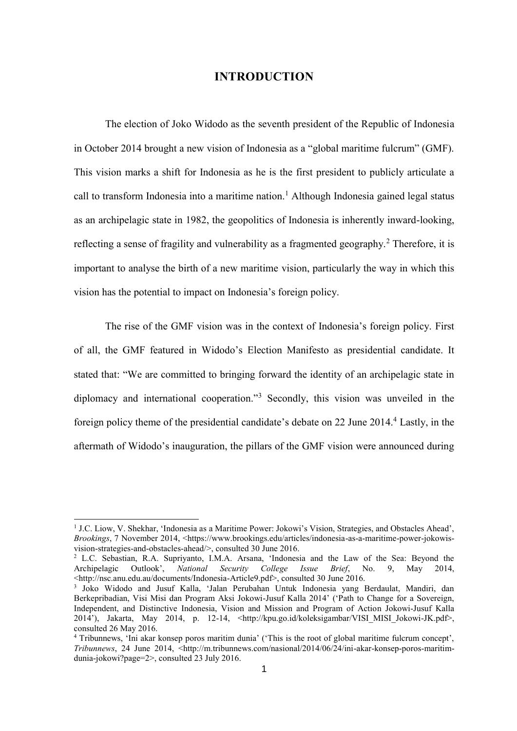### **INTRODUCTION**

The election of Joko Widodo as the seventh president of the Republic of Indonesia in October 2014 brought a new vision of Indonesia as a "global maritime fulcrum" (GMF). This vision marks a shift for Indonesia as he is the first president to publicly articulate a call to transform Indonesia into a maritime nation.<sup>1</sup> Although Indonesia gained legal status as an archipelagic state in 1982, the geopolitics of Indonesia is inherently inward-looking, reflecting a sense of fragility and vulnerability as a fragmented geography.<sup>2</sup> Therefore, it is important to analyse the birth of a new maritime vision, particularly the way in which this vision has the potential to impact on Indonesia's foreign policy.

The rise of the GMF vision was in the context of Indonesia's foreign policy. First of all, the GMF featured in Widodo's Election Manifesto as presidential candidate. It stated that: "We are committed to bringing forward the identity of an archipelagic state in diplomacy and international cooperation."<sup>3</sup> Secondly, this vision was unveiled in the foreign policy theme of the presidential candidate's debate on 22 June 2014.<sup>4</sup> Lastly, in the aftermath of Widodo's inauguration, the pillars of the GMF vision were announced during

<sup>&</sup>lt;sup>1</sup> J.C. Liow, V. Shekhar, 'Indonesia as a Maritime Power: Jokowi's Vision, Strategies, and Obstacles Ahead', *Brookings*, 7 November 2014, <https://www.brookings.edu/articles/indonesia-as-a-maritime-power-jokowisvision-strategies-and-obstacles-ahead/>, consulted 30 June 2016.

<sup>2</sup> L.C. Sebastian, R.A. Supriyanto, I.M.A. Arsana, 'Indonesia and the Law of the Sea: Beyond the Archipelagic Outlook', *National Security College Issue Brief*, No. 9, May 2014, <http://nsc.anu.edu.au/documents/Indonesia-Article9.pdf>, consulted 30 June 2016.

<sup>3</sup> Joko Widodo and Jusuf Kalla, 'Jalan Perubahan Untuk Indonesia yang Berdaulat, Mandiri, dan Berkepribadian, Visi Misi dan Program Aksi Jokowi-Jusuf Kalla 2014' ('Path to Change for a Sovereign, Independent, and Distinctive Indonesia, Vision and Mission and Program of Action Jokowi-Jusuf Kalla 2014'), Jakarta, May 2014, p. 12-14, <http://kpu.go.id/koleksigambar/VISI\_MISI\_Jokowi-JK.pdf>, consulted 26 May 2016.

<sup>&</sup>lt;sup>4</sup> Tribunnews, 'Ini akar konsep poros maritim dunia' ('This is the root of global maritime fulcrum concept', *Tribunnews*, 24 June 2014, <http://m.tribunnews.com/nasional/2014/06/24/ini-akar-konsep-poros-maritimdunia-jokowi?page=2>, consulted 23 July 2016.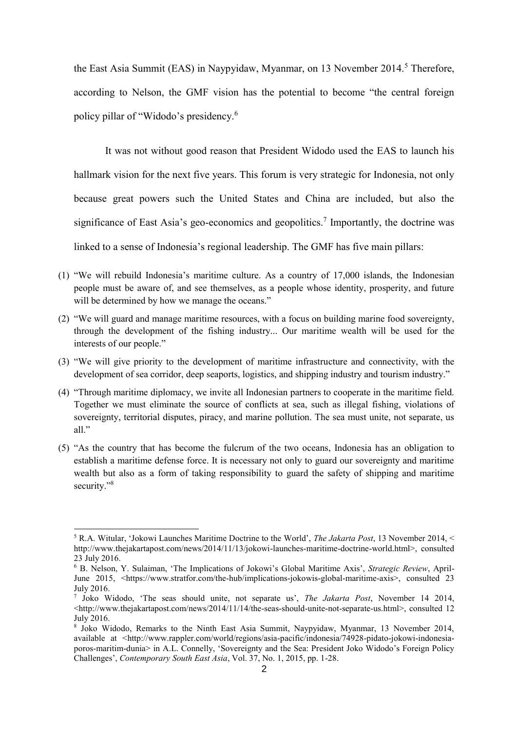the East Asia Summit (EAS) in Naypyidaw, Myanmar, on 13 November 2014.<sup>5</sup> Therefore, according to Nelson, the GMF vision has the potential to become "the central foreign policy pillar of "Widodo's presidency.<sup>6</sup>

It was not without good reason that President Widodo used the EAS to launch his hallmark vision for the next five years. This forum is very strategic for Indonesia, not only because great powers such the United States and China are included, but also the significance of East Asia's geo-economics and geopolitics.<sup>7</sup> Importantly, the doctrine was linked to a sense of Indonesia's regional leadership. The GMF has five main pillars:

- (1) "We will rebuild Indonesia's maritime culture. As a country of 17,000 islands, the Indonesian people must be aware of, and see themselves, as a people whose identity, prosperity, and future will be determined by how we manage the oceans."
- (2) "We will guard and manage maritime resources, with a focus on building marine food sovereignty, through the development of the fishing industry... Our maritime wealth will be used for the interests of our people."
- (3) "We will give priority to the development of maritime infrastructure and connectivity, with the development of sea corridor, deep seaports, logistics, and shipping industry and tourism industry."
- (4) "Through maritime diplomacy, we invite all Indonesian partners to cooperate in the maritime field. Together we must eliminate the source of conflicts at sea, such as illegal fishing, violations of sovereignty, territorial disputes, piracy, and marine pollution. The sea must unite, not separate, us all."
- (5) "As the country that has become the fulcrum of the two oceans, Indonesia has an obligation to establish a maritime defense force. It is necessary not only to guard our sovereignty and maritime wealth but also as a form of taking responsibility to guard the safety of shipping and maritime security."<sup>8</sup>

<sup>5</sup> R.A. Witular, 'Jokowi Launches Maritime Doctrine to the World', *The Jakarta Post*, 13 November 2014, < [http://www.thejakartapost.com/news/2014/11/13/jokowi-launches-maritime-doctrine-world.html>](http://www.thejakartapost.com/news/2014/11/13/jokowi-launches-maritime-doctrine-world.html), consulted 23 July 2016.

<sup>6</sup> B. Nelson, Y. Sulaiman, 'The Implications of Jokowi's Global Maritime Axis', *Strategic Review*, April-June 2015, <https://www.stratfor.com/the-hub/implications-jokowis-global-maritime-axis>, consulted 23 July 2016.

<sup>7</sup> Joko Widodo, 'The seas should unite, not separate us', *The Jakarta Post*, November 14 2014, <http://www.thejakartapost.com/news/2014/11/14/the-seas-should-unite-not-separate-us.html>, consulted 12 July 2016.

<sup>8</sup> Joko Widodo, Remarks to the Ninth East Asia Summit, Naypyidaw, Myanmar, 13 November 2014, available at [<http://www.rappler.com/world/regions/asia-pacific/indonesia/74928-pidato-jokowi-indonesia](http://www.rappler.com/world/regions/asia-pacific/indonesia/74928-pidato-jokowi-indonesia-poros-maritim-dunia)[poros-maritim-dunia>](http://www.rappler.com/world/regions/asia-pacific/indonesia/74928-pidato-jokowi-indonesia-poros-maritim-dunia) in A.L. Connelly, 'Sovereignty and the Sea: President Joko Widodo's Foreign Policy Challenges', *Contemporary South East Asia*, Vol. 37, No. 1, 2015, pp. 1-28.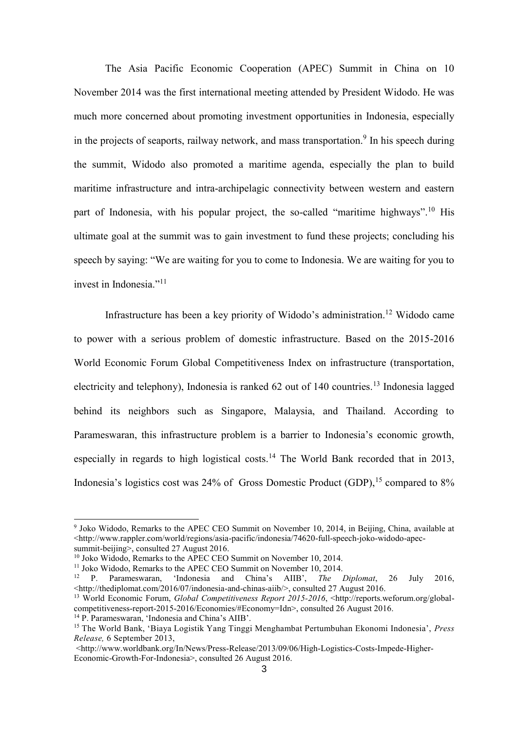The Asia Pacific Economic Cooperation (APEC) Summit in China on 10 November 2014 was the first international meeting attended by President Widodo. He was much more concerned about promoting investment opportunities in Indonesia, especially in the projects of seaports, railway network, and mass transportation.<sup>9</sup> In his speech during the summit, Widodo also promoted a maritime agenda, especially the plan to build maritime infrastructure and intra-archipelagic connectivity between western and eastern part of Indonesia, with his popular project, the so-called "maritime highways".<sup>10</sup> His ultimate goal at the summit was to gain investment to fund these projects; concluding his speech by saying: "We are waiting for you to come to Indonesia. We are waiting for you to invest in Indonesia."<sup>11</sup>

Infrastructure has been a key priority of Widodo's administration.<sup>12</sup> Widodo came to power with a serious problem of domestic infrastructure. Based on the 2015-2016 World Economic Forum Global Competitiveness Index on infrastructure (transportation, electricity and telephony), Indonesia is ranked 62 out of 140 countries.<sup>13</sup> Indonesia lagged behind its neighbors such as Singapore, Malaysia, and Thailand. According to Parameswaran, this infrastructure problem is a barrier to Indonesia's economic growth, especially in regards to high logistical costs.<sup>14</sup> The World Bank recorded that in 2013, Indonesia's logistics cost was  $24\%$  of Gross Domestic Product (GDP), <sup>15</sup> compared to  $8\%$ 

1

<sup>&</sup>lt;sup>9</sup> Joko Widodo, Remarks to the APEC CEO Summit on November 10, 2014, in Beijing, China, available at <http://www.rappler.com/world/regions/asia-pacific/indonesia/74620-full-speech-joko-widodo-apecsummit-beijing>, consulted 27 August 2016.

<sup>&</sup>lt;sup>10</sup> Joko Widodo, Remarks to the APEC CEO Summit on November 10, 2014.

<sup>&</sup>lt;sup>11</sup> Joko Widodo, Remarks to the APEC CEO Summit on November 10, 2014.<br><sup>12</sup> P Parameswaran 'Indonesia and China's AIIB', *The I* 

<sup>12</sup> P. Parameswaran, 'Indonesia and China's AIIB', *The Diplomat*, 26 July 2016, <http://thediplomat.com/2016/07/indonesia-and-chinas-aiib/>, consulted 27 August 2016.

<sup>&</sup>lt;sup>13</sup> World Economic Forum, *Global Competitiveness Report 2015-2016*, <http://reports.weforum.org/globalcompetitiveness-report-2015-2016/Economies/#Economy=Idn>, consulted 26 August 2016.

<sup>14</sup> P. Parameswaran, 'Indonesia and China's AIIB'.

<sup>15</sup> The World Bank, 'Biaya Logistik Yang Tinggi Menghambat Pertumbuhan Ekonomi Indonesia', *Press Release,* 6 September 2013,

 $\leq$ http://www.worldbank.org/In/News/Press-Release/2013/09/06/High-Logistics-Costs-Impede-Higher-Economic-Growth-For-Indonesia>, consulted 26 August 2016.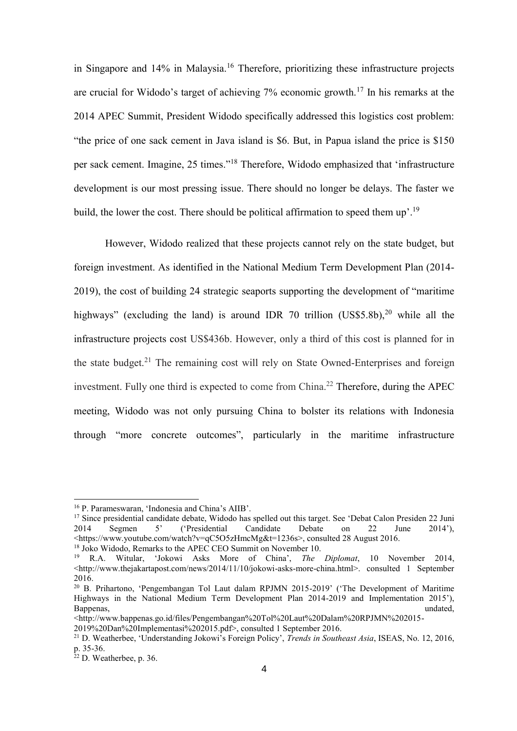in Singapore and 14% in Malaysia.<sup>16</sup> Therefore, prioritizing these infrastructure projects are crucial for Widodo's target of achieving  $7\%$  economic growth.<sup>17</sup> In his remarks at the 2014 APEC Summit, President Widodo specifically addressed this logistics cost problem: "the price of one sack cement in Java island is \$6. But, in Papua island the price is \$150 per sack cement. Imagine, 25 times."<sup>18</sup> Therefore, Widodo emphasized that 'infrastructure development is our most pressing issue. There should no longer be delays. The faster we build, the lower the cost. There should be political affirmation to speed them up'.<sup>19</sup>

However, Widodo realized that these projects cannot rely on the state budget, but foreign investment. As identified in the National Medium Term Development Plan (2014- 2019), the cost of building 24 strategic seaports supporting the development of "maritime highways" (excluding the land) is around IDR 70 trillion (US\$5.8b),<sup>20</sup> while all the infrastructure projects cost US\$436b. However, only a third of this cost is planned for in the state budget.<sup>21</sup> The remaining cost will rely on State Owned-Enterprises and foreign investment. Fully one third is expected to come from China.<sup>22</sup> Therefore, during the APEC meeting, Widodo was not only pursuing China to bolster its relations with Indonesia through "more concrete outcomes", particularly in the maritime infrastructure

<sup>16</sup> P. Parameswaran, 'Indonesia and China's AIIB'.

<sup>&</sup>lt;sup>17</sup> Since presidential candidate debate, Widodo has spelled out this target. See 'Debat Calon Presiden 22 Juni 2014 <br>2014 Segmen 5' ('Presidential Candidate Debate on 22 June 2014'). 2014 Segmen 5' ('Presidential Candidate Debate on 22 June 2014'), <https://www.youtube.com/watch?v=qC5O5zHmcMg&t=1236s>, consulted 28 August 2016.

<sup>&</sup>lt;sup>18</sup> Joko Widodo, Remarks to the APEC CEO Summit on November 10.

<sup>19</sup> R.A. Witular, 'Jokowi Asks More of China', *The Diplomat*, 10 November 2014, <http://www.thejakartapost.com/news/2014/11/10/jokowi-asks-more-china.html>. consulted 1 September 2016.

<sup>&</sup>lt;sup>20</sup> B. Prihartono, 'Pengembangan Tol Laut dalam RPJMN 2015-2019' ('The Development of Maritime Highways in the National Medium Term Development Plan 2014-2019 and Implementation 2015'), Bappenas, the contract of the contract of the contract of the contract of the contract of the contract of the contract of the contract of the contract of the contract of the contract of the contract of the contract of the

<sup>&</sup>lt;http://www.bappenas.go.id/files/Pengembangan%20Tol%20Laut%20Dalam%20RPJMN%202015- 2019%20Dan%20Implementasi%202015.pdf>, consulted 1 September 2016.

<sup>21</sup> D. Weatherbee, 'Understanding Jokowi's Foreign Policy', *Trends in Southeast Asia*, ISEAS, No. 12, 2016, p. 35-36.

 $22$  D. Weatherbee, p. 36.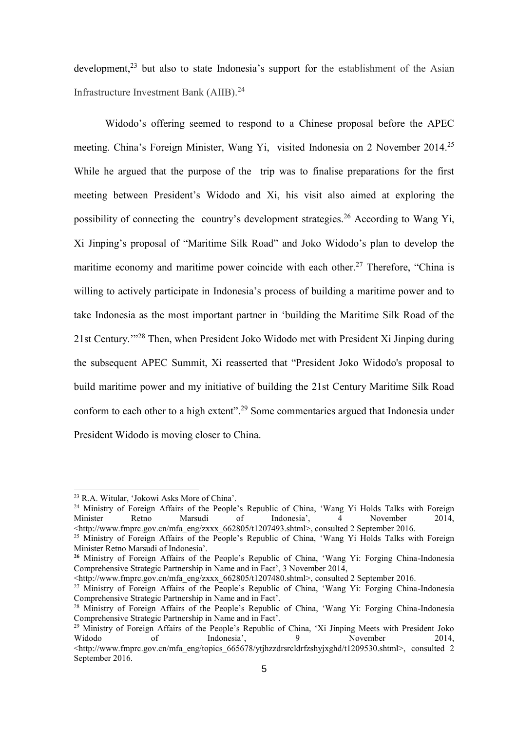development,<sup>23</sup> but also to state Indonesia's support for the establishment of the Asian Infrastructure Investment Bank (AIIB).<sup>24</sup>

Widodo's offering seemed to respond to a Chinese proposal before the APEC meeting. China's Foreign Minister, Wang Yi, visited Indonesia on 2 November 2014.<sup>25</sup> While he argued that the purpose of the trip was to finalise preparations for the first meeting between President's Widodo and Xi, his visit also aimed at exploring the possibility of connecting the country's development strategies.<sup>26</sup> According to Wang Yi, Xi Jinping's proposal of "Maritime Silk Road" and Joko Widodo's plan to develop the maritime economy and maritime power coincide with each other.<sup>27</sup> Therefore, "China is willing to actively participate in Indonesia's process of building a maritime power and to take Indonesia as the most important partner in 'building the Maritime Silk Road of the 21st Century.'"<sup>28</sup> Then, when President Joko Widodo met with President Xi Jinping during the subsequent APEC Summit, Xi reasserted that "President Joko Widodo's proposal to build maritime power and my initiative of building the 21st Century Maritime Silk Road conform to each other to a high extent".<sup>29</sup> Some commentaries argued that Indonesia under President Widodo is moving closer to China.

1

<sup>23</sup> R.A. Witular, 'Jokowi Asks More of China'.

<sup>&</sup>lt;sup>24</sup> Ministry of Foreign Affairs of the People's Republic of China, 'Wang Yi Holds Talks with Foreign<br>Minister Retno Marsudi of Indonesia', 4 November 2014, Minister Retno Marsudi of Indonesia', 4 November 2014,  $\leq$ http://www.fmprc.gov.cn/mfa\_eng/zxxx\_662805/t1207493.shtml>, consulted 2 September 2016.

<sup>25</sup> Ministry of Foreign Affairs of the People's Republic of China, 'Wang Yi Holds Talks with Foreign Minister Retno Marsudi of Indonesia'.

**<sup>26</sup>** Ministry of Foreign Affairs of the People's Republic of China, 'Wang Yi: Forging China-Indonesia Comprehensive Strategic Partnership in Name and in Fact', 3 November 2014,

<sup>&</sup>lt;http://www.fmprc.gov.cn/mfa\_eng/zxxx\_662805/t1207480.shtml>, consulted 2 September 2016.

<sup>&</sup>lt;sup>27</sup> Ministry of Foreign Affairs of the People's Republic of China, 'Wang Yi: Forging China-Indonesia Comprehensive Strategic Partnership in Name and in Fact'.

<sup>&</sup>lt;sup>28</sup> Ministry of Foreign Affairs of the People's Republic of China, 'Wang Yi: Forging China-Indonesia Comprehensive Strategic Partnership in Name and in Fact'.

<sup>&</sup>lt;sup>29</sup> Ministry of Foreign Affairs of the People's Republic of China, 'Xi Jinping Meets with President Joko Widodo of Indonesia', 9 November 2014, <http://www.fmprc.gov.cn/mfa\_eng/topics\_665678/ytjhzzdrsrcldrfzshyjxghd/t1209530.shtml>, consulted 2 September 2016.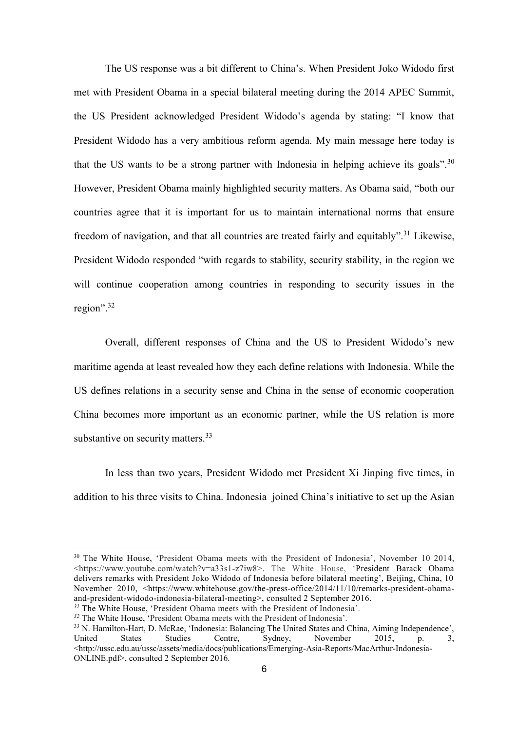The US response was a bit different to China's. When President Joko Widodo first met with President Obama in a special bilateral meeting during the 2014 APEC Summit, the US President acknowledged President Widodo's agenda by stating: "I know that President Widodo has a very ambitious reform agenda. My main message here today is that the US wants to be a strong partner with Indonesia in helping achieve its goals".<sup>30</sup> However, President Obama mainly highlighted security matters. As Obama said, "both our countries agree that it is important for us to maintain international norms that ensure freedom of navigation, and that all countries are treated fairly and equitably".<sup>31</sup> Likewise, President Widodo responded "with regards to stability, security stability, in the region we will continue cooperation among countries in responding to security issues in the region".<sup>32</sup>

Overall, different responses of China and the US to President Widodo's new maritime agenda at least revealed how they each define relations with Indonesia. While the US defines relations in a security sense and China in the sense of economic cooperation China becomes more important as an economic partner, while the US relation is more substantive on security matters.<sup>33</sup>

In less than two years, President Widodo met President Xi Jinping five times, in addition to his three visits to China. Indonesia joined China's initiative to set up the Asian

<sup>&</sup>lt;sup>30</sup> The White House, 'President Obama meets with the President of Indonesia', November 10 2014, <https://www.youtube.com/watch?v=a33s1-z7iw8>. The White House, 'President Barack Obama delivers remarks with President Joko Widodo of Indonesia before bilateral meeting', Beijing, China, 10 November 2010, <https://www.whitehouse.gov/the-press-office/2014/11/10/remarks-president-obamaand-president-widodo-indonesia-bilateral-meeting>, consulted 2 September 2016.

*<sup>31</sup>* The White House, 'President Obama meets with the President of Indonesia'. *<sup>32</sup>* The White House, 'President Obama meets with the President of Indonesia'.

<sup>33</sup> N. Hamilton-Hart, D. McRae, 'Indonesia: Balancing The United States and China, Aiming Independence', United States Studies Centre, Sydney, November 2015, p. 3, <http://ussc.edu.au/ussc/assets/media/docs/publications/Emerging-Asia-Reports/MacArthur-Indonesia-ONLINE.pdf>, consulted 2 September 2016.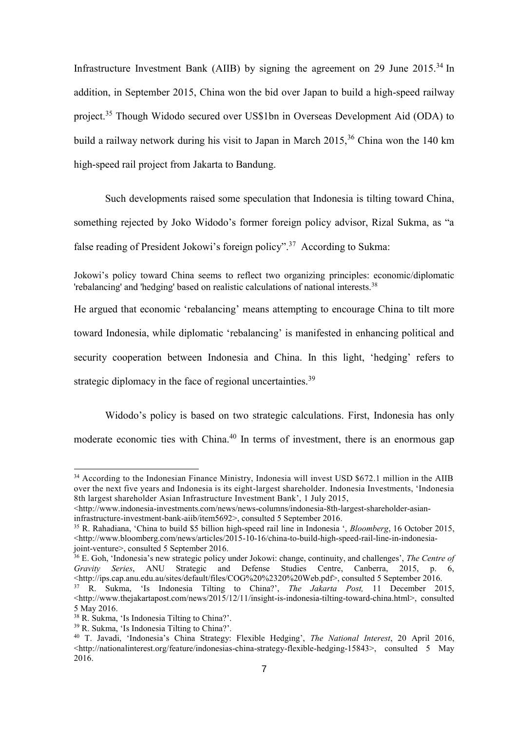Infrastructure Investment Bank (AIIB) by signing the agreement on 29 June  $2015^{34}$  In addition, in September 2015, China won the bid over Japan to build a high-speed railway project.<sup>35</sup> Though Widodo secured over US\$1bn in Overseas Development Aid (ODA) to build a railway network during his visit to Japan in March  $2015$ ,  $36$  China won the 140 km high-speed rail project from Jakarta to Bandung.

Such developments raised some speculation that Indonesia is tilting toward China, something rejected by Joko Widodo's former foreign policy advisor, Rizal Sukma, as "a false reading of President Jokowi's foreign policy".<sup>37</sup> According to Sukma:

Jokowi's policy toward China seems to reflect two organizing principles: economic/diplomatic 'rebalancing' and 'hedging' based on realistic calculations of national interests.<sup>38</sup>

He argued that economic 'rebalancing' means attempting to encourage China to tilt more toward Indonesia, while diplomatic 'rebalancing' is manifested in enhancing political and security cooperation between Indonesia and China. In this light, 'hedging' refers to strategic diplomacy in the face of regional uncertainties.<sup>39</sup>

Widodo's policy is based on two strategic calculations. First, Indonesia has only moderate economic ties with China.<sup>40</sup> In terms of investment, there is an enormous gap

<sup>&</sup>lt;sup>34</sup> According to the Indonesian Finance Ministry, Indonesia will invest USD \$672.1 million in the AIIB over the next five years and Indonesia is its eight-largest shareholder. Indonesia Investments, 'Indonesia 8th largest shareholder Asian Infrastructure Investment Bank', 1 July 2015,

<sup>&</sup>lt;http://www.indonesia-investments.com/news/news-columns/indonesia-8th-largest-shareholder-asianinfrastructure-investment-bank-aiib/item5692>, consulted 5 September 2016.

<sup>35</sup> R. Rahadiana, 'China to build \$5 billion high-speed rail line in Indonesia ', *Bloomberg*, 16 October 2015,  $\langle$ http://www.bloomberg.com/news/articles/2015-10-16/china-to-build-high-speed-rail-line-in-indonesiajoint-venture>, consulted 5 September 2016.

<sup>36</sup> E. Goh, 'Indonesia's new strategic policy under Jokowi: change, continuity, and challenges', *The Centre of Gravity Series*, ANU Strategic and Defense Studies Centre, Canberra, 2015, p. 6, <http://ips.cap.anu.edu.au/sites/default/files/COG%20%2320%20Web.pdf>, consulted 5 September 2016. <sup>37</sup> R. Sukma, 'Is Indonesia Tilting to China?', *The Jakarta Post,* 11 December 2015, <http://www.thejakartapost.com/news/2015/12/11/insight-is-indonesia-tilting-toward-china.html>, consulted

<sup>5</sup> May 2016.

<sup>38</sup> R. Sukma, 'Is Indonesia Tilting to China?'.

<sup>39</sup> R. Sukma, 'Is Indonesia Tilting to China?'.

<sup>40</sup> T. Javadi, 'Indonesia's China Strategy: Flexible Hedging', *The National Interest*, 20 April 2016,  $\leq$ http://nationalinterest.org/feature/indonesias-china-strategy-flexible-hedging-15843>, consulted 5 May 2016.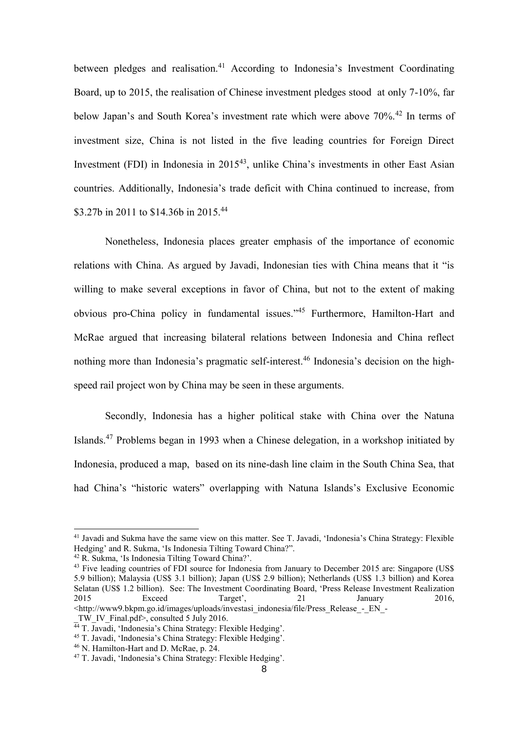between pledges and realisation.<sup>41</sup> According to Indonesia's Investment Coordinating Board, up to 2015, the realisation of Chinese investment pledges stood at only 7-10%, far below Japan's and South Korea's investment rate which were above 70%.<sup>42</sup> In terms of investment size, China is not listed in the five leading countries for Foreign Direct Investment (FDI) in Indonesia in 2015<sup>43</sup>, unlike China's investments in other East Asian countries. Additionally, Indonesia's trade deficit with China continued to increase, from \$3.27b in 2011 to \$14.36b in 2015.<sup>44</sup>

Nonetheless, Indonesia places greater emphasis of the importance of economic relations with China. As argued by Javadi, Indonesian ties with China means that it "is willing to make several exceptions in favor of China, but not to the extent of making obvious pro-China policy in fundamental issues." <sup>45</sup> Furthermore, Hamilton-Hart and McRae argued that increasing bilateral relations between Indonesia and China reflect nothing more than Indonesia's pragmatic self-interest.<sup>46</sup> Indonesia's decision on the highspeed rail project won by China may be seen in these arguments.

Secondly, Indonesia has a higher political stake with China over the Natuna Islands.<sup>47</sup> Problems began in 1993 when a Chinese delegation, in a workshop initiated by Indonesia, produced a map, based on its nine-dash line claim in the South China Sea, that had China's "historic waters" overlapping with Natuna Islands's Exclusive Economic

-

<sup>41</sup> Javadi and Sukma have the same view on this matter. See T. Javadi, 'Indonesia's China Strategy: Flexible Hedging' and R. Sukma, 'Is Indonesia Tilting Toward China?".

<sup>42</sup> R. Sukma, 'Is Indonesia Tilting Toward China?'.

<sup>&</sup>lt;sup>43</sup> Five leading countries of FDI source for Indonesia from January to December 2015 are: Singapore (US\$) 5.9 billion); Malaysia (US\$ 3.1 billion); Japan (US\$ 2.9 billion); Netherlands (US\$ 1.3 billion) and Korea Selatan (US\$ 1.2 billion). See: The Investment Coordinating Board, 'Press Release Investment Realization<br>2015 Exceed Target', 21 January 2016, 2015 Exceed Target', 21 January 2016, <http://www9.bkpm.go.id/images/uploads/investasi\_indonesia/file/Press\_Release\_-\_EN\_-

TW IV Final.pdf>, consulted 5 July 2016.

<sup>&</sup>lt;sup>44</sup> T. Javadi, 'Indonesia's China Strategy: Flexible Hedging'.

<sup>45</sup> T. Javadi, 'Indonesia's China Strategy: Flexible Hedging'.

<sup>46</sup> N. Hamilton-Hart and D. McRae, p. 24.

<sup>47</sup> T. Javadi, 'Indonesia's China Strategy: Flexible Hedging'.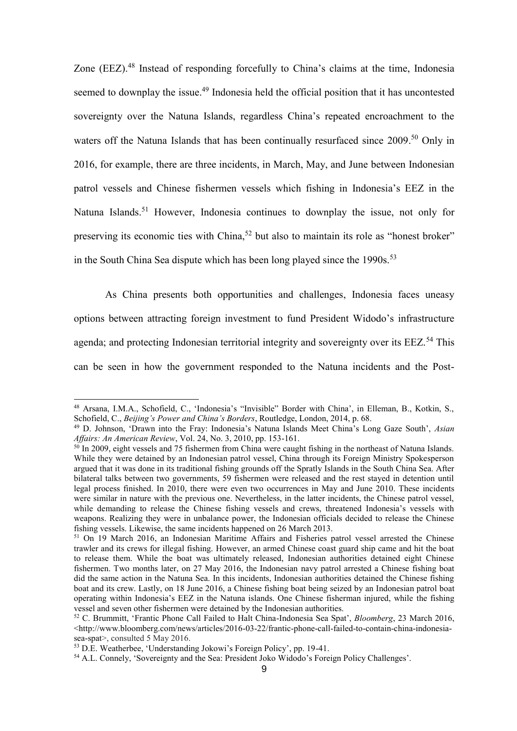Zone (EEZ).<sup>48</sup> Instead of responding forcefully to China's claims at the time, Indonesia seemed to downplay the issue.<sup>49</sup> Indonesia held the official position that it has uncontested sovereignty over the Natuna Islands, regardless China's repeated encroachment to the waters off the Natuna Islands that has been continually resurfaced since 2009.<sup>50</sup> Only in 2016, for example, there are three incidents, in March, May, and June between Indonesian patrol vessels and Chinese fishermen vessels which fishing in Indonesia's EEZ in the Natuna Islands.<sup>51</sup> However, Indonesia continues to downplay the issue, not only for preserving its economic ties with China,<sup>52</sup> but also to maintain its role as "honest broker" in the South China Sea dispute which has been long played since the  $1990s$ <sup>53</sup>

As China presents both opportunities and challenges, Indonesia faces uneasy options between attracting foreign investment to fund President Widodo's infrastructure agenda; and protecting Indonesian territorial integrity and sovereignty over its EEZ.<sup>54</sup> This can be seen in how the government responded to the Natuna incidents and the Post-

<sup>48</sup> Arsana, I.M.A., Schofield, C., 'Indonesia's "Invisible" Border with China', in Elleman, B., Kotkin, S., Schofield, C., *Beijing's Power and China's Borders*, Routledge, London, 2014, p. 68.

<sup>49</sup> D. Johnson, 'Drawn into the Fray: Indonesia's Natuna Islands Meet China's Long Gaze South', *Asian Affairs: An American Review*, Vol. 24, No. 3, 2010, pp. 153-161.

 $50$  In 2009, eight vessels and 75 fishermen from China were caught fishing in the northeast of Natuna Islands. While they were detained by an Indonesian patrol vessel, China through its Foreign Ministry Spokesperson argued that it was done in its traditional fishing grounds off the Spratly Islands in the South China Sea. After bilateral talks between two governments, 59 fishermen were released and the rest stayed in detention until legal process finished. In 2010, there were even two occurrences in May and June 2010. These incidents were similar in nature with the previous one. Nevertheless, in the latter incidents, the Chinese patrol vessel, while demanding to release the Chinese fishing vessels and crews, threatened Indonesia's vessels with weapons. Realizing they were in unbalance power, the Indonesian officials decided to release the Chinese fishing vessels. Likewise, the same incidents happened on 26 March 2013.

<sup>&</sup>lt;sup>51</sup> On 19 March 2016, an Indonesian Maritime Affairs and Fisheries patrol vessel arrested the Chinese trawler and its crews for illegal fishing. However, an armed Chinese coast guard ship came and hit the boat to release them. While the boat was ultimately released, Indonesian authorities detained eight Chinese fishermen. Two months later, on 27 May 2016, the Indonesian navy patrol arrested a Chinese fishing boat did the same action in the Natuna Sea. In this incidents, Indonesian authorities detained the Chinese fishing boat and its crew. Lastly, on 18 June 2016, a Chinese fishing boat being seized by an Indonesian patrol boat operating within Indonesia's EEZ in the Natuna islands. One Chinese fisherman injured, while the fishing vessel and seven other fishermen were detained by the Indonesian authorities.

<sup>52</sup> C. Brummitt, 'Frantic Phone Call Failed to Halt China-Indonesia Sea Spat', *Bloomberg*, 23 March 2016,  $\langle$ http://www.bloomberg.com/news/articles/2016-03-22/frantic-phone-call-failed-to-contain-china-indonesia[sea-spat>](http://www.bloomberg.com/news/articles/2016-03-22/frantic-phone-call-failed-to-contain-china-indonesia-sea-spat), consulted 5 May 2016.

<sup>53</sup> D.E. Weatherbee, 'Understanding Jokowi's Foreign Policy', pp. 19-41.

<sup>54</sup> A.L. Connely, 'Sovereignty and the Sea: President Joko Widodo's Foreign Policy Challenges'.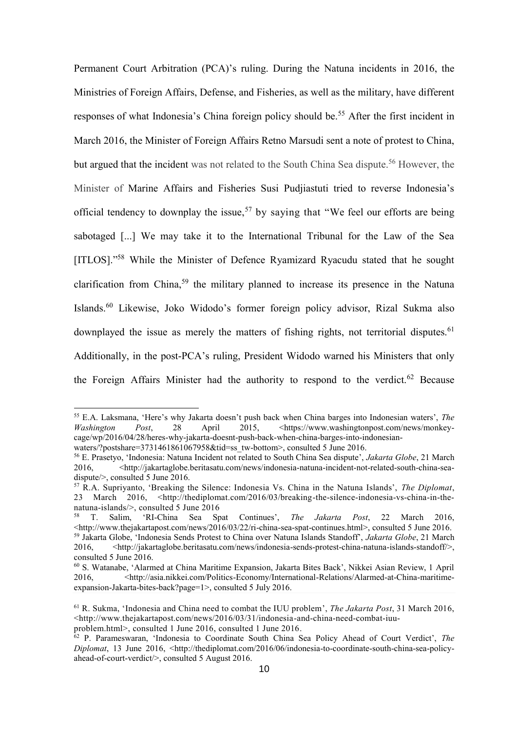Permanent Court Arbitration (PCA)'s ruling. During the Natuna incidents in 2016, the Ministries of Foreign Affairs, Defense, and Fisheries, as well as the military, have [different](http://www.lowyinterpreter.org/post/2016/04/01/The-domestic-politics-of-Jakartas-South-China-Sea-policy.aspx)  [responses](http://www.lowyinterpreter.org/post/2016/04/01/The-domestic-politics-of-Jakartas-South-China-Sea-policy.aspx) of what Indonesia's China foreign policy should be.<sup>55</sup> After the first incident in March 2016, the Minister of Foreign Affairs Retno Marsudi sent a note of protest to China, but argued that the incident was not related to the South China Sea dispute.<sup>56</sup> However, the Minister of Marine Affairs and Fisheries Susi Pudjiastuti tried to reverse Indonesia's official tendency to downplay the issue,<sup>57</sup> by saying that "We feel our efforts are being sabotaged [...] We may take it to the International Tribunal for the Law of the Sea [ITLOS]."<sup>58</sup> While the Minister of Defence Ryamizard Ryacudu stated that he sought clarification from China,<sup>59</sup> the military planned to increase its presence in the Natuna Islands.<sup>60</sup> Likewise, Joko Widodo's former foreign policy advisor, Rizal Sukma also downplayed the issue as merely the matters of fishing rights, not territorial disputes.<sup>61</sup> Additionally, in the post-PCA's ruling, President Widodo warned his Ministers that only the Foreign Affairs Minister had the authority to respond to the verdict.<sup>62</sup> Because

<sup>55</sup> E.A. Laksmana, 'Here's why Jakarta doesn't push back when China barges into Indonesian waters', *The*  Post, 28 April 2015, [<https://www.washingtonpost.com/news/monkey](https://www.washingtonpost.com/news/monkey-cage/wp/2016/04/28/heres-why-jakarta-doesnt-push-back-when-china-barges-into-indonesian-waters/?postshare=3731461861067958&tid=ss_tw-bottom)[cage/wp/2016/04/28/heres-why-jakarta-doesnt-push-back-when-china-barges-into-indonesian](https://www.washingtonpost.com/news/monkey-cage/wp/2016/04/28/heres-why-jakarta-doesnt-push-back-when-china-barges-into-indonesian-waters/?postshare=3731461861067958&tid=ss_tw-bottom)[waters/?postshare=3731461861067958&tid=ss\\_tw-bottom>](https://www.washingtonpost.com/news/monkey-cage/wp/2016/04/28/heres-why-jakarta-doesnt-push-back-when-china-barges-into-indonesian-waters/?postshare=3731461861067958&tid=ss_tw-bottom), consulted 5 June 2016.

<sup>56</sup> E. Prasetyo, 'Indonesia: Natuna Incident not related to South China Sea dispute', *Jakarta Globe*, 21 March 2016,  $\langle \text{http://jakartaglobe.beritasatu.com/news/indexa-natuna-incident-not-related-south-china-sea$ [dispute/>](http://jakartaglobe.beritasatu.com/news/indonesia-natuna-incident-not-related-south-china-sea-dispute/), consulted 5 June 2016.

<sup>57</sup> R.A. Supriyanto, 'Breaking the Silence: Indonesia Vs. China in the Natuna Islands', *The Diplomat*, 23 March 2016, <http://thediplomat.com/2016/03/breaking-the-silence-indonesia-vs-china-in-thenatuna-islands/>, consulted 5 June 2016

<sup>58</sup> T. Salim, 'RI-China Sea Spat Continues', *The Jakarta Post*, 22 March 2016,  $\lt$ http://www.thejakartapost.com/news/2016/03/22/ri-china-sea-spat-continues.html>, consulted 5 June 2016. <sup>59</sup> Jakarta Globe, 'Indonesia Sends Protest to China over Natuna Islands Standoff', *Jakarta Globe*, 21 March 2016, <http://jakartaglobe.beritasatu.com/news/indonesia-sends-protest-china-natuna-islands-standoff/>, consulted 5 June 2016.

<sup>60</sup> S. Watanabe, 'Alarmed at China Maritime Expansion, Jakarta Bites Back', Nikkei Asian Review, 1 April 2016, <http://asia.nikkei.com/Politics-Economy/International-Relations/Alarmed-at-China-maritimeexpansion-Jakarta-bites-back?page=1>, consulted 5 July 2016.

<sup>61</sup> R. Sukma, 'Indonesia and China need to combat the IUU problem', *The Jakarta Post*, 31 March 2016,  $\leq$ http://www.thejakartapost.com/news/2016/03/31/indonesia-and-china-need-combat-juu-

problem.html>, consulted 1 June 2016, consulted 1 June 2016.

<sup>62</sup> P. Parameswaran, 'Indonesia to Coordinate South China Sea Policy Ahead of Court Verdict', *The Diplomat*, 13 June 2016, [<http://thediplomat.com/2016/06/indonesia-to-coordinate-south-china-sea-policy](http://thediplomat.com/2016/06/indonesia-to-coordinate-south-china-sea-policy-ahead-of-court-verdict/)[ahead-of-court-verdict/>](http://thediplomat.com/2016/06/indonesia-to-coordinate-south-china-sea-policy-ahead-of-court-verdict/), consulted 5 August 2016.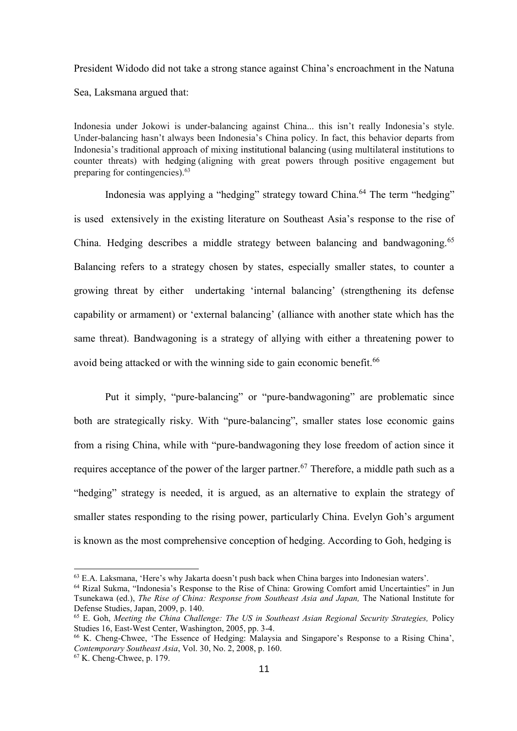President Widodo did not take a strong stance against China's encroachment in the Natuna Sea, Laksmana argued that:

Indonesia under Jokowi is under-balancing against China... this isn't really Indonesia's style. Under-balancing hasn't always been Indonesia's China policy. In fact, this behavior departs from Indonesia's traditional approach of mixing [institutional balancing](http://ejt.sagepub.com/content/14/3/489.short) (using multilateral institutions to counter threats) with [hedging](http://www.tandfonline.com/doi/abs/10.1080/10670564.2015.1132714) (aligning with great powers through positive engagement but preparing for contingencies).<sup>63</sup>

Indonesia was applying a "hedging" strategy toward China.<sup>64</sup> The term "hedging" is used extensively in the existing literature on Southeast Asia's response to the rise of China. Hedging describes a middle strategy between balancing and bandwagoning.<sup>65</sup> Balancing refers to a strategy chosen by states, especially smaller states, to counter a growing threat by either undertaking 'internal balancing' (strengthening its defense capability or armament) or 'external balancing' (alliance with another state which has the same threat). Bandwagoning is a strategy of allying with either a threatening power to avoid being attacked or with the winning side to gain economic benefit.<sup>66</sup>

Put it simply, "pure-balancing" or "pure-bandwagoning" are problematic since both are strategically risky. With "pure-balancing", smaller states lose economic gains from a rising China, while with "pure-bandwagoning they lose freedom of action since it requires acceptance of the power of the larger partner.<sup>67</sup> Therefore, a middle path such as a "hedging" strategy is needed, it is argued, as an alternative to explain the strategy of smaller states responding to the rising power, particularly China. Evelyn Goh's argument is known as the most comprehensive conception of hedging. According to Goh, hedging is

<sup>63</sup> E.A. Laksmana, 'Here's why Jakarta doesn't push back when China barges into Indonesian waters'.

<sup>&</sup>lt;sup>64</sup> Rizal Sukma, "Indonesia's Response to the Rise of China: Growing Comfort amid Uncertainties" in Jun Tsunekawa (ed.), *The Rise of China: Response from Southeast Asia and Japan,* The National Institute for Defense Studies, Japan, 2009, p. 140.

<sup>65</sup> E. Goh, *Meeting the China Challenge: The US in Southeast Asian Regional Security Strategies,* Policy Studies 16, East-West Center, Washington, 2005, pp. 3-4.

<sup>66</sup> K. Cheng-Chwee, 'The Essence of Hedging: Malaysia and Singapore's Response to a Rising China', *Contemporary Southeast Asia*, Vol. 30, No. 2, 2008, p. 160.

<sup>67</sup> K. Cheng-Chwee, p. 179.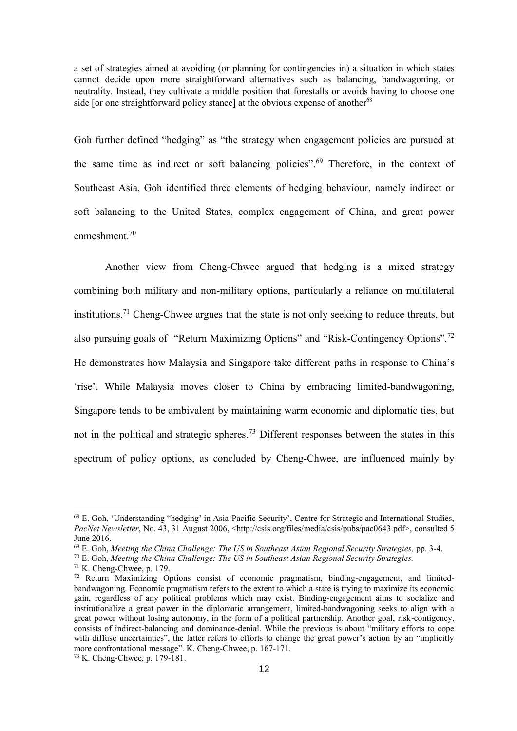a set of strategies aimed at avoiding (or planning for contingencies in) a situation in which states cannot decide upon more straightforward alternatives such as balancing, bandwagoning, or neutrality. Instead, they cultivate a middle position that forestalls or avoids having to choose one side  $\int$  or one straightforward policy stance] at the obvious expense of another<sup>68</sup>

Goh further defined "hedging" as "the strategy when engagement policies are pursued at the same time as indirect or soft balancing policies".<sup>69</sup> Therefore, in the context of Southeast Asia, Goh identified three elements of hedging behaviour, namely indirect or soft balancing to the United States, complex engagement of China, and great power enmeshment.<sup>70</sup>

Another view from Cheng-Chwee argued that hedging is a mixed strategy combining both military and non-military options, particularly a reliance on multilateral institutions.<sup>71</sup> Cheng-Chwee argues that the state is not only seeking to reduce threats, but also pursuing goals of "Return Maximizing Options" and "Risk-Contingency Options".<sup>72</sup> He demonstrates how Malaysia and Singapore take different paths in response to China's 'rise'. While Malaysia moves closer to China by embracing limited-bandwagoning, Singapore tends to be ambivalent by maintaining warm economic and diplomatic ties, but not in the political and strategic spheres.<sup>73</sup> Different responses between the states in this spectrum of policy options, as concluded by Cheng-Chwee, are influenced mainly by

<sup>68</sup> E. Goh, 'Understanding "hedging' in Asia-Pacific Security', Centre for Strategic and International Studies, *PacNet Newsletter*, No. 43, 31 August 2006, <http://csis.org/files/media/csis/pubs/pac0643.pdf>, consulted 5 June 2016.

<sup>69</sup> E. Goh, *Meeting the China Challenge: The US in Southeast Asian Regional Security Strategies,* pp. 3-4.

<sup>70</sup> E. Goh, *Meeting the China Challenge: The US in Southeast Asian Regional Security Strategies.*

<sup>71</sup> K. Cheng-Chwee, p. 179.

<sup>72</sup> Return Maximizing Options consist of economic pragmatism, binding-engagement, and limitedbandwagoning. Economic pragmatism refers to the extent to which a state is trying to maximize its economic gain, regardless of any political problems which may exist. Binding-engagement aims to socialize and institutionalize a great power in the diplomatic arrangement, limited-bandwagoning seeks to align with a great power without losing autonomy, in the form of a political partnership. Another goal, risk-contigency, consists of indirect-balancing and dominance-denial. While the previous is about "military efforts to cope with diffuse uncertainties", the latter refers to efforts to change the great power's action by an "implicitly more confrontational message". K. Cheng-Chwee, p. 167-171.

<sup>73</sup> K. Cheng-Chwee, p. 179-181.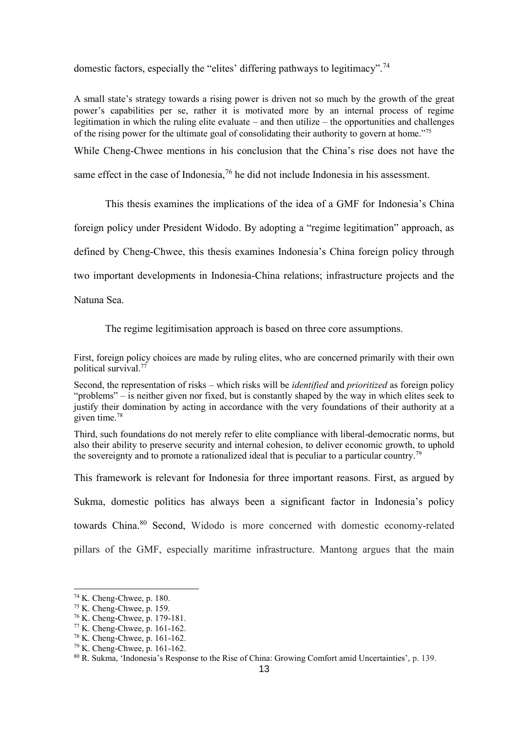domestic factors, especially the "elites' differing pathways to legitimacy".<sup>74</sup>

A small state's strategy towards a rising power is driven not so much by the growth of the great power's capabilities per se, rather it is motivated more by an internal process of regime legitimation in which the ruling elite evaluate – and then utilize – the opportunities and challenges of the rising power for the ultimate goal of consolidating their authority to govern at home."<sup>75</sup>

While Cheng-Chwee mentions in his conclusion that the China's rise does not have the

same effect in the case of Indonesia,<sup>76</sup> he did not include Indonesia in his assessment.

This thesis examines the implications of the idea of a GMF for Indonesia's China

foreign policy under President Widodo. By adopting a "regime legitimation" approach, as

defined by Cheng-Chwee, this thesis examines Indonesia's China foreign policy through

two important developments in Indonesia-China relations; infrastructure projects and the

Natuna Sea.

The regime legitimisation approach is based on three core assumptions.

First, foreign policy choices are made by ruling elites, who are concerned primarily with their own political survival.<sup>77</sup>

Second, the representation of risks – which risks will be *identified* and *prioritized* as foreign policy "problems" – is neither given nor fixed, but is constantly shaped by the way in which elites seek to justify their domination by acting in accordance with the very foundations of their authority at a given time.<sup>78</sup>

Third, such foundations do not merely refer to elite compliance with liberal-democratic norms, but also their ability to preserve security and internal cohesion, to deliver economic growth, to uphold the sovereignty and to promote a rationalized ideal that is peculiar to a particular country.<sup>79</sup>

This framework is relevant for Indonesia for three important reasons. First, as argued by

Sukma, domestic politics has always been a significant factor in Indonesia's policy

towards China.<sup>80</sup> Second, Widodo is more concerned with domestic economy-related

pillars of the GMF, especially maritime infrastructure. Mantong argues that the main

1

<sup>74</sup> K. Cheng-Chwee, p. 180.

<sup>75</sup> K. Cheng-Chwee, p. 159.

<sup>76</sup> K. Cheng-Chwee, p. 179-181.

<sup>77</sup> K. Cheng-Chwee, p. 161-162.

<sup>78</sup> K. Cheng-Chwee, p. 161-162.

<sup>79</sup> K. Cheng-Chwee, p. 161-162.

<sup>80</sup> R. Sukma, 'Indonesia's Response to the Rise of China: Growing Comfort amid Uncertainties', p. 139.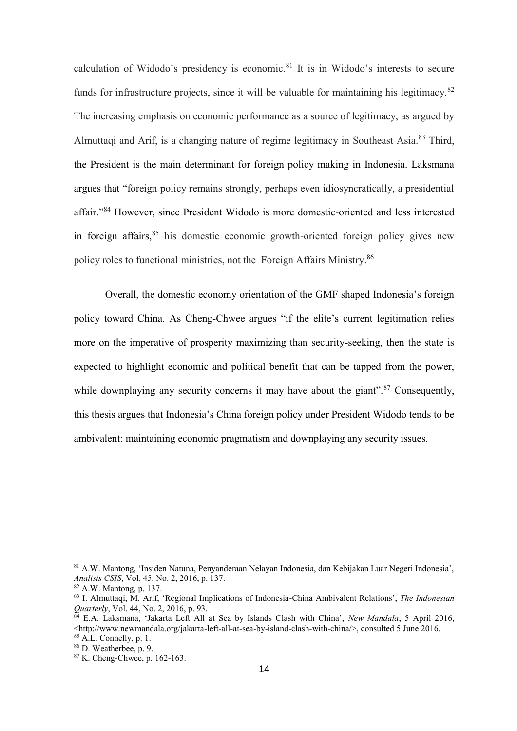calculation of Widodo's presidency is economic.<sup>81</sup> It is in Widodo's interests to secure funds for infrastructure projects, since it will be valuable for maintaining his legitimacy.  $82$ The increasing emphasis on economic performance as a source of legitimacy, as argued by Almuttaqi and Arif, is a changing nature of regime legitimacy in Southeast Asia.<sup>83</sup> Third, the President is the main determinant for foreign policy making in Indonesia. Laksmana argues that "foreign policy remains strongly, perhaps even idiosyncratically, a presidential affair."<sup>84</sup> However, since President Widodo is more domestic-oriented and less interested in foreign affairs,  $85$  his domestic economic growth-oriented foreign policy gives new policy roles to functional ministries, not the Foreign Affairs Ministry.<sup>86</sup>

Overall, the domestic economy orientation of the GMF shaped Indonesia's foreign policy toward China. As Cheng-Chwee argues "if the elite's current legitimation relies more on the imperative of prosperity maximizing than security-seeking, then the state is expected to highlight economic and political benefit that can be tapped from the power, while downplaying any security concerns it may have about the giant".<sup>87</sup> Consequently, this thesis argues that Indonesia's China foreign policy under President Widodo tends to be ambivalent: maintaining economic pragmatism and downplaying any security issues.

<sup>81</sup> A.W. Mantong, 'Insiden Natuna, Penyanderaan Nelayan Indonesia, dan Kebijakan Luar Negeri Indonesia', *Analisis CSIS*, Vol. 45, No. 2, 2016, p. 137.

<sup>82</sup> A.W. Mantong, p. 137.

<sup>83</sup> I. Almuttaqi, M. Arif, 'Regional Implications of Indonesia-China Ambivalent Relations', *The Indonesian Quarterly*, Vol. 44, No. 2, 2016, p. 93.

<sup>84</sup> E.A. Laksmana, 'Jakarta Left All at Sea by Islands Clash with China', *New Mandala*, 5 April 2016, <http://www.newmandala.org/jakarta-left-all-at-sea-by-island-clash-with-china/>, consulted 5 June 2016. <sup>85</sup> A.L. Connelly, p. 1.

<sup>86</sup> D. Weatherbee, p. 9.

<sup>87</sup> K. Cheng-Chwee, p. 162-163.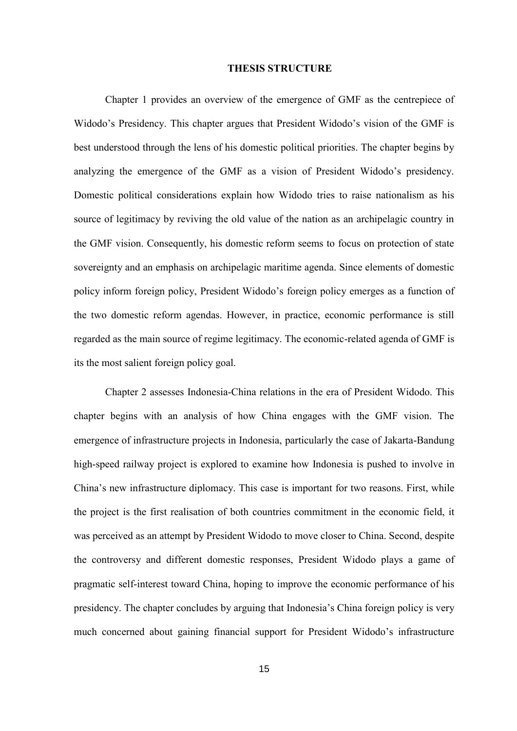#### **THESIS STRUCTURE**

Chapter 1 provides an overview of the emergence of GMF as the centrepiece of Widodo's Presidency. This chapter argues that President Widodo's vision of the GMF is best understood through the lens of his domestic political priorities. The chapter begins by analyzing the emergence of the GMF as a vision of President Widodo's presidency. Domestic political considerations explain how Widodo tries to raise nationalism as his source of legitimacy by reviving the old value of the nation as an archipelagic country in the GMF vision. Consequently, his domestic reform seems to focus on protection of state sovereignty and an emphasis on archipelagic maritime agenda. Since elements of domestic policy inform foreign policy, President Widodo's foreign policy emerges as a function of the two domestic reform agendas. However, in practice, economic performance is still regarded as the main source of regime legitimacy. The economic-related agenda of GMF is its the most salient foreign policy goal.

Chapter 2 assesses Indonesia-China relations in the era of President Widodo. This chapter begins with an analysis of how China engages with the GMF vision. The emergence of infrastructure projects in Indonesia, particularly the case of Jakarta-Bandung high-speed railway project is explored to examine how Indonesia is pushed to involve in China's new infrastructure diplomacy. This case is important for two reasons. First, while the project is the first realisation of both countries commitment in the economic field, it was perceived as an attempt by President Widodo to move closer to China. Second, despite the controversy and different domestic responses, President Widodo plays a game of pragmatic self-interest toward China, hoping to improve the economic performance of his presidency. The chapter concludes by arguing that Indonesia's China foreign policy is very much concerned about gaining financial support for President Widodo's infrastructure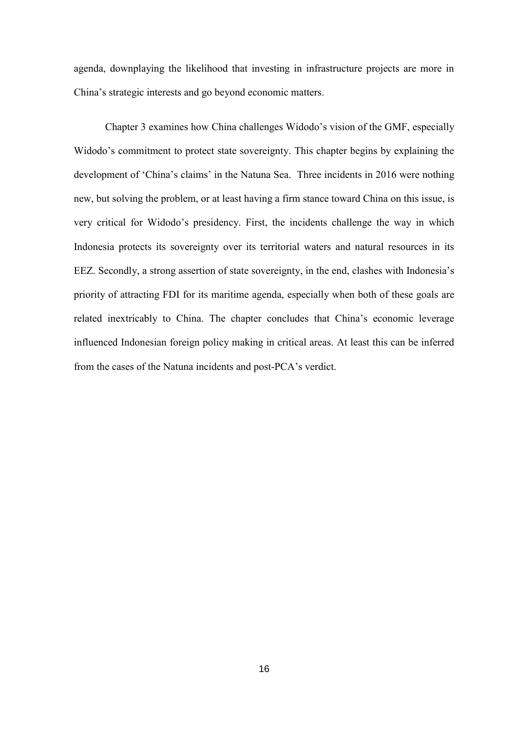agenda, downplaying the likelihood that investing in infrastructure projects are more in China's strategic interests and go beyond economic matters.

Chapter 3 examines how China challenges Widodo's vision of the GMF, especially Widodo's commitment to protect state sovereignty. This chapter begins by explaining the development of 'China's claims' in the Natuna Sea. Three incidents in 2016 were nothing new, but solving the problem, or at least having a firm stance toward China on this issue, is very critical for Widodo's presidency. First, the incidents challenge the way in which Indonesia protects its sovereignty over its territorial waters and natural resources in its EEZ. Secondly, a strong assertion of state sovereignty, in the end, clashes with Indonesia's priority of attracting FDI for its maritime agenda, especially when both of these goals are related inextricably to China. The chapter concludes that China's economic leverage influenced Indonesian foreign policy making in critical areas. At least this can be inferred from the cases of the Natuna incidents and post-PCA's verdict.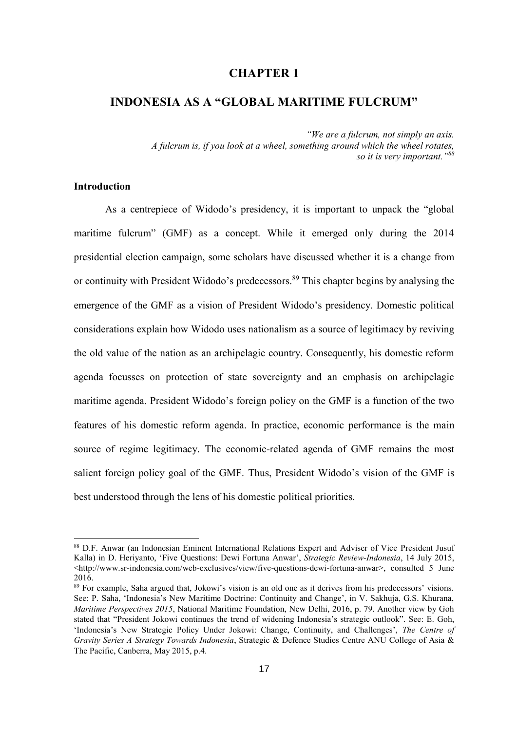### **CHAPTER 1**

# **INDONESIA AS A "GLOBAL MARITIME FULCRUM"**

*"We are a fulcrum, not simply an axis. A fulcrum is, if you look at a wheel, something around which the wheel rotates, so it is very important." 88*

### **Introduction**

As a centrepiece of Widodo's presidency, it is important to unpack the "global maritime fulcrum" (GMF) as a concept. While it emerged only during the 2014 presidential election campaign, some scholars have discussed whether it is a change from or continuity with President Widodo's predecessors.<sup>89</sup> This chapter begins by analysing the emergence of the GMF as a vision of President Widodo's presidency. Domestic political considerations explain how Widodo uses nationalism as a source of legitimacy by reviving the old value of the nation as an archipelagic country. Consequently, his domestic reform agenda focusses on protection of state sovereignty and an emphasis on archipelagic maritime agenda. President Widodo's foreign policy on the GMF is a function of the two features of his domestic reform agenda. In practice, economic performance is the main source of regime legitimacy. The economic-related agenda of GMF remains the most salient foreign policy goal of the GMF. Thus, President Widodo's vision of the GMF is best understood through the lens of his domestic political priorities.

<sup>88</sup> D.F. Anwar (an Indonesian Eminent International Relations Expert and Adviser of Vice President Jusuf Kalla) in D. Heriyanto, 'Five Questions: Dewi Fortuna Anwar', *Strategic Review-Indonesia*, 14 July 2015,  $\langle$ http://www.sr-indonesia.com/web-exclusives/view/five-questions-dewi-fortuna-anwar>, consulted 5 June 2016.

<sup>&</sup>lt;sup>89</sup> For example, Saha argued that, Jokowi's vision is an old one as it derives from his predecessors' visions. See: P. Saha, 'Indonesia's New Maritime Doctrine: Continuity and Change', in V. Sakhuja, G.S. Khurana, *Maritime Perspectives 2015*, National Maritime Foundation, New Delhi, 2016, p. 79. Another view by Goh stated that "President Jokowi continues the trend of widening Indonesia's strategic outlook". See: E. Goh, 'Indonesia's New Strategic Policy Under Jokowi: Change, Continuity, and Challenges', *The Centre of Gravity Series A Strategy Towards Indonesia*, Strategic & Defence Studies Centre ANU College of Asia & The Pacific, Canberra, May 2015, p.4.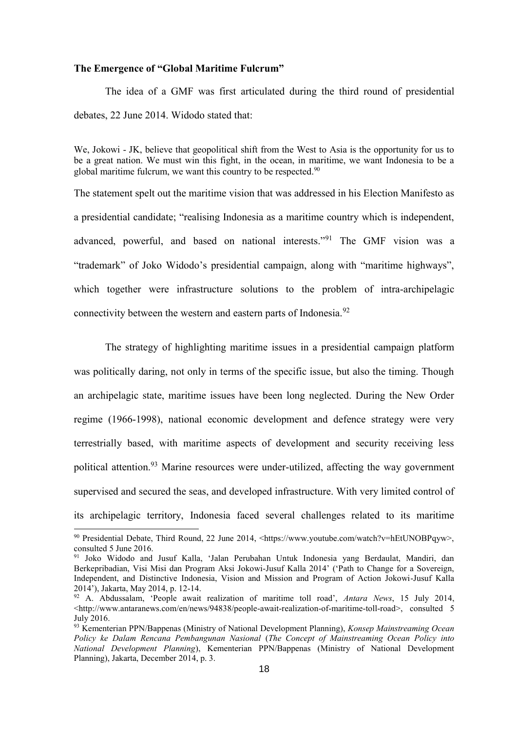#### **The Emergence of "Global Maritime Fulcrum"**

The idea of a GMF was first articulated during the third round of presidential debates, 22 June 2014. Widodo stated that:

We, Jokowi - JK, believe that geopolitical shift from the West to Asia is the opportunity for us to be a great nation. We must win this fight, in the ocean, in maritime, we want Indonesia to be a global maritime fulcrum, we want this country to be respected.<sup>90</sup>

The statement spelt out the maritime vision that was addressed in his Election Manifesto as a presidential candidate; "realising Indonesia as a maritime country which is independent, advanced, powerful, and based on national interests."<sup>91</sup> The GMF vision was a "trademark" of Joko Widodo's presidential campaign, along with "maritime highways", which together were infrastructure solutions to the problem of intra-archipelagic connectivity between the western and eastern parts of Indonesia.<sup>92</sup>

The strategy of highlighting maritime issues in a presidential campaign platform was politically daring, not only in terms of the specific issue, but also the timing. Though an archipelagic state, maritime issues have been long neglected. During the New Order regime (1966-1998), national economic development and defence strategy were very terrestrially based, with maritime aspects of development and security receiving less political attention.<sup>93</sup> Marine resources were under-utilized, affecting the way government supervised and secured the seas, and developed infrastructure. With very limited control of its archipelagic territory, Indonesia faced several challenges related to its maritime

<sup>90</sup> Presidential Debate, Third Round, 22 June 2014, <https://www.youtube.com/watch?v=hEtUNOBPqyw>, consulted 5 June 2016.

<sup>91</sup> Joko Widodo and Jusuf Kalla, 'Jalan Perubahan Untuk Indonesia yang Berdaulat, Mandiri, dan Berkepribadian, Visi Misi dan Program Aksi Jokowi-Jusuf Kalla 2014' ('Path to Change for a Sovereign, Independent, and Distinctive Indonesia, Vision and Mission and Program of Action Jokowi-Jusuf Kalla 2014'), Jakarta, May 2014, p. 12-14.

<sup>92</sup> A. Abdussalam, 'People await realization of maritime toll road', *Antara News*, 15 July 2014, <http://www.antaranews.com/en/news/94838/people-await-realization-of-maritime-toll-road>, consulted 5 July 2016.

<sup>93</sup> Kementerian PPN/Bappenas (Ministry of National Development Planning), *Konsep Mainstreaming Ocean Policy ke Dalam Rencana Pembangunan Nasional* (*The Concept of Mainstreaming Ocean Policy into National Development Planning*), Kementerian PPN/Bappenas (Ministry of National Development Planning), Jakarta, December 2014, p. 3.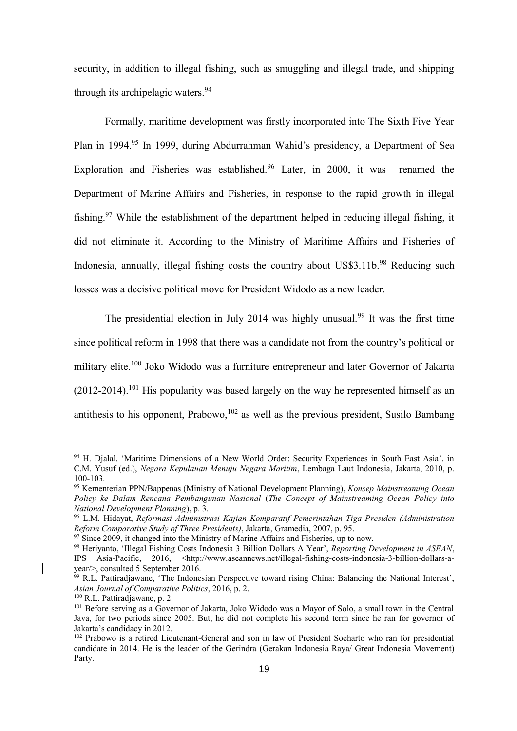security, in addition to illegal fishing, such as smuggling and illegal trade, and shipping through its archipelagic waters.<sup>94</sup>

Formally, maritime development was firstly incorporated into The Sixth Five Year Plan in 1994.<sup>95</sup> In 1999, during Abdurrahman Wahid's presidency, a Department of Sea Exploration and Fisheries was established.<sup>96</sup> Later, in 2000, it was renamed the Department of Marine Affairs and Fisheries, in response to the rapid growth in illegal fishing.<sup>97</sup> While the establishment of the department helped in reducing illegal fishing, it did not eliminate it. According to the Ministry of Maritime Affairs and Fisheries of Indonesia, annually, illegal fishing costs the country about US\$3.11b.<sup>98</sup> Reducing such losses was a decisive political move for President Widodo as a new leader.

The presidential election in July 2014 was highly unusual.<sup>99</sup> It was the first time since political reform in 1998 that there was a candidate not from the country's political or military elite.<sup>100</sup> Joko Widodo was a furniture entrepreneur and later Governor of Jakarta  $(2012-2014).$ <sup>101</sup> His popularity was based largely on the way he represented himself as an antithesis to his opponent, Prabowo,<sup>102</sup> as well as the previous president, Susilo Bambang

1

<sup>94</sup> H. Djalal, 'Maritime Dimensions of a New World Order: Security Experiences in South East Asia', in C.M. Yusuf (ed.), *Negara Kepulauan Menuju Negara Maritim*, Lembaga Laut Indonesia, Jakarta, 2010, p. 100-103.

<sup>95</sup> Kementerian PPN/Bappenas (Ministry of National Development Planning), *Konsep Mainstreaming Ocean Policy ke Dalam Rencana Pembangunan Nasional* (*The Concept of Mainstreaming Ocean Policy into National Development Planning*), p. 3.

<sup>96</sup> L.M. Hidayat, *Reformasi Administrasi Kajian Komparatif Pemerintahan Tiga Presiden (Administration Reform Comparative Study of Three Presidents)*, Jakarta, Gramedia, 2007, p. 95.

 $97$  Since 2009, it changed into the Ministry of Marine Affairs and Fisheries, up to now.

<sup>98</sup> Heriyanto, 'Illegal Fishing Costs Indonesia 3 Billion Dollars A Year', *Reporting Development in ASEAN*, IPS Asia-Pacific, 2016, <http://www.aseannews.net/illegal-fishing-costs-indonesia-3-billion-dollars-ayear/>, consulted 5 September 2016.

<sup>&</sup>lt;sup>99</sup> R.L. Pattiradjawane, 'The Indonesian Perspective toward rising China: Balancing the National Interest', *Asian Journal of Comparative Politics*, 2016, p. 2.

<sup>100</sup> R.L. Pattiradjawane, p. 2.

<sup>&</sup>lt;sup>101</sup> Before serving as a Governor of Jakarta, Joko Widodo was a Mayor of Solo, a small town in the Central Java, for two periods since 2005. But, he did not complete his second term since he ran for governor of Jakarta's candidacy in 2012.

<sup>&</sup>lt;sup>102</sup> Prabowo is a retired Lieutenant-General and son in law of President Soeharto who ran for presidential candidate in 2014. He is the leader of the Gerindra (Gerakan Indonesia Raya/ Great Indonesia Movement) Party.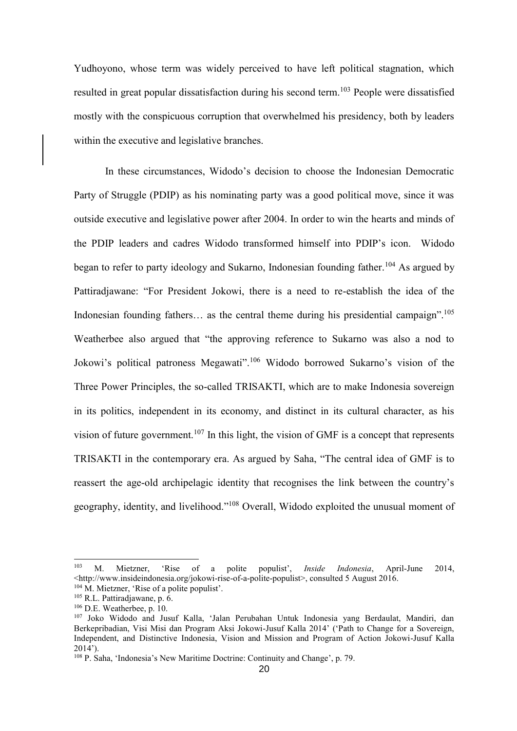Yudhoyono, whose term was widely perceived to have left political stagnation, which resulted in great popular dissatisfaction during his second term.<sup>103</sup> People were dissatisfied mostly with the conspicuous corruption that overwhelmed his presidency, both by leaders within the executive and legislative branches.

In these circumstances, Widodo's decision to choose the Indonesian Democratic Party of Struggle (PDIP) as his nominating party was a good political move, since it was outside executive and legislative power after 2004. In order to win the hearts and minds of the PDIP leaders and cadres Widodo transformed himself into PDIP's icon. Widodo began to refer to party ideology and Sukarno, Indonesian founding father.<sup>104</sup> As argued by Pattiradjawane: "For President Jokowi, there is a need to re-establish the idea of the Indonesian founding fathers... as the central theme during his presidential campaign".<sup>105</sup> Weatherbee also argued that "the approving reference to Sukarno was also a nod to Jokowi's political patroness Megawati".<sup>106</sup> Widodo borrowed Sukarno's vision of the Three Power Principles, the so-called TRISAKTI, which are to make Indonesia sovereign in its politics, independent in its economy, and distinct in its cultural character, as his vision of future government.<sup>107</sup> In this light, the vision of GMF is a concept that represents TRISAKTI in the contemporary era. As argued by Saha, "The central idea of GMF is to reassert the age-old archipelagic identity that recognises the link between the country's geography, identity, and livelihood."<sup>108</sup> Overall, Widodo exploited the unusual moment of

<sup>103</sup> M. Mietzner, 'Rise of a polite populist', *Inside Indonesia*, April-June 2014, <http://www.insideindonesia.org/jokowi-rise-of-a-polite-populist>, consulted 5 August 2016. <sup>104</sup> M. Mietzner, 'Rise of a polite populist'.

 $105$  R.L. Pattiradjawane, p. 6.

<sup>106</sup> D.E. Weatherbee, p. 10.

<sup>107</sup> Joko Widodo and Jusuf Kalla, 'Jalan Perubahan Untuk Indonesia yang Berdaulat, Mandiri, dan Berkepribadian, Visi Misi dan Program Aksi Jokowi-Jusuf Kalla 2014' ('Path to Change for a Sovereign, Independent, and Distinctive Indonesia, Vision and Mission and Program of Action Jokowi-Jusuf Kalla  $2014'$ ).

<sup>108</sup> P. Saha, 'Indonesia's New Maritime Doctrine: Continuity and Change', p. 79.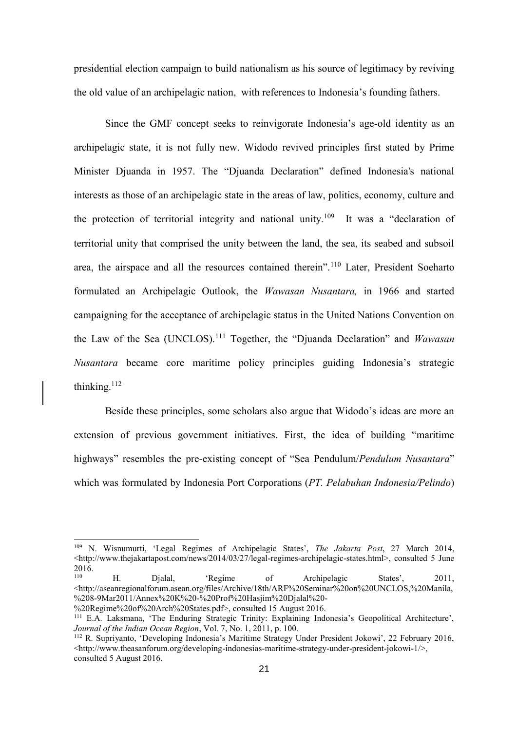presidential election campaign to build nationalism as his source of legitimacy by reviving the old value of an archipelagic nation, with references to Indonesia's founding fathers.

Since the GMF concept seeks to reinvigorate Indonesia's age-old identity as an archipelagic state, it is not fully new. Widodo revived principles first stated by Prime Minister Djuanda in 1957. The "Djuanda Declaration" defined Indonesia's national interests as those of an archipelagic state in the areas of law, politics, economy, culture and the protection of territorial integrity and national unity.<sup>109</sup> It was a "declaration of territorial unity that comprised the unity between the land, the sea, its seabed and subsoil area, the airspace and all the resources contained therein".<sup>110</sup> Later, President Soeharto formulated an Archipelagic Outlook, the *Wawasan Nusantara,* in 1966 and started campaigning for the acceptance of archipelagic status in the United Nations Convention on the Law of the Sea (UNCLOS).<sup>111</sup> Together, the "Djuanda Declaration" and *Wawasan Nusantara* became core maritime policy principles guiding Indonesia's strategic thinking. $112$ 

Beside these principles, some scholars also argue that Widodo's ideas are more an extension of previous government initiatives. First, the idea of building "maritime highways" resembles the pre-existing concept of "Sea Pendulum/*Pendulum Nusantara*" which was formulated by Indonesia Port Corporations (*PT. Pelabuhan Indonesia/Pelindo*)

<sup>109</sup> N. Wisnumurti, 'Legal Regimes of Archipelagic States', *The Jakarta Post*, 27 March 2014,  $\text{6}$ -thtp://www.theiakartapost.com/news/2014/03/27/legal-regimes-archipelagic-states.html>, consulted 5 June  $2016.$ <sup>110</sup>

H. Djalal, 'Regime of Archipelagic States', 2011, [<http://aseanregionalforum.asean.org/files/Archive/18th/ARF%20Seminar%20on%20UNCLOS,%20Manila,](http://aseanregionalforum.asean.org/files/Archive/18th/ARF%20Seminar%20on%20UNCLOS,%20Manila,%208-9Mar2011/Annex%20K%20-%20Prof%20Hasjim%20Djalal%20-%20Regime%20of%20Arch%20States.pdf) [%208-9Mar2011/Annex%20K%20-%20Prof%20Hasjim%20Djalal%20-](http://aseanregionalforum.asean.org/files/Archive/18th/ARF%20Seminar%20on%20UNCLOS,%20Manila,%208-9Mar2011/Annex%20K%20-%20Prof%20Hasjim%20Djalal%20-%20Regime%20of%20Arch%20States.pdf)

[<sup>%20</sup>Regime%20of%20Arch%20States.pdf>](http://aseanregionalforum.asean.org/files/Archive/18th/ARF%20Seminar%20on%20UNCLOS,%20Manila,%208-9Mar2011/Annex%20K%20-%20Prof%20Hasjim%20Djalal%20-%20Regime%20of%20Arch%20States.pdf), consulted 15 August 2016.

<sup>111</sup> E.A. Laksmana, 'The Enduring Strategic Trinity: Explaining Indonesia's Geopolitical Architecture', *Journal of the Indian Ocean Region*, Vol. 7, No. 1, 2011, p. 100.

<sup>&</sup>lt;sup>112</sup> R. Suprivanto, 'Developing Indonesia's Maritime Strategy Under President Jokowi', 22 February 2016,  $\leq$ http://www.theasanforum.org/developing-indonesias-maritime-strategy-under-president-jokowi-1/ $\geq$ , consulted 5 August 2016.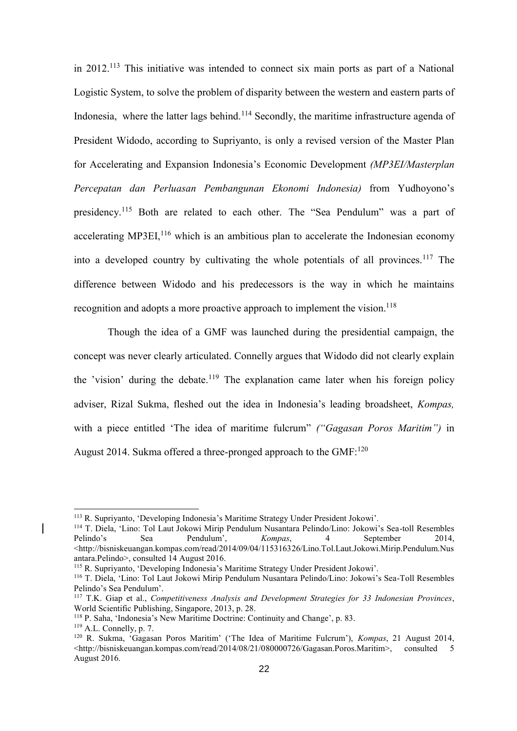in 2012.<sup>113</sup> This initiative was intended to connect six main ports as part of a National Logistic System, to solve the problem of disparity between the western and eastern parts of Indonesia, where the latter lags behind.<sup>114</sup> Secondly, the maritime infrastructure agenda of President Widodo, according to Supriyanto, is only a revised version of the Master Plan for Accelerating and Expansion Indonesia's Economic Development *(MP3EI/Masterplan Percepatan dan Perluasan Pembangunan Ekonomi Indonesia)* from Yudhoyono's presidency.<sup>115</sup> Both are related to each other. The "Sea Pendulum" was a part of accelerating MP3EI, $<sup>116</sup>$  which is an ambitious plan to accelerate the Indonesian economy</sup> into a developed country by cultivating the whole potentials of all provinces.<sup>117</sup> The difference between Widodo and his predecessors is the way in which he maintains recognition and adopts a more proactive approach to implement the vision.<sup>118</sup>

Though the idea of a GMF was launched during the presidential campaign, the concept was never clearly articulated. Connelly argues that Widodo did not clearly explain the 'vision' during the debate.<sup>119</sup> The explanation came later when his foreign policy adviser, Rizal Sukma, fleshed out the idea in Indonesia's leading broadsheet, *Kompas,*  with a piece entitled 'The idea of maritime fulcrum" *("Gagasan Poros Maritim")* in August 2014. Sukma offered a three-pronged approach to the  $GMF<sup>120</sup>$ 

<sup>113</sup> R. Supriyanto, 'Developing Indonesia's Maritime Strategy Under President Jokowi'.

<sup>114</sup> T. Diela, 'Lino: Tol Laut Jokowi Mirip Pendulum Nusantara Pelindo/Lino: Jokowi's Sea-toll Resembles Pelindo's Sea Pendulum', *Kompas*, 4 September 2014, <http://bisniskeuangan.kompas.com/read/2014/09/04/115316326/Lino.Tol.Laut.Jokowi.Mirip.Pendulum.Nus antara.Pelindo>, consulted 14 August 2016.

<sup>115</sup> R. Supriyanto, 'Developing Indonesia's Maritime Strategy Under President Jokowi'.

<sup>116</sup> T. Diela, 'Lino: Tol Laut Jokowi Mirip Pendulum Nusantara Pelindo/Lino: Jokowi's Sea-Toll Resembles Pelindo's Sea Pendulum'.

<sup>117</sup> T.K. Giap et al., *Competitiveness Analysis and Development Strategies for 33 Indonesian Provinces*, World Scientific Publishing, Singapore, 2013, p. 28.

<sup>118</sup> P. Saha, 'Indonesia's New Maritime Doctrine: Continuity and Change', p. 83.

 $119$  A.L. Connelly, p. 7.

<sup>120</sup> R. Sukma, 'Gagasan Poros Maritim' ('The Idea of Maritime Fulcrum'), *Kompas*, 21 August 2014,  $\leq$ http://bisniskeuangan.kompas.com/read/2014/08/21/080000726/Gagasan.Poros.Maritim>, consulted 5 August 2016.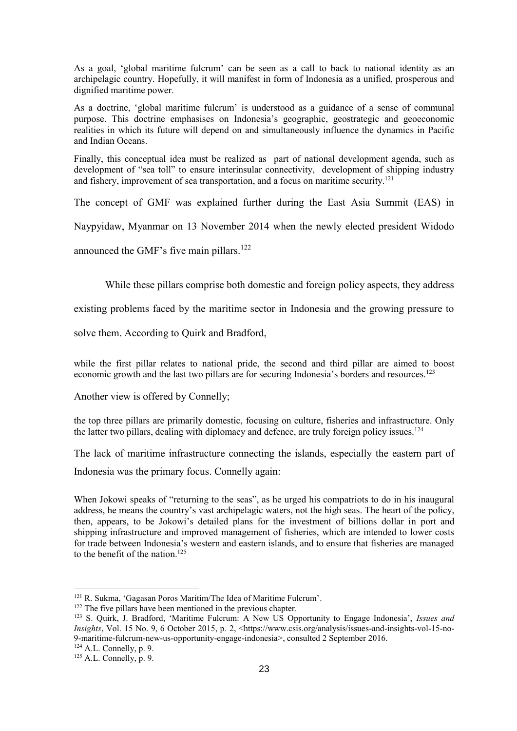As a goal, 'global maritime fulcrum' can be seen as a call to back to national identity as an archipelagic country. Hopefully, it will manifest in form of Indonesia as a unified, prosperous and dignified maritime power.

As a doctrine, 'global maritime fulcrum' is understood as a guidance of a sense of communal purpose. This doctrine emphasises on Indonesia's geographic, geostrategic and geoeconomic realities in which its future will depend on and simultaneously influence the dynamics in Pacific and Indian Oceans.

Finally, this conceptual idea must be realized as part of national development agenda, such as development of "sea toll" to ensure interinsular connectivity, development of shipping industry and fishery, improvement of sea transportation, and a focus on maritime security.<sup>121</sup>

The concept of GMF was explained further during the East Asia Summit (EAS) in

Naypyidaw, Myanmar on 13 November 2014 when the newly elected president Widodo

announced the GMF's five main pillars.<sup>122</sup>

While these pillars comprise both domestic and foreign policy aspects, they address

existing problems faced by the maritime sector in Indonesia and the growing pressure to

solve them. According to Quirk and Bradford,

while the first pillar relates to national pride, the second and third pillar are aimed to boost economic growth and the last two pillars are for securing Indonesia's borders and resources.<sup>123</sup>

Another view is offered by Connelly;

the top three pillars are primarily domestic, focusing on culture, fisheries and infrastructure. Only the latter two pillars, dealing with diplomacy and defence, are truly foreign policy issues.<sup>124</sup>

The lack of maritime infrastructure connecting the islands, especially the eastern part of

Indonesia was the primary focus. Connelly again:

When Jokowi speaks of "returning to the seas", as he urged his compatriots to do in his inaugural address, he means the country's vast archipelagic waters, not the high seas. The heart of the policy, then, appears, to be Jokowi's detailed plans for the investment of billions dollar in port and shipping infrastructure and improved management of fisheries, which are intended to lower costs for trade between Indonesia's western and eastern islands, and to ensure that fisheries are managed to the benefit of the nation.<sup>125</sup>

 $124$  A.L. Connelly, p. 9.

<sup>121</sup> R. Sukma, 'Gagasan Poros Maritim/The Idea of Maritime Fulcrum'.

<sup>&</sup>lt;sup>122</sup> The five pillars have been mentioned in the previous chapter.

<sup>123</sup> S. Quirk, J. Bradford, 'Maritime Fulcrum: A New US Opportunity to Engage Indonesia', *Issues and Insights*, Vol. 15 No. 9, 6 October 2015, p. 2, <https://www.csis.org/analysis/issues-and-insights-vol-15-no-9-maritime-fulcrum-new-us-opportunity-engage-indonesia>, consulted 2 September 2016.

 $125$  A.L. Connelly, p. 9.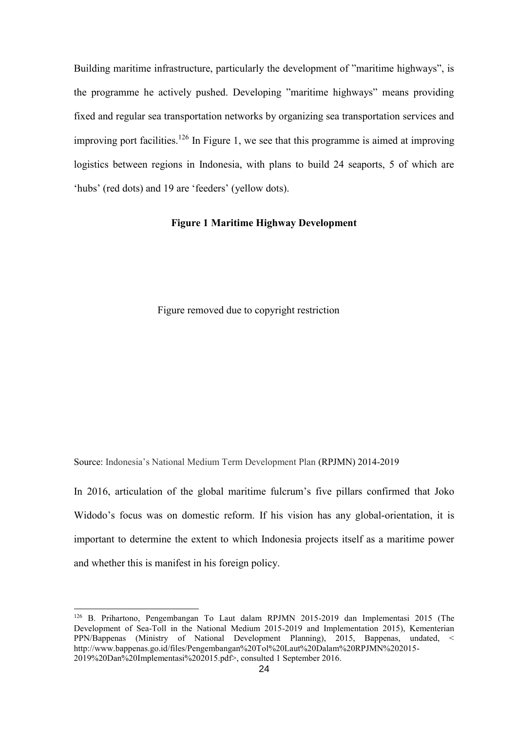Building maritime infrastructure, particularly the development of "maritime highways", is the programme he actively pushed. Developing "maritime highways" means providing fixed and regular sea transportation networks by organizing sea transportation services and improving port facilities.<sup>126</sup> In Figure 1, we see that this programme is aimed at improving logistics between regions in Indonesia, with plans to build 24 seaports, 5 of which are 'hubs' (red dots) and 19 are 'feeders' (yellow dots).

### <span id="page-31-0"></span>**Figure 1 Maritime Highway Development**

Figure removed due to copyright restriction

Source: Indonesia's National Medium Term Development Plan (RPJMN) 2014-2019

In 2016, articulation of the global maritime fulcrum's five pillars confirmed that Joko Widodo's focus was on domestic reform. If his vision has any global-orientation, it is important to determine the extent to which Indonesia projects itself as a maritime power and whether this is manifest in his foreign policy.

<sup>126</sup> B. Prihartono, Pengembangan To Laut dalam RPJMN 2015-2019 dan Implementasi 2015 (The Development of Sea-Toll in the National Medium 2015-2019 and Implementation 2015), Kementerian PPN/Bappenas (Ministry of National Development Planning), 2015, Bappenas, undated, < http://www.bappenas.go.id/files/Pengembangan%20Tol%20Laut%20Dalam%20RPJMN%202015- 2019%20Dan%20Implementasi%202015.pdf>, consulted 1 September 2016.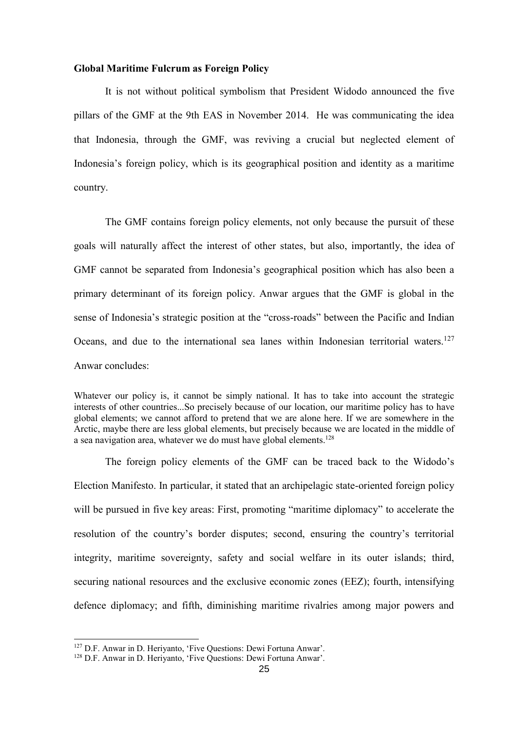#### **Global Maritime Fulcrum as Foreign Policy**

It is not without political symbolism that President Widodo announced the five pillars of the GMF at the 9th EAS in November 2014. He was communicating the idea that Indonesia, through the GMF, was reviving a crucial but neglected element of Indonesia's foreign policy, which is its geographical position and identity as a maritime country.

The GMF contains foreign policy elements, not only because the pursuit of these goals will naturally affect the interest of other states, but also, importantly, the idea of GMF cannot be separated from Indonesia's geographical position which has also been a primary determinant of its foreign policy. Anwar argues that the GMF is global in the sense of Indonesia's strategic position at the "cross-roads" between the Pacific and Indian Oceans, and due to the international sea lanes within Indonesian territorial waters.<sup>127</sup> Anwar concludes:

Whatever our policy is, it cannot be simply national. It has to take into account the strategic interests of other countries...So precisely because of our location, our maritime policy has to have global elements; we cannot afford to pretend that we are alone here. If we are somewhere in the Arctic, maybe there are less global elements, but precisely because we are located in the middle of a sea navigation area, whatever we do must have global elements.<sup>128</sup>

The foreign policy elements of the GMF can be traced back to the Widodo's Election Manifesto. In particular, it stated that an archipelagic state-oriented foreign policy will be pursued in five key areas: First, promoting "maritime diplomacy" to accelerate the resolution of the country's border disputes; second, ensuring the country's territorial integrity, maritime sovereignty, safety and social welfare in its outer islands; third, securing national resources and the exclusive economic zones (EEZ); fourth, intensifying defence diplomacy; and fifth, diminishing maritime rivalries among major powers and

<sup>127</sup> D.F. Anwar in D. Heriyanto, 'Five Questions: Dewi Fortuna Anwar'.

<sup>128</sup> D.F. Anwar in D. Heriyanto, 'Five Questions: Dewi Fortuna Anwar'.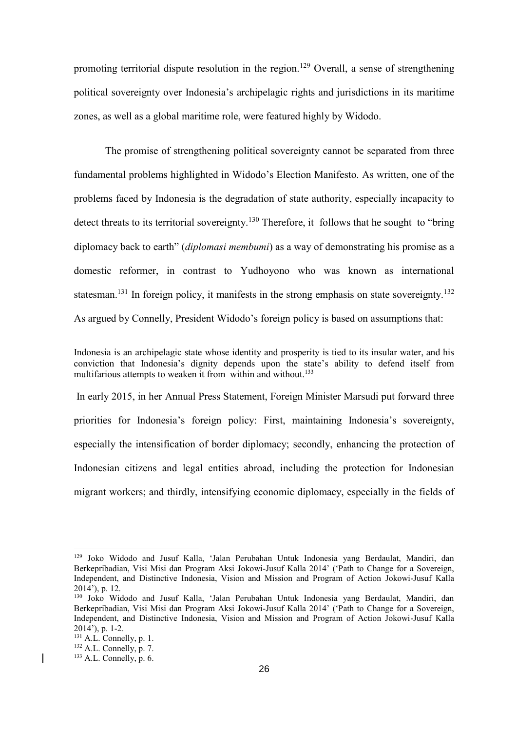promoting territorial dispute resolution in the region.<sup>129</sup> Overall, a sense of strengthening political sovereignty over Indonesia's archipelagic rights and jurisdictions in its maritime zones, as well as a global maritime role, were featured highly by Widodo.

The promise of strengthening political sovereignty cannot be separated from three fundamental problems highlighted in Widodo's Election Manifesto. As written, one of the problems faced by Indonesia is the degradation of state authority, especially incapacity to detect threats to its territorial sovereignty.<sup>130</sup> Therefore, it follows that he sought to "bring" diplomacy back to earth" (*diplomasi membumi*) as a way of demonstrating his promise as a domestic reformer, in contrast to Yudhoyono who was known as international statesman.<sup>131</sup> In foreign policy, it manifests in the strong emphasis on state sovereignty.<sup>132</sup> As argued by Connelly, President Widodo's foreign policy is based on assumptions that:

Indonesia is an archipelagic state whose identity and prosperity is tied to its insular water, and his conviction that Indonesia's dignity depends upon the state's ability to defend itself from multifarious attempts to weaken it from within and without.<sup>133</sup>

In early 2015, in her Annual Press Statement, Foreign Minister Marsudi put forward three priorities for Indonesia's foreign policy: First, maintaining Indonesia's sovereignty, especially the intensification of border diplomacy; secondly, enhancing the protection of Indonesian citizens and legal entities abroad, including the protection for Indonesian migrant workers; and thirdly, intensifying economic diplomacy, especially in the fields of

1

<sup>129</sup> Joko Widodo and Jusuf Kalla, 'Jalan Perubahan Untuk Indonesia yang Berdaulat, Mandiri, dan Berkepribadian, Visi Misi dan Program Aksi Jokowi-Jusuf Kalla 2014' ('Path to Change for a Sovereign, Independent, and Distinctive Indonesia, Vision and Mission and Program of Action Jokowi-Jusuf Kalla 2014'), p. 12.

<sup>130</sup> Joko Widodo and Jusuf Kalla, 'Jalan Perubahan Untuk Indonesia yang Berdaulat, Mandiri, dan Berkepribadian, Visi Misi dan Program Aksi Jokowi-Jusuf Kalla 2014' ('Path to Change for a Sovereign, Independent, and Distinctive Indonesia, Vision and Mission and Program of Action Jokowi-Jusuf Kalla 2014'), p. 1-2.

 $131$  A.L. Connelly, p. 1.

 $132$  A.L. Connelly, p. 7.

 $133$  A.L. Connelly, p. 6.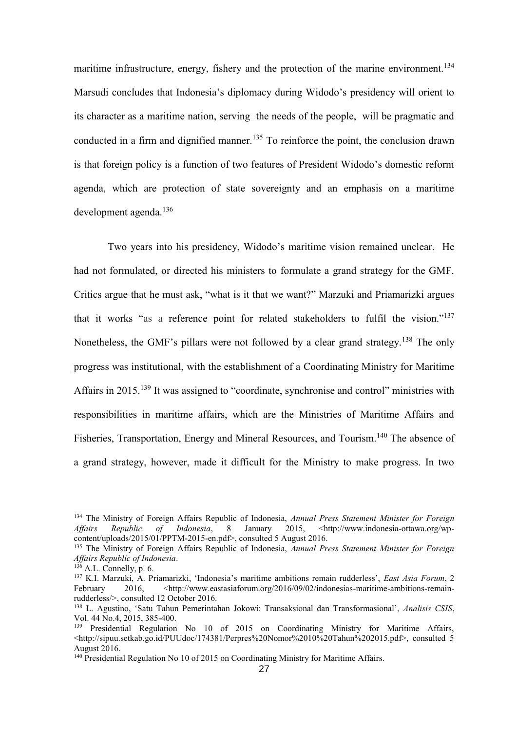maritime infrastructure, energy, fishery and the protection of the marine environment.<sup>134</sup> Marsudi concludes that Indonesia's diplomacy during Widodo's presidency will orient to its character as a maritime nation, serving the needs of the people, will be pragmatic and conducted in a firm and dignified manner.<sup>135</sup> To reinforce the point, the conclusion drawn is that foreign policy is a function of two features of President Widodo's domestic reform agenda, which are protection of state sovereignty and an emphasis on a maritime development agenda.<sup>136</sup>

Two years into his presidency, Widodo's maritime vision remained unclear. He had not formulated, or directed his ministers to formulate a grand strategy for the GMF. Critics argue that he must ask, "what is it that we want?" Marzuki and Priamarizki argues that it works "as a reference point for related stakeholders to fulfil the vision."<sup>137</sup> Nonetheless, the GMF's pillars were not followed by a clear grand strategy.<sup>138</sup> The only progress was institutional, with the establishment of a Coordinating Ministry for Maritime Affairs in 2015.<sup>139</sup> It was assigned to "coordinate, synchronise and control" ministries with responsibilities in maritime affairs, which are the Ministries of Maritime Affairs and Fisheries, Transportation, Energy and Mineral Resources, and Tourism.<sup>140</sup> The absence of a grand strategy, however, made it difficult for the Ministry to make progress. In two

<sup>134</sup> The Ministry of Foreign Affairs Republic of Indonesia, *Annual Press Statement Minister for Foreign*  Affairs Republic of Indonesia, 8 January 2015, <http://www.indonesia-ottawa.org/wpcontent/uploads/2015/01/PPTM-2015-en.pdf>, consulted 5 August 2016.

<sup>135</sup> The Ministry of Foreign Affairs Republic of Indonesia, *Annual Press Statement Minister for Foreign Affairs Republic of Indonesia*.

<sup>136</sup> A.L. Connelly, p. 6.

<sup>137</sup> K.I. Marzuki, A. Priamarizki, 'Indonesia's maritime ambitions remain rudderless', *East Asia Forum*, 2 February 2016, <http://www.eastasiaforum.org/2016/09/02/indonesias-maritime-ambitions-remainrudderless/>, consulted 12 October 2016.

<sup>138</sup> L. Agustino, 'Satu Tahun Pemerintahan Jokowi: Transaksional dan Transformasional', *Analisis CSIS*, Vol. 44 No.4, 2015, 385-400.

<sup>&</sup>lt;sup>139</sup> Presidential Regulation No 10 of 2015 on Coordinating Ministry for Maritime Affairs,  $\lt$ http://sipuu.setkab.go.id/PUUdoc/174381/Perpres%20Nomor%2010%20Tahun%202015.pdf>, consulted 5 August 2016.

<sup>&</sup>lt;sup>140</sup> Presidential Regulation No 10 of 2015 on Coordinating Ministry for Maritime Affairs.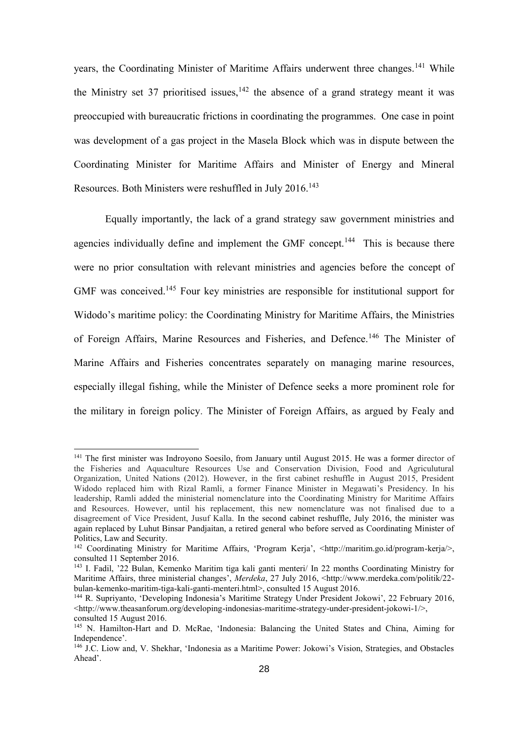years, the Coordinating Minister of Maritime Affairs underwent three changes.<sup>141</sup> While the Ministry set 37 prioritised issues,  $142$  the absence of a grand strategy meant it was preoccupied with bureaucratic frictions in coordinating the programmes. One case in point was development of a gas project in the Masela Block which was in dispute between the Coordinating Minister for Maritime Affairs and Minister of Energy and Mineral Resources. Both Ministers were reshuffled in July 2016.<sup>143</sup>

Equally importantly, the lack of a grand strategy saw government ministries and agencies individually define and implement the GMF concept.<sup>144</sup> This is because there were no prior consultation with relevant ministries and agencies before the concept of GMF was conceived.<sup>145</sup> Four key ministries are responsible for institutional support for Widodo's maritime policy: the Coordinating Ministry for Maritime Affairs, the Ministries of Foreign Affairs, Marine Resources and Fisheries, and Defence.<sup>146</sup> The Minister of Marine Affairs and Fisheries concentrates separately on managing marine resources, especially illegal fishing, while the Minister of Defence seeks a more prominent role for the military in foreign policy. The Minister of Foreign Affairs, as argued by Fealy and

1

<sup>&</sup>lt;sup>141</sup> The first minister was Indroyono Soesilo, from January until August 2015. He was a former director of the Fisheries and Aquaculture Resources Use and Conservation Division, Food and Agriculutural Organization, United Nations (2012). However, in the first cabinet reshuffle in August 2015, President Widodo replaced him with Rizal Ramli, a former Finance Minister in Megawati's Presidency. In his leadership, Ramli added the ministerial nomenclature into the Coordinating Ministry for Maritime Affairs and Resources. However, until his replacement, this new nomenclature was not finalised due to a disagreement of Vice President, Jusuf Kalla. In the second cabinet reshuffle, July 2016, the minister was again replaced by Luhut Binsar Pandjaitan, a retired general who before served as Coordinating Minister of Politics, Law and Security.

<sup>142</sup> Coordinating Ministry for Maritime Affairs, 'Program Kerja', <http://maritim.go.id/program-kerja/>, consulted 11 September 2016.

<sup>143</sup> I. Fadil, '22 Bulan, Kemenko Maritim tiga kali ganti menteri/ In 22 months Coordinating Ministry for Maritime Affairs, three ministerial changes', *Merdeka*, 27 July 2016, <http://www.merdeka.com/politik/22 bulan-kemenko-maritim-tiga-kali-ganti-menteri.html>, consulted 15 August 2016.

<sup>144</sup> R. Supriyanto, 'Developing Indonesia's Maritime Strategy Under President Jokowi', 22 February 2016, [<http://www.theasanforum.org/developing-indonesias-maritime-strategy-under-president-jokowi-1/>](http://www.theasanforum.org/developing-indonesias-maritime-strategy-under-president-jokowi-1/), consulted 15 August 2016.

<sup>145</sup> N. Hamilton-Hart and D. McRae, 'Indonesia: Balancing the United States and China, Aiming for Independence'.

<sup>&</sup>lt;sup>146</sup> J.C. Liow and, V. Shekhar, 'Indonesia as a Maritime Power: Jokowi's Vision, Strategies, and Obstacles Ahead'.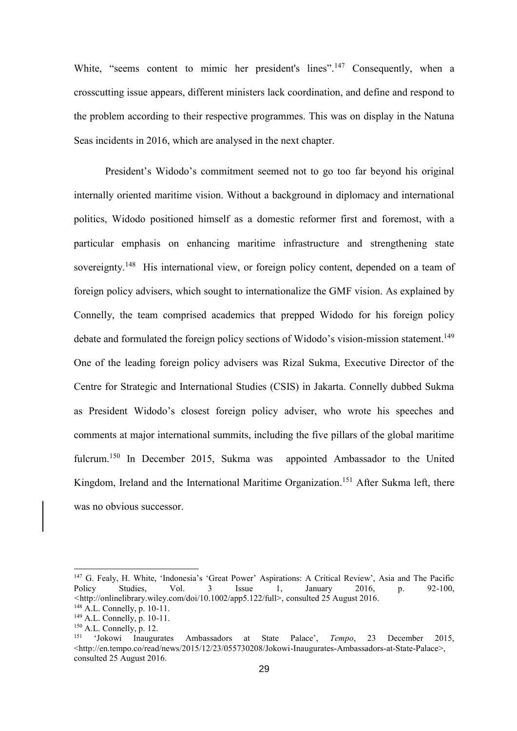White, "seems content to mimic her president's lines".<sup>147</sup> Consequently, when a crosscutting issue appears, different ministers lack coordination, and define and respond to the problem according to their respective programmes. This was on display in the Natuna Seas incidents in 2016, which are analysed in the next chapter.

President's Widodo's commitment seemed not to go too far beyond his original internally oriented maritime vision. Without a background in diplomacy and international politics, Widodo positioned himself as a domestic reformer first and foremost, with a particular emphasis on enhancing maritime infrastructure and strengthening state sovereignty.<sup>148</sup> His international view, or foreign policy content, depended on a team of foreign policy advisers, which sought to internationalize the GMF vision. As explained by Connelly, the team comprised academics that prepped Widodo for his foreign policy debate and formulated the foreign policy sections of Widodo's vision-mission statement.<sup>149</sup> One of the leading foreign policy advisers was Rizal Sukma, Executive Director of the Centre for Strategic and International Studies (CSIS) in Jakarta. Connelly dubbed Sukma as President Widodo's closest foreign policy adviser, who wrote his speeches and comments at major international summits, including the five pillars of the global maritime fulcrum.<sup>150</sup> In December 2015, Sukma was appointed Ambassador to the United Kingdom, Ireland and the International Maritime Organization.<sup>151</sup> After Sukma left, there was no obvious successor.

<sup>&</sup>lt;sup>147</sup> G. Fealy, H. White, 'Indonesia's 'Great Power' Aspirations: A Critical Review', Asia and The Pacific Policy Studies, Vol. 3 Issue 1. January 2016, p. 92-100. Policy Studies, Vol. 3 Issue 1, January 2016, p. 92-100, *<*http://onlinelibrary.wiley.com/doi/10.1002/app5.122/full>, consulted 25 August 2016.

<sup>148</sup> A.L. Connelly, p. 10-11.

<sup>149</sup> A.L. Connelly, p. 10-11.

<sup>&</sup>lt;sup>150</sup> A.L. Connelly, p. 12.<br><sup>151</sup> 'Jokowi Inaugurates Ambassadors at State Palace', *Tempo*, 23 December 2015,  $\lt$ http://en.tempo.co/read/news/2015/12/23/055730208/Jokowi-Inaugurates-Ambassadors-at-State-Palace>, consulted 25 August 2016.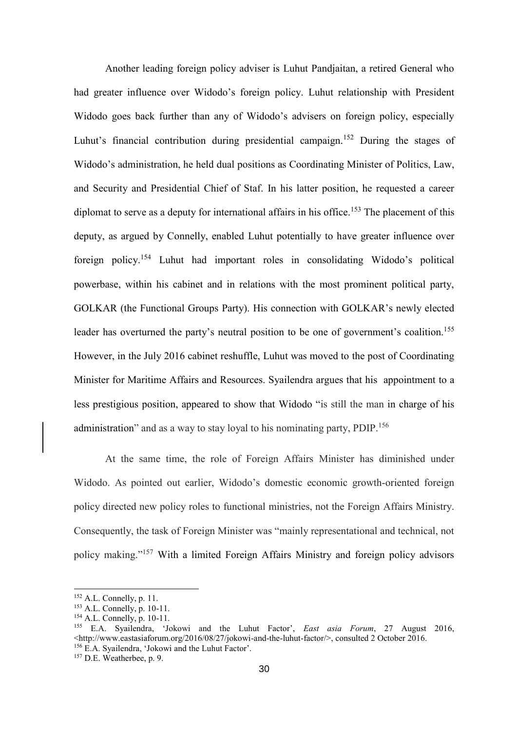Another leading foreign policy adviser is Luhut Pandjaitan, a retired General who had greater influence over Widodo's foreign policy. Luhut relationship with President Widodo goes back further than any of Widodo's advisers on foreign policy, especially Luhut's financial contribution during presidential campaign.<sup>152</sup> During the stages of Widodo's administration, he held dual positions as Coordinating Minister of Politics, Law, and Security and Presidential Chief of Staf. In his latter position, he requested a career diplomat to serve as a deputy for international affairs in his office.<sup>153</sup> The placement of this deputy, as argued by Connelly, enabled Luhut potentially to have greater influence over foreign policy.<sup>154</sup> Luhut had important roles in consolidating Widodo's political powerbase, within his cabinet and in relations with the most prominent political party, GOLKAR (the Functional Groups Party). His connection with GOLKAR's newly elected leader has overturned the party's neutral position to be one of government's coalition.<sup>155</sup> However, in the July 2016 cabinet reshuffle, Luhut was moved to the post of Coordinating Minister for Maritime Affairs and Resources. Syailendra argues that his appointment to a less prestigious position, appeared to show that Widodo "is still the man [in charge of his](http://www.eastasiaforum.org/2016/08/25/jokowis-electoral-juggle/)  [administration"](http://www.eastasiaforum.org/2016/08/25/jokowis-electoral-juggle/) and as a way to stay loyal to his nominating party,  $P DIP$ <sup>156</sup>

At the same time, the role of Foreign Affairs Minister has diminished under Widodo. As pointed out earlier, Widodo's domestic economic growth-oriented foreign policy directed new policy roles to functional ministries, not the Foreign Affairs Ministry. Consequently, the task of Foreign Minister was "mainly representational and technical, not policy making."<sup>157</sup> With a limited Foreign Affairs Ministry and foreign policy advisors

 $152$  A.L. Connelly, p. 11.

<sup>153</sup> A.L. Connelly, p. 10-11.

<sup>154</sup> A.L. Connelly, p. 10-11.

<sup>155</sup> E.A. Syailendra, 'Jokowi and the Luhut Factor', *East asia Forum*, 27 August 2016, <http://www.eastasiaforum.org/2016/08/27/jokowi-and-the-luhut-factor/>, consulted 2 October 2016. <sup>156</sup> E.A. Syailendra, 'Jokowi and the Luhut Factor'.

<sup>157</sup> D.E. Weatherbee, p. 9.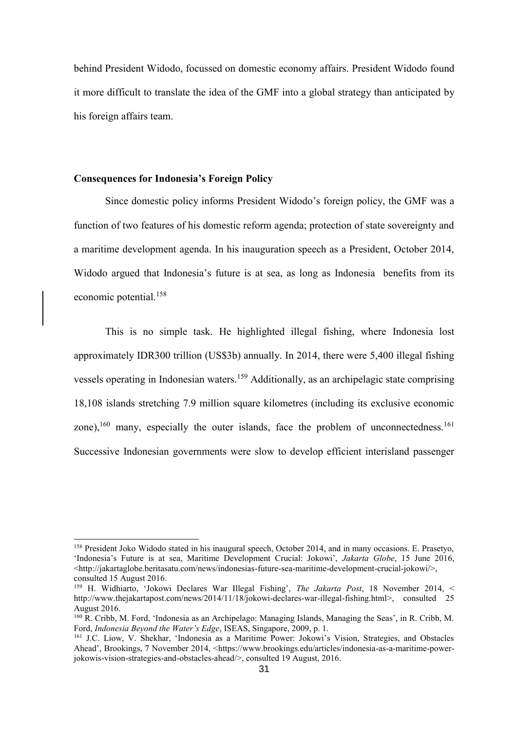behind President Widodo, focussed on domestic economy affairs. President Widodo found it more difficult to translate the idea of the GMF into a global strategy than anticipated by his foreign affairs team.

## **Consequences for Indonesia's Foreign Policy**

Since domestic policy informs President Widodo's foreign policy, the GMF was a function of two features of his domestic reform agenda; protection of state sovereignty and a maritime development agenda. In his inauguration speech as a President, October 2014, Widodo argued that Indonesia's future is at sea, as long as Indonesia benefits from its economic potential.<sup>158</sup>

This is no simple task. He highlighted illegal fishing, where Indonesia lost approximately IDR300 trillion (US\$3b) annually. In 2014, there were 5,400 illegal fishing vessels operating in Indonesian waters.<sup>159</sup> Additionally, as an archipelagic state comprising 18,108 islands stretching 7.9 million square kilometres (including its exclusive economic zone), $160$  many, especially the outer islands, face the problem of unconnectedness. $161$ Successive Indonesian governments were slow to develop efficient interisland passenger

<sup>158</sup> President Joko Widodo stated in his inaugural speech, October 2014, and in many occasions. E. Prasetyo, 'Indonesia's Future is at sea, Maritime Development Crucial: Jokowi', *Jakarta Globe*, 15 June 2016, <http://jakartaglobe.beritasatu.com/news/indonesias-future-sea-maritime-development-crucial-jokowi/>, consulted 15 August 2016.

<sup>159</sup> H. Widhiarto, 'Jokowi Declares War Illegal Fishing', *The Jakarta Post*, 18 November 2014, < http://www.thejakartapost.com/news/2014/11/18/jokowi-declares-war-illegal-fishing.html>, consulted 25 August 2016.

<sup>160</sup> R. Cribb, M. Ford, 'Indonesia as an Archipelago: Managing Islands, Managing the Seas', in R. Cribb, M. Ford, *Indonesia Beyond the Water's Edge*, ISEAS, Singapore, 2009, p. 1.

<sup>161</sup> J.C. Liow, V. Shekhar, 'Indonesia as a Maritime Power: Jokowi's Vision, Strategies, and Obstacles Ahead', Brookings, 7 November 2014, [<https://www.brookings.edu/articles/indonesia-as-a-maritime-power](https://www.brookings.edu/articles/indonesia-as-a-maritime-power-jokowis-vision-strategies-and-obstacles-ahead/)[jokowis-vision-strategies-and-obstacles-ahead/>](https://www.brookings.edu/articles/indonesia-as-a-maritime-power-jokowis-vision-strategies-and-obstacles-ahead/), consulted 19 August, 2016.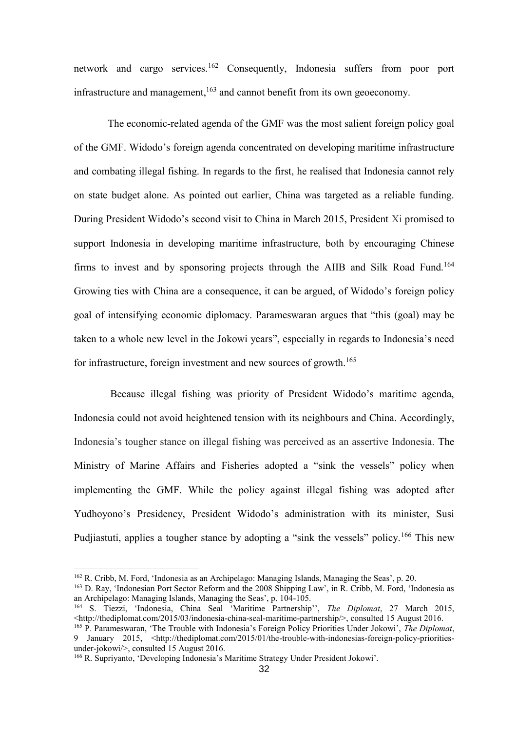network and cargo services.<sup>162</sup> Consequently, Indonesia suffers from poor port infrastructure and management,  $163$  and cannot benefit from its own geoeconomy.

The economic-related agenda of the GMF was the most salient foreign policy goal of the GMF. Widodo's foreign agenda concentrated on developing maritime infrastructure and combating illegal fishing. In regards to the first, he realised that Indonesia cannot rely on state budget alone. As pointed out earlier, China was targeted as a reliable funding. During President Widodo's second visit to China in March 2015, President Xi promised to support Indonesia in developing maritime infrastructure, both by encouraging Chinese firms to invest and by sponsoring projects through the AIIB and Silk Road Fund.<sup>164</sup> Growing ties with China are a consequence, it can be argued, of Widodo's foreign policy goal of intensifying economic diplomacy. Parameswaran argues that "this (goal) may be taken to a whole new level in the Jokowi years", especially in regards to Indonesia's need for infrastructure, foreign investment and new sources of growth.<sup>165</sup>

 Because illegal fishing was priority of President Widodo's maritime agenda, Indonesia could not avoid heightened tension with its neighbours and China. Accordingly, Indonesia's tougher stance on illegal fishing was perceived as an assertive Indonesia. The Ministry of Marine Affairs and Fisheries adopted a "sink the vessels" policy when implementing the GMF. While the policy against illegal fishing was adopted after Yudhoyono's Presidency, President Widodo's administration with its minister, Susi Pudijastuti, applies a tougher stance by adopting a "sink the vessels" policy.<sup>166</sup> This new

<sup>162</sup> R. Cribb, M. Ford, 'Indonesia as an Archipelago: Managing Islands, Managing the Seas', p. 20.

<sup>163</sup> D. Ray, 'Indonesian Port Sector Reform and the 2008 Shipping Law', in R. Cribb, M. Ford, 'Indonesia as an Archipelago: Managing Islands, Managing the Seas', p. 104-105.

<sup>164</sup> S. Tiezzi, 'Indonesia, China Seal 'Maritime Partnership'', *The Diplomat*, 27 March 2015, <http://thediplomat.com/2015/03/indonesia-china-seal-maritime-partnership/>, consulted 15 August 2016.

<sup>165</sup> P. Parameswaran, 'The Trouble with Indonesia's Foreign Policy Priorities Under Jokowi', *The Diplomat*, 9 January 2015, <http://thediplomat.com/2015/01/the-trouble-with-indonesias-foreign-policy-prioritiesunder-jokowi/>, consulted 15 August 2016.

<sup>166</sup> R. Supriyanto, 'Developing Indonesia's Maritime Strategy Under President Jokowi'.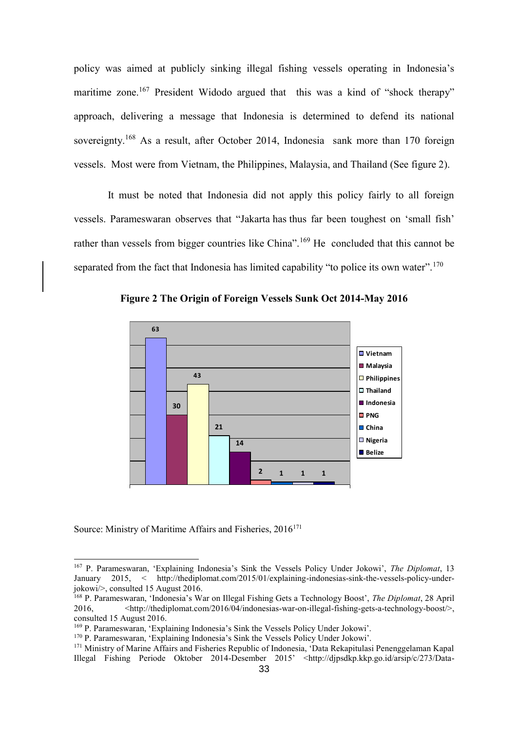policy was aimed at publicly sinking illegal fishing vessels operating in Indonesia's maritime zone.<sup>167</sup> President Widodo argued that this was a kind of "shock therapy" approach, delivering a message that Indonesia is determined to defend its national sovereignty.<sup>168</sup> As a result, after October 2014, Indonesia sank more than 170 foreign vessels. Most were from Vietnam, the Philippines, Malaysia, and Thailand (See figure 2).

It must be noted that Indonesia did not apply this policy fairly to all foreign vessels. Parameswaran observes that "Jakarta has thus far been toughest on 'small fish' rather than vessels from bigger countries like China".<sup>169</sup> He concluded that this cannot be separated from the fact that Indonesia has limited capability "to police its own water".<sup>170</sup>



**Figure 2 The Origin of Foreign Vessels Sunk Oct 2014-May 2016**

Source: Ministry of Maritime Affairs and Fisheries, 2016<sup>171</sup>

<sup>167</sup> P. Parameswaran, 'Explaining Indonesia's Sink the Vessels Policy Under Jokowi', *The Diplomat*, 13 January 2015, < http://thediplomat.com/2015/01/explaining-indonesias-sink-the-vessels-policy-underjokowi/>, consulted 15 August 2016.

<sup>168</sup> P. Parameswaran, 'Indonesia's War on Illegal Fishing Gets a Technology Boost', *The Diplomat*, 28 April 2016, <http://thediplomat.com/2016/04/indonesias-war-on-illegal-fishing-gets-a-technology-boost/>, consulted 15 August 2016.

<sup>169</sup> P. Parameswaran, 'Explaining Indonesia's Sink the Vessels Policy Under Jokowi'.

<sup>170</sup> P. Parameswaran, 'Explaining Indonesia's Sink the Vessels Policy Under Jokowi'.

<sup>&</sup>lt;sup>171</sup> Ministry of Marine Affairs and Fisheries Republic of Indonesia, 'Data Rekapitulasi Penenggelaman Kapal Illegal Fishing Periode Oktober 2014-Desember 2015' [<http://djpsdkp.kkp.go.id/arsip/c/273/Data-](http://djpsdkp.kkp.go.id/arsip/c/273/Data-Rekapitulasi-Penenggelaman-Kapal-Illegal-Fishing-periode-Oktober-2014-Desember-2015/?category_id=35)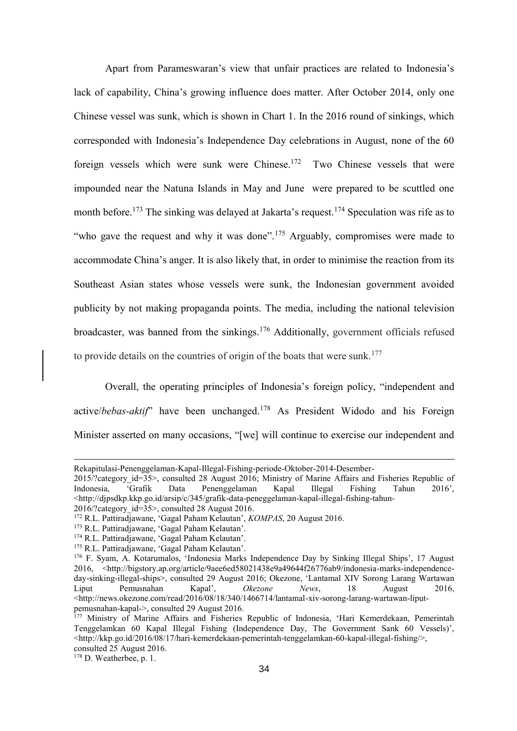Apart from Parameswaran's view that unfair practices are related to Indonesia's lack of capability, China's growing influence does matter. After October 2014, only one Chinese vessel was sunk, which is shown in Chart 1. In the 2016 round of sinkings, which corresponded with Indonesia's Independence Day celebrations in August, none of the 60 foreign vessels which were sunk were Chinese.<sup>172</sup> Two Chinese vessels that were impounded near the Natuna Islands in May and June were prepared to be scuttled one month before.<sup>173</sup> The sinking was delayed at Jakarta's request.<sup>174</sup> Speculation was rife as to "who gave the request and why it was done".<sup>175</sup> Arguably, compromises were made to accommodate China's anger. It is also likely that, in order to minimise the reaction from its Southeast Asian states whose vessels were sunk, the Indonesian government avoided publicity by not making propaganda points. The media, including the national television broadcaster, was banned from the sinkings.<sup>176</sup> Additionally, government officials refused to provide details on the countries of origin of the boats that were sunk.<sup>177</sup>

Overall, the operating principles of Indonesia's foreign policy, "independent and active/*bebas-aktif*" have been unchanged.<sup>178</sup> As President Widodo and his Foreign Minister asserted on many occasions, "[we] will continue to exercise our independent and

[Rekapitulasi-Penenggelaman-Kapal-Illegal-Fishing-periode-Oktober-2014-Desember-](http://djpsdkp.kkp.go.id/arsip/c/273/Data-Rekapitulasi-Penenggelaman-Kapal-Illegal-Fishing-periode-Oktober-2014-Desember-2015/?category_id=35)

[<sup>2015/?</sup>category\\_id=35>](http://djpsdkp.kkp.go.id/arsip/c/273/Data-Rekapitulasi-Penenggelaman-Kapal-Illegal-Fishing-periode-Oktober-2014-Desember-2015/?category_id=35), consulted 28 August 2016; Ministry of Marine Affairs and Fisheries Republic of Indonesia, 'Grafik Data Penenggelaman Kapal Illegal Fishing Tahun 2016', [<http://djpsdkp.kkp.go.id/arsip/c/345/grafik-data-peneggelaman-kapal-illegal-fishing-tahun-](http://djpsdkp.kkp.go.id/arsip/c/345/GRAFIK-DATA-PENEGGELAMAN-KAPAL-ILLEGAL-FISHING-TAHUN-2016/?category_id=35) $2016$ /?category  $id=35$ >, consulted 28 August 2016.

<sup>172</sup> R.L. Pattiradjawane, 'Gagal Paham Kelautan', *KOMPAS*, 20 August 2016.

<sup>173</sup> R.L. Pattiradjawane, 'Gagal Paham Kelautan'.

<sup>174</sup> R.L. Pattiradjawane, 'Gagal Paham Kelautan'.

<sup>175</sup> R.L. Pattiradjawane, 'Gagal Paham Kelautan'.

<sup>176</sup> F. Syam, A. Kotarumalos, 'Indonesia Marks Independence Day by Sinking Illegal Ships', 17 August 2016, [<http://bigstory.ap.org/article/9aee6ed58021438e9a49644f26776ab9/indonesia-marks-independence](http://bigstory.ap.org/article/9aee6ed58021438e9a49644f26776ab9/indonesia-marks-independence-day-sinking-illegal-ships)[day-sinking-illegal-ships>](http://bigstory.ap.org/article/9aee6ed58021438e9a49644f26776ab9/indonesia-marks-independence-day-sinking-illegal-ships), consulted 29 August 2016; Okezone, 'Lantamal XIV Sorong Larang Wartawan<br>Liput Pemusnahan Kapal', Okezone News, 18 August 2016, Liput Pemusnahan Kapal', *Okezone News*, 18 August 2016, <http://news.okezone.com/read/2016/08/18/340/1466714/lantamal-xiv-sorong-larang-wartawan-liputpemusnahan-kapal->, consulted 29 August 2016.

<sup>&</sup>lt;sup>177</sup> Ministry of Marine Affairs and Fisheries Republic of Indonesia, 'Hari Kemerdekaan, Pemerintah Tenggelamkan 60 Kapal Illegal Fishing (Independence Day, The Government Sank 60 Vessels)',  $\lt$ http://kkp.go.id/2016/08/17/hari-kemerdekaan-pemerintah-tenggelamkan-60-kapal-illegal-fishing/ $>$ , consulted 25 August 2016.

<sup>178</sup> D. Weatherbee, p. 1.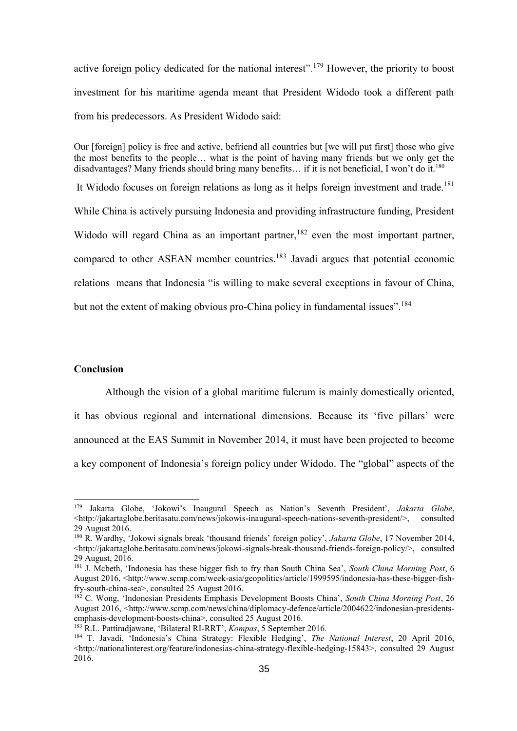active foreign policy dedicated for the national interest".<sup>179</sup> However, the priority to boost investment for his maritime agenda meant that President Widodo took a different path from his predecessors. As President Widodo said:

Our [foreign] policy is free and active, befriend all countries but [we will put first] those who give the most benefits to the people… what is the point of having many friends but we only get the disadvantages? Many friends should bring many benefits... if it is not beneficial, I won't do it.<sup>180</sup> It Widodo focuses on foreign relations as long as it helps foreign investment and trade.<sup>181</sup> While China is actively pursuing Indonesia and providing infrastructure funding, President Widodo will regard China as an important partner,  $182$  even the most important partner, compared to other ASEAN member countries.<sup>183</sup> Javadi argues that potential economic relations means that Indonesia "is willing to make several exceptions in favour of China, but not the extent of making obvious pro-China policy in fundamental issues".<sup>184</sup>

#### **Conclusion**

Although the vision of a global maritime fulcrum is mainly domestically oriented,

it has obvious regional and international dimensions. Because its 'five pillars' were announced at the EAS Summit in November 2014, it must have been projected to become a key component of Indonesia's foreign policy under Widodo. The "global" aspects of the

<sup>179</sup> Jakarta Globe, 'Jokowi's Inaugural Speech as Nation's Seventh President', *Jakarta Globe*, <http://jakartaglobe.beritasatu.com/news/jokowis-inaugural-speech-nations-seventh-president/>, consulted 29 August 2016.

<sup>180</sup> R. Wardhy, 'Jokowi signals break 'thousand friends' foreign policy', *Jakarta Globe*, 17 November 2014, [<http://jakartaglobe.beritasatu.com/news/jokowi-signals-break-thousand-friends-foreign-policy/>](http://jakartaglobe.beritasatu.com/news/jokowi-signals-break-thousand-friends-foreign-policy/), consulted 29 August, 2016.

<sup>181</sup> J. Mcbeth, 'Indonesia has these bigger fish to fry than South China Sea', *South China Morning Post*, 6 August 2016, <http://www.scmp.com/week-asia/geopolitics/article/1999595/indonesia-has-these-bigger-fishfry-south-china-sea>, consulted 25 August 2016.

<sup>182</sup> C. Wong, 'Indonesian Presidents Emphasis Development Boosts China', *South China Morning Post*, 26 August 2016, <http://www.scmp.com/news/china/diplomacy-defence/article/2004622/indonesian-presidentsemphasis-development-boosts-china>, consulted 25 August 2016.

<sup>183</sup> R.L. Pattiradjawane, 'Bilateral RI-RRT', *Kompas*, 5 September 2016.

<sup>184</sup> T. Javadi, 'Indonesia's China Strategy: Flexible Hedging', *The National Interest*, 20 April 2016, [<http://nationalinterest.org/feature/indonesias-china-strategy-flexible-hedging-15843>](http://nationalinterest.org/feature/indonesias-china-strategy-flexible-hedging-15843), consulted 29 August 2016.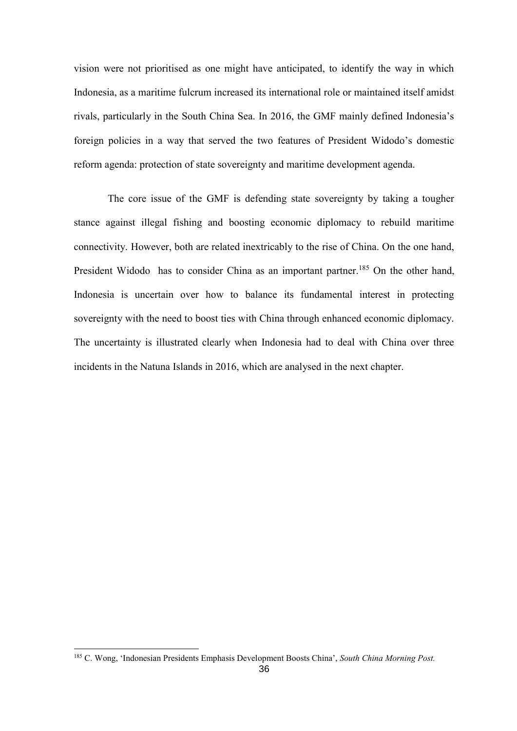vision were not prioritised as one might have anticipated, to identify the way in which Indonesia, as a maritime fulcrum increased its international role or maintained itself amidst rivals, particularly in the South China Sea. In 2016, the GMF mainly defined Indonesia's foreign policies in a way that served the two features of President Widodo's domestic reform agenda: protection of state sovereignty and maritime development agenda.

The core issue of the GMF is defending state sovereignty by taking a tougher stance against illegal fishing and boosting economic diplomacy to rebuild maritime connectivity. However, both are related inextricably to the rise of China. On the one hand, President Widodo has to consider China as an important partner.<sup>185</sup> On the other hand, Indonesia is uncertain over how to balance its fundamental interest in protecting sovereignty with the need to boost ties with China through enhanced economic diplomacy. The uncertainty is illustrated clearly when Indonesia had to deal with China over three incidents in the Natuna Islands in 2016, which are analysed in the next chapter.

<sup>185</sup> C. Wong, 'Indonesian Presidents Emphasis Development Boosts China', *South China Morning Post.*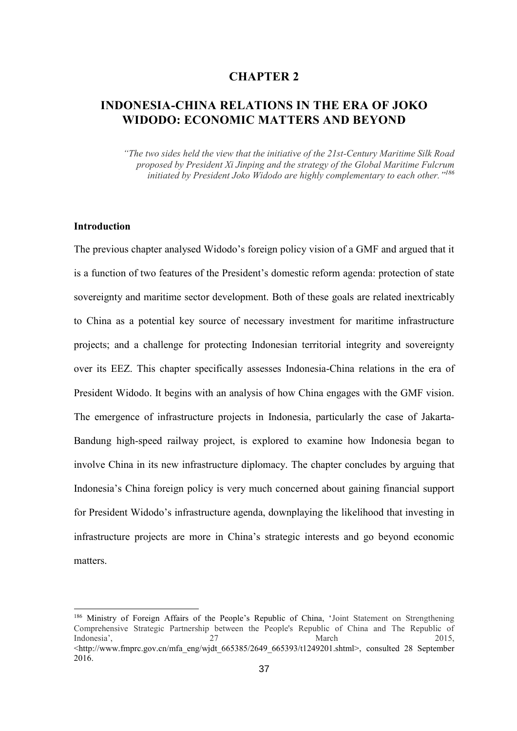# **CHAPTER 2**

# **INDONESIA-CHINA RELATIONS IN THE ERA OF JOKO WIDODO: ECONOMIC MATTERS AND BEYOND**

*"The two sides held the view that the initiative of the 21st-Century Maritime Silk Road proposed by President Xi Jinping and the strategy of the Global Maritime Fulcrum initiated by President Joko Widodo are highly complementary to each other." 186*

#### **Introduction**

1

The previous chapter analysed Widodo's foreign policy vision of a GMF and argued that it is a function of two features of the President's domestic reform agenda: protection of state sovereignty and maritime sector development. Both of these goals are related inextricably to China as a potential key source of necessary investment for maritime infrastructure projects; and a challenge for protecting Indonesian territorial integrity and sovereignty over its EEZ. This chapter specifically assesses Indonesia-China relations in the era of President Widodo. It begins with an analysis of how China engages with the GMF vision. The emergence of infrastructure projects in Indonesia, particularly the case of Jakarta-Bandung high-speed railway project, is explored to examine how Indonesia began to involve China in its new infrastructure diplomacy. The chapter concludes by arguing that Indonesia's China foreign policy is very much concerned about gaining financial support for President Widodo's infrastructure agenda, downplaying the likelihood that investing in infrastructure projects are more in China's strategic interests and go beyond economic matters.

<sup>186</sup> Ministry of Foreign Affairs of the People's Republic of China, 'Joint Statement on Strengthening Comprehensive Strategic Partnership between the People's Republic of China and The Republic of Indonesia', 2015, 2015, 2016, 2017, 2018, 2017, 2018, 2018, 2018, 2018, 2018, 2019, 2018, 2019, 2019, 2019, 2019, 2019, 2019, 2019, 2019, 2019, 2019, 2019, 2019, 2019, 2019, 2019, 2019, 2019, 2019, 2019, 2019, 2019, 2019,  $\langle$ http://www.fmprc.gov.cn/mfa\_eng/wjdt\_665385/2649\_665393/t1249201.shtml>, consulted 28 September 2016.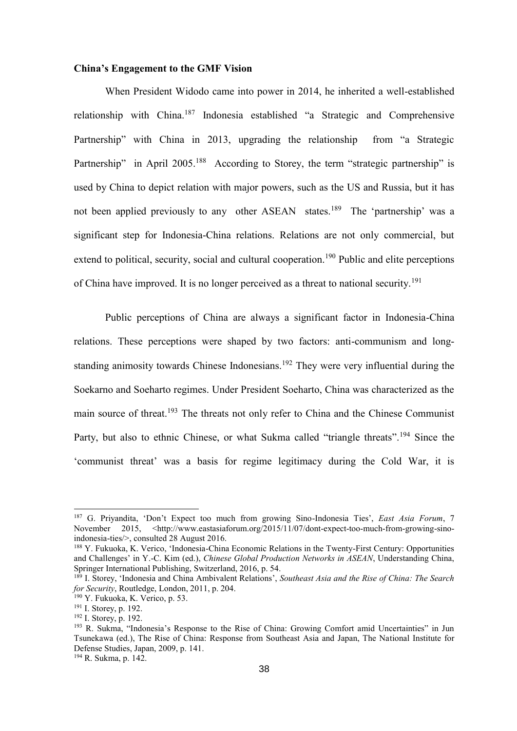#### **China's Engagement to the GMF Vision**

When President Widodo came into power in 2014, he inherited a well-established relationship with China.<sup>187</sup> Indonesia established "a Strategic and Comprehensive Partnership" with China in 2013, upgrading the relationship from "a Strategic Partnership" in April 2005.<sup>188</sup> According to Storey, the term "strategic partnership" is used by China to depict relation with major powers, such as the US and Russia, but it has not been applied previously to any other ASEAN states.<sup>189</sup> The 'partnership' was a significant step for Indonesia-China relations. Relations are not only commercial, but extend to political, security, social and cultural cooperation.<sup>190</sup> Public and elite perceptions of China have improved. It is no longer perceived as a threat to national security.<sup>191</sup>

Public perceptions of China are always a significant factor in Indonesia-China relations. These perceptions were shaped by two factors: anti-communism and longstanding animosity towards Chinese Indonesians.<sup>192</sup> They were very influential during the Soekarno and Soeharto regimes. Under President Soeharto, China was characterized as the main source of threat.<sup>193</sup> The threats not only refer to China and the Chinese Communist Party, but also to ethnic Chinese, or what Sukma called "triangle threats".<sup>194</sup> Since the 'communist threat' was a basis for regime legitimacy during the Cold War, it is

<sup>187</sup> G. Priyandita, 'Don't Expect too much from growing Sino-Indonesia Ties', *East Asia Forum*, 7 November 2015, <http://www.eastasiaforum.org/2015/11/07/dont-expect-too-much-from-growing-sinoindonesia-ties/>, consulted 28 August 2016.

<sup>188</sup> Y. Fukuoka, K. Verico, 'Indonesia-China Economic Relations in the Twenty-First Century: Opportunities and Challenges' in Y.-C. Kim (ed.), *Chinese Global Production Networks in ASEAN*, Understanding China, Springer International Publishing, Switzerland, 2016, p. 54.

<sup>189</sup> I. Storey, 'Indonesia and China Ambivalent Relations', *Southeast Asia and the Rise of China: The Search for Security*, Routledge, London, 2011, p. 204.

 $190$  Y. Fukuoka, K. Verico, p. 53.

<sup>191</sup> I. Storey, p. 192.

<sup>192</sup> I. Storey, p. 192.

<sup>193</sup> R. Sukma, "Indonesia's Response to the Rise of China: Growing Comfort amid Uncertainties" in Jun Tsunekawa (ed.), The Rise of China: Response from Southeast Asia and Japan, The National Institute for Defense Studies, Japan, 2009, p. 141.

<sup>194</sup> R. Sukma, p. 142.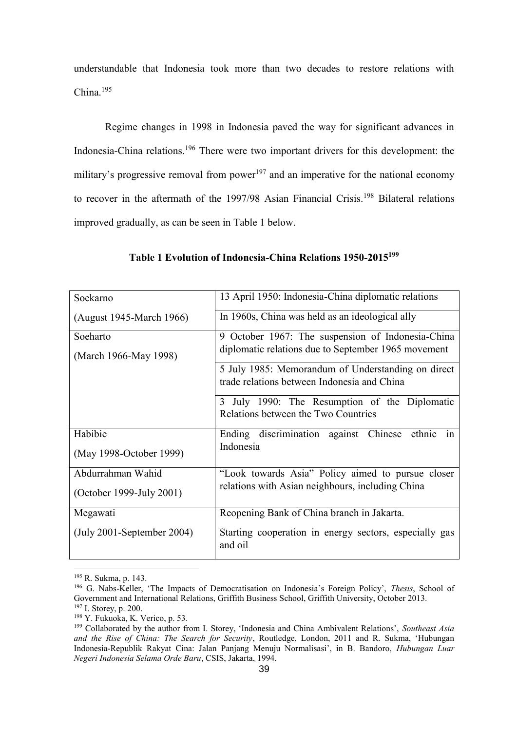understandable that Indonesia took more than two decades to restore relations with China.<sup>195</sup>

Regime changes in 1998 in Indonesia paved the way for significant advances in Indonesia-China relations.<sup>196</sup> There were two important drivers for this development: the military's progressive removal from power<sup>197</sup> and an imperative for the national economy to recover in the aftermath of the 1997/98 Asian Financial Crisis.<sup>198</sup> Bilateral relations improved gradually, as can be seen in Table 1 below.

| Soekarno                     | 13 April 1950: Indonesia-China diplomatic relations                                                      |  |  |
|------------------------------|----------------------------------------------------------------------------------------------------------|--|--|
| (August 1945-March 1966)     | In 1960s, China was held as an ideological ally                                                          |  |  |
| Soeharto                     | 9 October 1967: The suspension of Indonesia-China<br>diplomatic relations due to September 1965 movement |  |  |
| (March 1966-May 1998)        |                                                                                                          |  |  |
|                              | 5 July 1985: Memorandum of Understanding on direct<br>trade relations between Indonesia and China        |  |  |
|                              | 3 July 1990: The Resumption of the Diplomatic<br>Relations between the Two Countries                     |  |  |
| Habibie                      | Ending discrimination against Chinese ethnic<br>1n                                                       |  |  |
| (May 1998-October 1999)      | Indonesia                                                                                                |  |  |
| Abdurrahman Wahid            | "Look towards Asia" Policy aimed to pursue closer                                                        |  |  |
| (October 1999-July 2001)     | relations with Asian neighbours, including China                                                         |  |  |
| Megawati                     | Reopening Bank of China branch in Jakarta.                                                               |  |  |
| $(July 2001-September 2004)$ | Starting cooperation in energy sectors, especially gas<br>and oil                                        |  |  |

#### **Table 1 Evolution of Indonesia-China Relations 1950-2015<sup>199</sup>**

<sup>195</sup> R. Sukma, p. 143.

<sup>196</sup> G. Nabs-Keller, 'The Impacts of Democratisation on Indonesia's Foreign Policy', *Thesis*, School of Government and International Relations, Griffith Business School, Griffith University, October 2013. <sup>197</sup> I. Storey, p. 200.

<sup>198</sup> Y. Fukuoka, K. Verico, p. 53.

<sup>199</sup> Collaborated by the author from I. Storey, 'Indonesia and China Ambivalent Relations', *Southeast Asia and the Rise of China: The Search for Security*, Routledge, London, 2011 and R. Sukma, 'Hubungan Indonesia-Republik Rakyat Cina: Jalan Panjang Menuju Normalisasi', in B. Bandoro, *Hubungan Luar Negeri Indonesia Selama Orde Baru*, CSIS, Jakarta, 1994.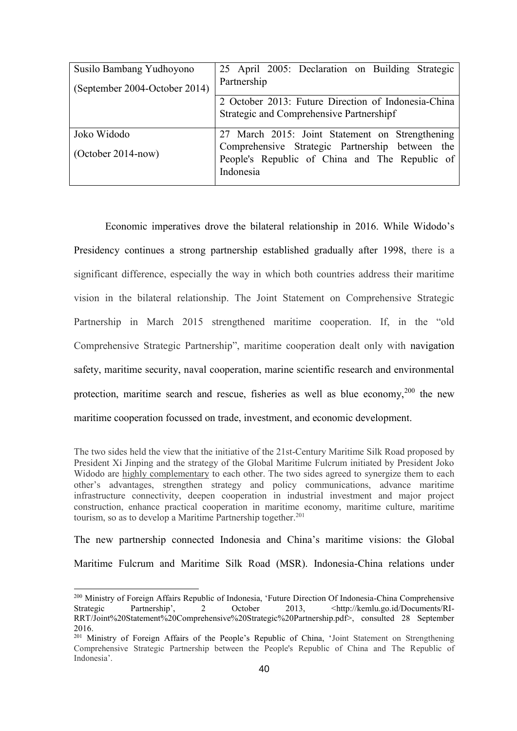| Susilo Bambang Yudhoyono      | 25 April 2005: Declaration on Building Strategic                                                               |
|-------------------------------|----------------------------------------------------------------------------------------------------------------|
| (September 2004-October 2014) | Partnership                                                                                                    |
|                               | 2 October 2013: Future Direction of Indonesia-China                                                            |
|                               | Strategic and Comprehensive Partnershipf                                                                       |
| Joko Widodo                   | 27 March 2015: Joint Statement on Strengthening                                                                |
| $(October 2014-now)$          | Comprehensive Strategic Partnership between the<br>People's Republic of China and The Republic of<br>Indonesia |

Economic imperatives drove the bilateral relationship in 2016. While Widodo's Presidency continues a strong partnership established gradually after 1998, there is a significant difference, especially the way in which both countries address their maritime vision in the bilateral relationship. The Joint Statement on Comprehensive Strategic Partnership in March 2015 strengthened maritime cooperation. If, in the "old Comprehensive Strategic Partnership", maritime cooperation dealt only with navigation safety, maritime security, naval cooperation, marine scientific research and environmental protection, maritime search and rescue, fisheries as well as blue economy,  $200$  the new maritime cooperation focussed on trade, investment, and economic development.

The two sides held the view that the initiative of the 21st-Century Maritime Silk Road proposed by President Xi Jinping and the strategy of the Global Maritime Fulcrum initiated by President Joko Widodo are highly complementary to each other. The two sides agreed to synergize them to each other's advantages, strengthen strategy and policy communications, advance maritime infrastructure connectivity, deepen cooperation in industrial investment and major project construction, enhance practical cooperation in maritime economy, maritime culture, maritime tourism, so as to develop a Maritime Partnership together.<sup>201</sup>

The new partnership connected Indonesia and China's maritime visions: the Global

Maritime Fulcrum and Maritime Silk Road (MSR). Indonesia-China relations under

<sup>200</sup> Ministry of Foreign Affairs Republic of Indonesia, 'Future Direction Of Indonesia-China Comprehensive Strategic Partnership', 2 October 2013, [<http://kemlu.go.id/Documents/RI-](http://kemlu.go.id/Documents/RI-RRT/Joint%20Statement%20Comprehensive%20Strategic%20Partnership.pdf)[RRT/Joint%20Statement%20Comprehensive%20Strategic%20Partnership.pdf>](http://kemlu.go.id/Documents/RI-RRT/Joint%20Statement%20Comprehensive%20Strategic%20Partnership.pdf), consulted 28 September 2016.

<sup>&</sup>lt;sup>201</sup> Ministry of Foreign Affairs of the People's Republic of China, 'Joint Statement on Strengthening Comprehensive Strategic Partnership between the People's Republic of China and The Republic of Indonesia'.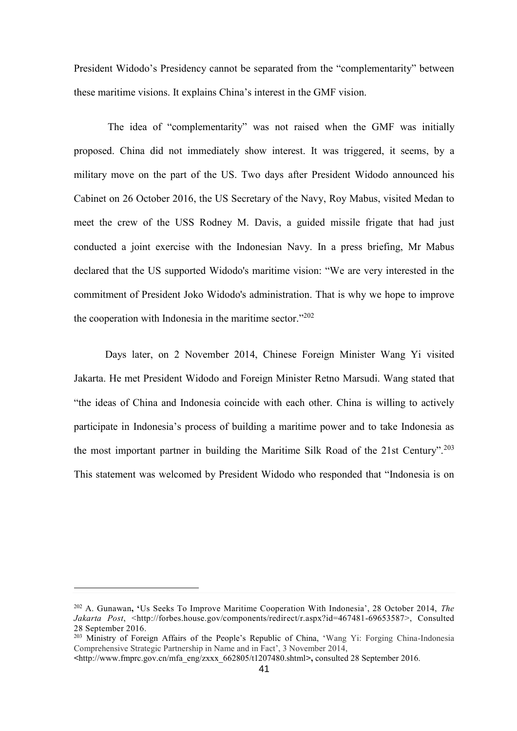President Widodo's Presidency cannot be separated from the "complementarity" between these maritime visions. It explains China's interest in the GMF vision.

The idea of "complementarity" was not raised when the GMF was initially proposed. China did not immediately show interest. It was triggered, it seems, by a military move on the part of the US. Two days after President Widodo announced his Cabinet on 26 October 2016, the US Secretary of the Navy, Roy Mabus, visited Medan to meet the crew of the USS Rodney M. Davis, a guided missile frigate that had just conducted a joint exercise with the Indonesian Navy. In a press briefing, Mr Mabus declared that the US supported Widodo's maritime vision: "We are very interested in the commitment of President Joko Widodo's administration. That is why we hope to improve the cooperation with Indonesia in the maritime sector."<sup>202</sup>

Days later, on 2 November 2014, Chinese Foreign Minister Wang Yi visited Jakarta. He met President Widodo and Foreign Minister Retno Marsudi. Wang stated that "the ideas of China and Indonesia coincide with each other. China is willing to actively participate in Indonesia's process of building a maritime power and to take Indonesia as the most important partner in building the Maritime Silk Road of the 21st Century".<sup>203</sup> This statement was welcomed by President Widodo who responded that "Indonesia is on

<sup>202</sup> A. Gunawan**, '**Us Seeks To Improve Maritime Cooperation With Indonesia', 28 October 2014, *The Jakarta Post*, [<http://forbes.house.gov/components/redirect/r.aspx?id=467481-69653587>](http://forbes.house.gov/Components/Redirect/r.aspx?ID=467481-69653587), Consulted 28 September 2016.

<sup>&</sup>lt;sup>203</sup> Ministry of Foreign Affairs of the People's Republic of China, 'Wang Yi: Forging China-Indonesia Comprehensive Strategic Partnership in Name and in Fact', 3 November 2014,

**<sup>&</sup>lt;**http://www.fmprc.gov.cn/mfa\_eng/zxxx\_662805/t1207480.shtml**>,** consulted 28 September 2016.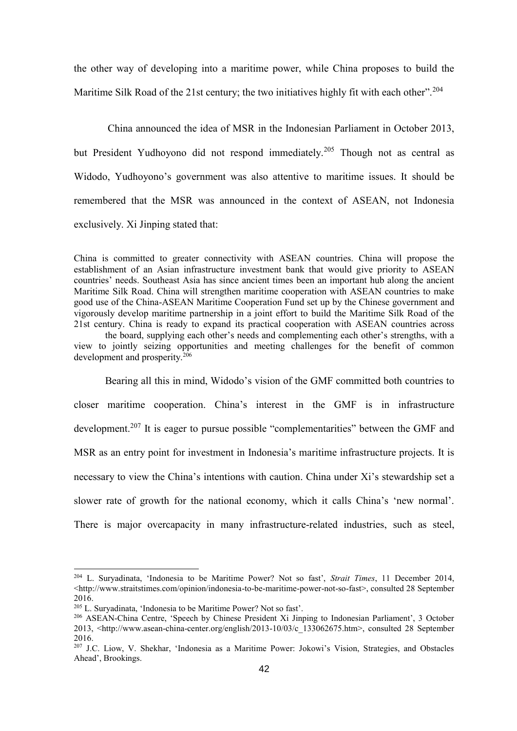the other way of developing into a maritime power, while China proposes to build the Maritime Silk Road of the 21st century; the two initiatives highly fit with each other".<sup>204</sup>

China announced the idea of MSR in the Indonesian Parliament in October 2013, but President Yudhoyono did not respond immediately.<sup>205</sup> Though not as central as Widodo, Yudhoyono's government was also attentive to maritime issues. It should be remembered that the MSR was announced in the context of ASEAN, not Indonesia exclusively. Xi Jinping stated that:

China is committed to greater connectivity with ASEAN countries. China will propose the establishment of an Asian infrastructure investment bank that would give priority to ASEAN countries' needs. Southeast Asia has since ancient times been an important hub along the ancient Maritime Silk Road. China will strengthen maritime cooperation with ASEAN countries to make good use of the China-ASEAN Maritime Cooperation Fund set up by the Chinese government and vigorously develop maritime partnership in a joint effort to build the Maritime Silk Road of the 21st century. China is ready to expand its practical cooperation with ASEAN countries across the board, supplying each other's needs and complementing each other's strengths, with a view to jointly seizing opportunities and meeting challenges for the benefit of common development and prosperity.<sup>206</sup>

Bearing all this in mind, Widodo's vision of the GMF committed both countries to closer maritime cooperation. China's interest in the GMF is in infrastructure development.<sup>207</sup> It is eager to pursue possible "complementarities" between the GMF and MSR as an entry point for investment in Indonesia's maritime infrastructure projects. It is necessary to view the China's intentions with caution. China under Xi's stewardship set a slower rate of growth for the national economy, which it calls China's 'new normal'. There is major overcapacity in many infrastructure-related industries, such as steel,

<sup>204</sup> L. Suryadinata, 'Indonesia to be Maritime Power? Not so fast', *Strait Times*, 11 December 2014, <http://www.straitstimes.com/opinion/indonesia-to-be-maritime-power-not-so-fast>, consulted 28 September 2016.

<sup>205</sup> L. Suryadinata, 'Indonesia to be Maritime Power? Not so fast'.

<sup>206</sup> ASEAN-China Centre, 'Speech by Chinese President Xi Jinping to Indonesian Parliament', 3 October 2013, [<http://www.asean-china-center.org/english/2013-10/03/c\\_133062675.htm>](http://www.asean-china-center.org/english/2013-10/03/c_133062675.htm), consulted 28 September 2016.

<sup>207</sup> J.C. Liow, V. Shekhar, 'Indonesia as a Maritime Power: Jokowi's Vision, Strategies, and Obstacles Ahead', Brookings.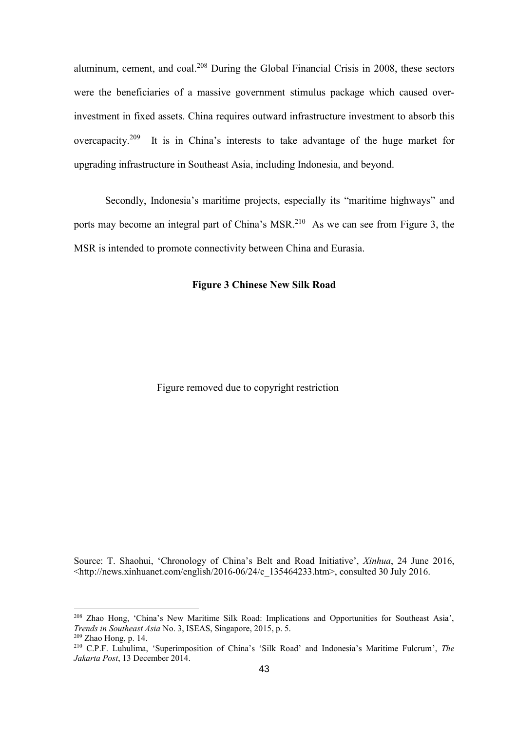aluminum, cement, and coal.<sup>208</sup> During the Global Financial Crisis in 2008, these sectors were the beneficiaries of a massive government stimulus package which caused overinvestment in fixed assets. China requires outward infrastructure investment to absorb this overcapacity.<sup>209</sup> It is in China's interests to take advantage of the huge market for upgrading infrastructure in Southeast Asia, including Indonesia, and beyond.

Secondly, Indonesia's maritime projects, especially its "maritime highways" and ports may become an integral part of China's MSR.<sup>210</sup> As we can see from Figure 3, the MSR is intended to promote connectivity between China and Eurasia.

#### **Figure 3 Chinese New Silk Road**

Figure removed due to copyright restriction

Source: T. Shaohui, 'Chronology of China's Belt and Road Initiative', *Xinhua*, 24 June 2016, <http://news.xinhuanet.com/english/2016-06/24/c\_135464233.htm>, consulted 30 July 2016.

<sup>208</sup> Zhao Hong, 'China's New Maritime Silk Road: Implications and Opportunities for Southeast Asia', *Trends in Southeast Asia* No. 3, ISEAS, Singapore, 2015, p. 5. <sup>209</sup> Zhao Hong, p. 14.

<sup>210</sup> C.P.F. Luhulima, 'Superimposition of China's 'Silk Road' and Indonesia's Maritime Fulcrum', *The Jakarta Post*, 13 December 2014.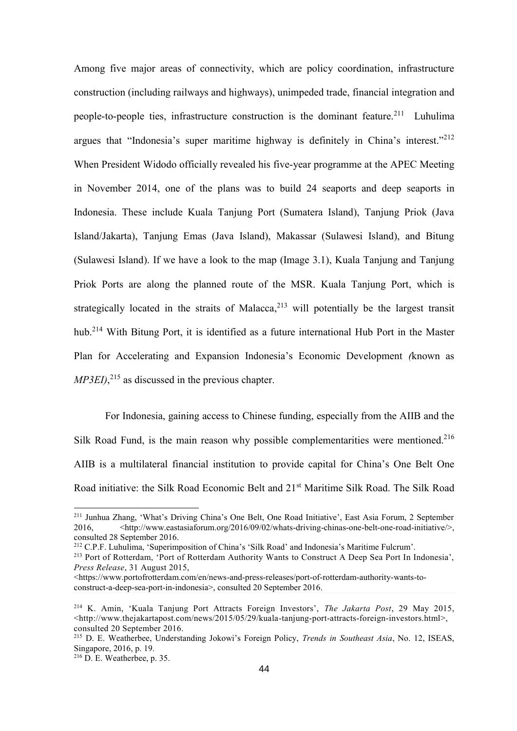Among five major areas of connectivity, which are policy coordination, infrastructure construction (including railways and highways), unimpeded trade, financial integration and people-to-people ties, infrastructure construction is the dominant feature.<sup>211</sup> Luhulima argues that "Indonesia's super maritime highway is definitely in China's interest."<sup>212</sup> When President Widodo officially revealed his five-year programme at the APEC Meeting in November 2014, one of the plans was to build 24 seaports and deep seaports in Indonesia. These include Kuala Tanjung Port (Sumatera Island), Tanjung Priok (Java Island/Jakarta), Tanjung Emas (Java Island), Makassar (Sulawesi Island), and Bitung (Sulawesi Island). If we have a look to the map (Image 3.1), Kuala Tanjung and Tanjung Priok Ports are along the planned route of the MSR. Kuala Tanjung Port, which is strategically located in the straits of Malacca,<sup>213</sup> will potentially be the largest transit hub.<sup>214</sup> With Bitung Port, it is identified as a future international Hub Port in the Master Plan for Accelerating and Expansion Indonesia's Economic Development *(*known as *MP3EI)*, <sup>215</sup> as discussed in the previous chapter.

For Indonesia, gaining access to Chinese funding, especially from the AIIB and the Silk Road Fund, is the main reason why possible complementarities were mentioned.<sup>216</sup> AIIB is a multilateral financial institution to provide capital for China's One Belt One Road initiative: the Silk Road Economic Belt and 21<sup>st</sup> Maritime Silk Road. The Silk Road

<sup>211</sup> Junhua Zhang, 'What's Driving China's One Belt, One Road Initiative', East Asia Forum, 2 September 2016,  $\leq$ http://www.eastasiaforum.org/2016/09/02/whats-driving-chinas-one-belt-one-road-initiative/>, consulted 28 September 2016.

<sup>212</sup> C.P.F. Luhulima, 'Superimposition of China's 'Silk Road' and Indonesia's Maritime Fulcrum'.

<sup>213</sup> Port of Rotterdam, 'Port of Rotterdam Authority Wants to Construct A Deep Sea Port In Indonesia', *Press Release*, 31 August 2015,

<sup>&</sup>lt;https://www.portofrotterdam.com/en/news-and-press-releases/port-of-rotterdam-authority-wants-toconstruct-a-deep-sea-port-in-indonesia>, consulted 20 September 2016.

<sup>214</sup> K. Amin, 'Kuala Tanjung Port Attracts Foreign Investors', *The Jakarta Post*, 29 May 2015, <http://www.thejakartapost.com/news/2015/05/29/kuala-tanjung-port-attracts-foreign-investors.html>, consulted 20 September 2016.

<sup>215</sup> D. E. Weatherbee, Understanding Jokowi's Foreign Policy, *Trends in Southeast Asia*, No. 12, ISEAS, Singapore, 2016, p. 19.

<sup>216</sup> D. E. Weatherbee, p. 35.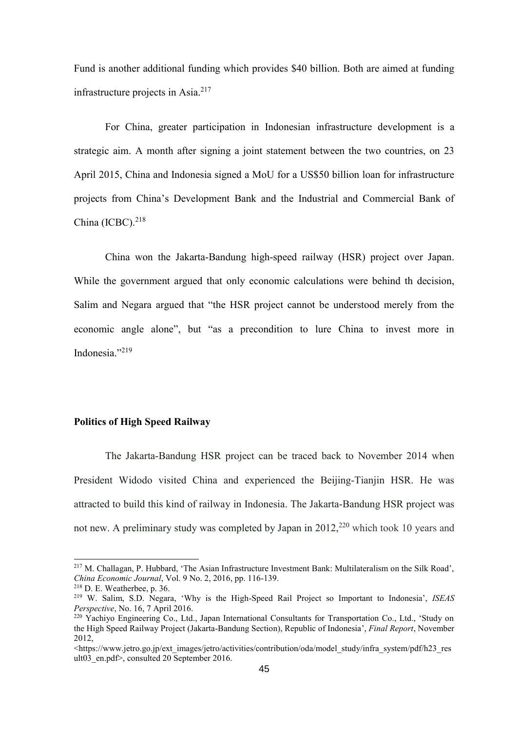Fund is another additional funding which provides \$40 billion. Both are aimed at funding infrastructure projects in  $\text{Asia.}^{217}$ 

For China, greater participation in Indonesian infrastructure development is a strategic aim. A month after signing a joint statement between the two countries, on 23 April 2015, China and Indonesia signed a MoU for a US\$50 billion loan for infrastructure projects from China's Development Bank and the Industrial and Commercial Bank of China (ICBC). 218

China won the Jakarta-Bandung high-speed railway (HSR) project over Japan. While the government argued that only economic calculations were behind th decision, Salim and Negara argued that "the HSR project cannot be understood merely from the economic angle alone", but "as a precondition to lure China to invest more in Indonesia."<sup>219</sup>

#### **Politics of High Speed Railway**

The Jakarta-Bandung HSR project can be traced back to November 2014 when President Widodo visited China and experienced the Beijing-Tianjin HSR. He was attracted to build this kind of railway in Indonesia. The Jakarta-Bandung HSR project was not new. A preliminary study was completed by Japan in  $2012$ <sup>220</sup> which took 10 years and

<sup>&</sup>lt;sup>217</sup> M. Challagan, P. Hubbard, 'The Asian Infrastructure Investment Bank: Multilateralism on the Silk Road', *China Economic Journal*, Vol. 9 No. 2, 2016, pp. 116-139.

<sup>218</sup> D. E. Weatherbee, p. 36.

<sup>219</sup> W. Salim, S.D. Negara, 'Why is the High-Speed Rail Project so Important to Indonesia', *ISEAS Perspective*, No. 16, 7 April 2016.

<sup>&</sup>lt;sup>220</sup> Yachiyo Engineering Co., Ltd., Japan International Consultants for Transportation Co., Ltd., 'Study on the High Speed Railway Project (Jakarta-Bandung Section), Republic of Indonesia', *Final Report*, November 2012,

<sup>&</sup>lt;https://www.jetro.go.jp/ext\_images/jetro/activities/contribution/oda/model\_study/infra\_system/pdf/h23\_res ult03 en.pdf>, consulted 20 September 2016.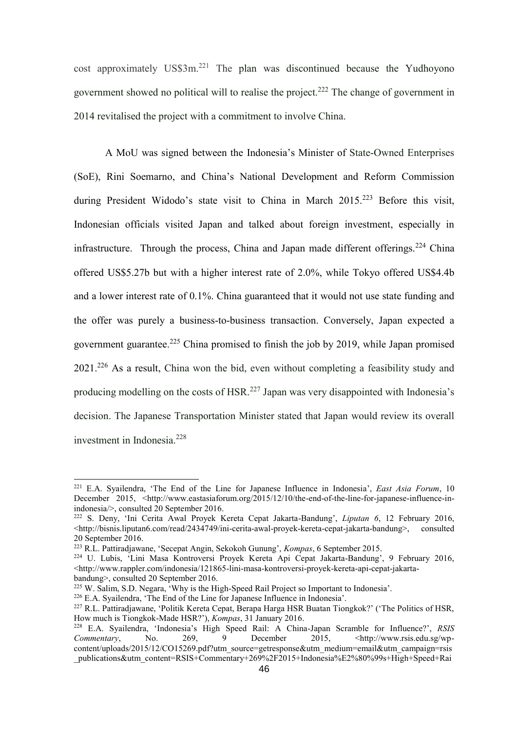cost approximately US\$3m.<sup>221</sup> The plan was discontinued because the Yudhoyono government showed no political will to realise the project.<sup>222</sup> The change of government in 2014 revitalised the project with a commitment to involve China.

A MoU was signed between the Indonesia's Minister of State-Owned Enterprises (SoE), Rini Soemarno, and China's National Development and Reform Commission during President Widodo's state visit to China in March  $2015$ <sup>223</sup> Before this visit, Indonesian officials visited Japan and talked about foreign investment, especially in infrastructure. Through the process, China and Japan made different offerings.<sup>224</sup> China offered US\$5.27b but with a higher interest rate of 2.0%, while Tokyo offered US\$4.4b and a lower interest rate of 0.1%. China guaranteed that it would not use state funding and the offer was purely a business-to-business transaction. Conversely, Japan expected a government guarantee. <sup>225</sup> China promised to finish the job by 2019, while Japan promised 2021.<sup>226</sup> As a result, China won the bid, even without completing a feasibility study and producing modelling on the costs of  $HSR$ <sup>227</sup> Japan was very disappointed with Indonesia's decision. The Japanese Transportation Minister stated that Japan would review its overall investment in Indonesia. $228$ 

<sup>221</sup> E.A. Syailendra, 'The End of the Line for Japanese Influence in Indonesia', *East Asia Forum*, 10 December 2015, <http://www.eastasiaforum.org/2015/12/10/the-end-of-the-line-for-japanese-influence-inindonesia/>, consulted 20 September 2016.

<sup>222</sup> S. Deny, 'Ini Cerita Awal Proyek Kereta Cepat Jakarta-Bandung', *Liputan 6*, 12 February 2016, <http://bisnis.liputan6.com/read/2434749/ini-cerita-awal-proyek-kereta-cepat-jakarta-bandung>, consulted 20 September 2016.

<sup>223</sup> R.L. Pattiradjawane, 'Secepat Angin, Sekokoh Gunung', *Kompas*, 6 September 2015.

<sup>224</sup> U. Lubis, 'Lini Masa Kontroversi Proyek Kereta Api Cepat Jakarta-Bandung', 9 February 2016, <http://www.rappler.com/indonesia/121865-lini-masa-kontroversi-proyek-kereta-api-cepat-jakartabandung>, consulted 20 September 2016.

<sup>225</sup> W. Salim, S.D. Negara, 'Why is the High-Speed Rail Project so Important to Indonesia'.

<sup>226</sup> E.A. Syailendra, 'The End of the Line for Japanese Influence in Indonesia'.

<sup>227</sup> R.L. Pattiradjawane, 'Politik Kereta Cepat, Berapa Harga HSR Buatan Tiongkok?' ('The Politics of HSR, How much is Tiongkok-Made HSR?'), *Kompas*, 31 January 2016.

<sup>228</sup> E.A. Syailendra, 'Indonesia's High Speed Rail: A China-Japan Scramble for Influence?', *RSIS Commentary*, No. 269, 9 December 2015, <http://www.rsis.edu.sg/wpcontent/uploads/2015/12/CO15269.pdf?utm\_source=getresponse&utm\_medium=email&utm\_campaign=rsis \_publications&utm\_content=RSIS+Commentary+269%2F2015+Indonesia%E2%80%99s+High+Speed+Rai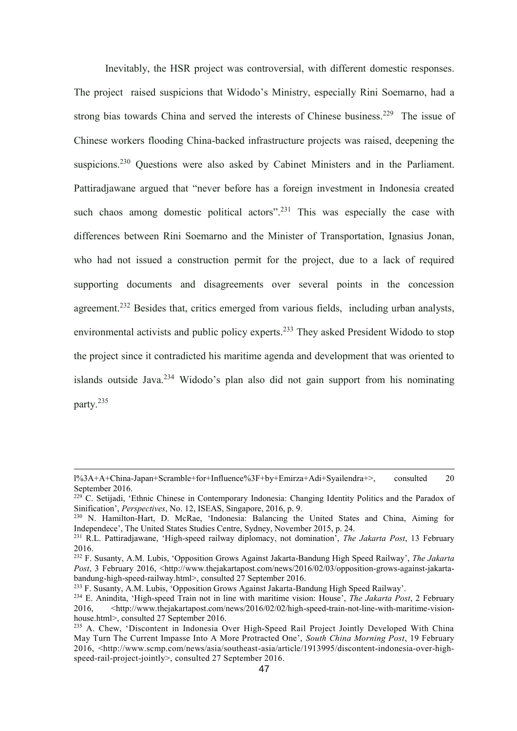Inevitably, the HSR project was controversial, with different domestic responses. The project raised suspicions that Widodo's Ministry, especially Rini Soemarno, had a strong bias towards China and served the interests of Chinese business.<sup>229</sup> The issue of Chinese workers flooding China-backed infrastructure projects was raised, deepening the suspicions.<sup>230</sup> Questions were also asked by Cabinet Ministers and in the Parliament. Pattiradjawane argued that "never before has a foreign investment in Indonesia created such chaos among domestic political actors".<sup>231</sup> This was especially the case with differences between Rini Soemarno and the Minister of Transportation, Ignasius Jonan, who had not issued a construction permit for the project, due to a lack of required supporting documents and disagreements over several points in the concession agreement.<sup>232</sup> Besides that, critics emerged from various fields, including urban analysts, environmental activists and public policy experts.<sup>233</sup> They asked President Widodo to stop the project since it contradicted his maritime agenda and development that was oriented to islands outside Java.<sup>234</sup> Widodo's plan also did not gain support from his nominating party.<sup>235</sup>

l%3A+A+China-Japan+Scramble+for+Influence%3F+by+Emirza+Adi+Syailendra+>, consulted 20 September 2016.

 $229^{\circ}$  C. Setijadi, 'Ethnic Chinese in Contemporary Indonesia: Changing Identity Politics and the Paradox of Sinification', *Perspectives*, No. 12, ISEAS, Singapore, 2016, p. 9.

<sup>230</sup> N. Hamilton-Hart, D. McRae, 'Indonesia: Balancing the United States and China, Aiming for Independece', The United States Studies Centre, Sydney, November 2015, p. 24.

<sup>231</sup> R.L. Pattiradjawane, 'High-speed railway diplomacy, not domination', *The Jakarta Post*, 13 February 2016.

<sup>232</sup> F. Susanty, A.M. Lubis, 'Opposition Grows Against Jakarta-Bandung High Speed Railway', *The Jakarta Post*, 3 February 2016, <http://www.thejakartapost.com/news/2016/02/03/opposition-grows-against-jakartabandung-high-speed-railway.html>, consulted 27 September 2016.

<sup>233</sup> F. Susanty, A.M. Lubis, 'Opposition Grows Against Jakarta-Bandung High Speed Railway'.

<sup>234</sup> E. Anindita, 'High-speed Train not in line with maritime vision: House', *The Jakarta Post*, 2 February 2016, <http://www.thejakartapost.com/news/2016/02/02/high-speed-train-not-line-with-maritime-visionhouse.html>, consulted 27 September 2016.

<sup>&</sup>lt;sup>235</sup> A. Chew, 'Discontent in Indonesia Over High-Speed Rail Project Jointly Developed With China May Turn The Current Impasse Into A More Protracted One', *South China Morning Post*, 19 February 2016, <http://www.scmp.com/news/asia/southeast-asia/article/1913995/discontent-indonesia-over-highspeed-rail-project-jointly>, consulted 27 September 2016.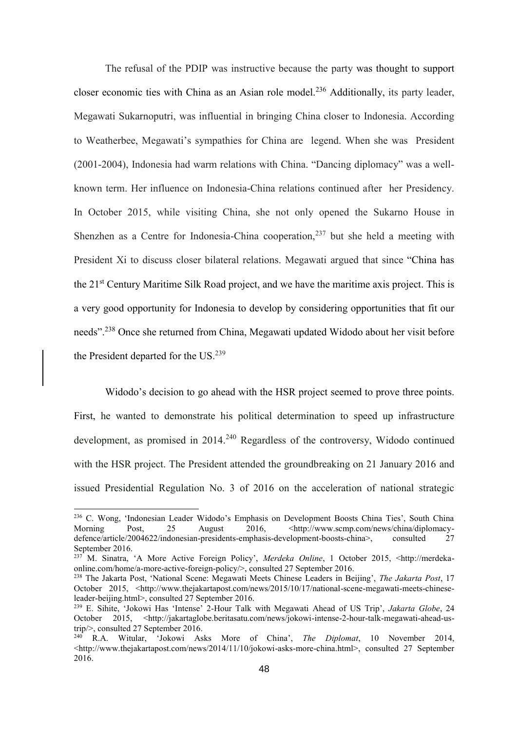The refusal of the PDIP was instructive because the party was thought to support closer economic ties with China as an Asian role model.<sup>236</sup> Additionally, its party leader, Megawati Sukarnoputri, was influential in bringing China closer to Indonesia. According to Weatherbee, Megawati's sympathies for China are legend. When she was President (2001-2004), Indonesia had warm relations with China. "Dancing diplomacy" was a wellknown term. Her influence on Indonesia-China relations continued after her Presidency. In October 2015, while visiting China, she not only opened the Sukarno House in Shenzhen as a Centre for Indonesia-China cooperation,  $237$  but she held a meeting with President Xi to discuss closer bilateral relations. Megawati argued that since "China has the 21st Century Maritime Silk Road project, and we have the maritime axis project. This is a very good opportunity for Indonesia to develop by considering opportunities that fit our needs".<sup>238</sup> Once she returned from China, Megawati updated Widodo about her visit before the President departed for the US.<sup>239</sup>

Widodo's decision to go ahead with the HSR project seemed to prove three points. First, he wanted to demonstrate his political determination to speed up infrastructure development, as promised in 2014.<sup>240</sup> Regardless of the controversy, Widodo continued with the HSR project. The President attended the groundbreaking on 21 January 2016 and issued Presidential Regulation No. 3 of 2016 on the acceleration of national strategic

<sup>&</sup>lt;sup>236</sup> C. Wong, 'Indonesian Leader Widodo's Emphasis on Development Boosts China Ties', South China Morning Post, 25 August 2016, <http://www.scmp.com/news/china/diplomacydefence/article/2004622/indonesian-presidents-emphasis-development-boosts-china>, consulted 27 September 2016.

<sup>237</sup> M. Sinatra, 'A More Active Foreign Policy', *Merdeka Online*, 1 October 2015, <http://merdekaonline.com/home/a-more-active-foreign-policy/>, consulted 27 September 2016.

<sup>238</sup> The Jakarta Post, 'National Scene: Megawati Meets Chinese Leaders in Beijing', *The Jakarta Post*, 17 October 2015, <http://www.thejakartapost.com/news/2015/10/17/national-scene-megawati-meets-chineseleader-beijing.html>, consulted 27 September 2016.

<sup>239</sup> E. Sihite, 'Jokowi Has 'Intense' 2-Hour Talk with Megawati Ahead of US Trip', *Jakarta Globe*, 24 October 2015, <http://jakartaglobe.beritasatu.com/news/jokowi-intense-2-hour-talk-megawati-ahead-ustrip/>, consulted 27 September 2016.

<sup>240</sup> R.A. Witular, 'Jokowi Asks More of China', *The Diplomat*, 10 November 2014, <http://www.thejakartapost.com/news/2014/11/10/jokowi-asks-more-china.html>, consulted 27 September 2016.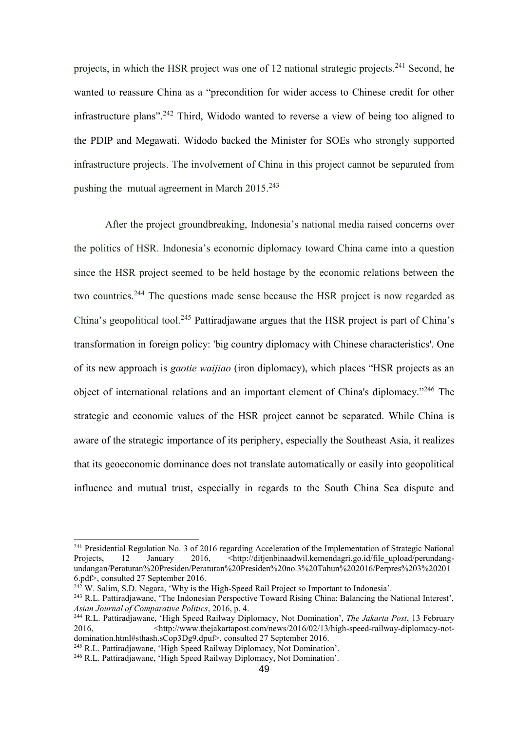projects, in which the HSR project was one of 12 national strategic projects.<sup>241</sup> Second, he wanted to reassure China as a "precondition for wider access to Chinese credit for other infrastructure plans".<sup>242</sup> Third, Widodo wanted to reverse a view of being too aligned to the PDIP and Megawati. Widodo backed the Minister for SOEs who strongly supported infrastructure projects. The involvement of China in this project cannot be separated from pushing the mutual agreement in March  $2015.<sup>243</sup>$ 

After the project groundbreaking, Indonesia's national media raised concerns over the politics of HSR. Indonesia's economic diplomacy toward China came into a question since the HSR project seemed to be held hostage by the economic relations between the two countries.<sup>244</sup> The questions made sense because the HSR project is now regarded as China's geopolitical tool.<sup>245</sup> Pattiradjawane argues that the HSR project is part of China's transformation in foreign policy: 'big country diplomacy with Chinese characteristics'. One of its new approach is *gaotie waijiao* (iron diplomacy), which places "HSR projects as an object of international relations and an important element of China's diplomacy."<sup>246</sup> The strategic and economic values of the HSR project cannot be separated. While China is aware of the strategic importance of its periphery, especially the Southeast Asia, it realizes that its geoeconomic dominance does not translate automatically or easily into geopolitical influence and mutual trust, especially in regards to the South China Sea dispute and

<sup>&</sup>lt;sup>241</sup> Presidential Regulation No. 3 of 2016 regarding Acceleration of the Implementation of Strategic National Projects. 12 January 2016. <http://ditienbinaadwil.kemendagri.go.jd/file upload/perundang-Projects, 12 January 2016, <http://ditjenbinaadwil.kemendagri.go.id/file\_upload/perundangundangan/Peraturan%20Presiden/Peraturan%20Presiden%20no.3%20Tahun%202016/Perpres%203%20201 6.pdf>, consulted 27 September 2016.

 $^{242}$  W. Salim, S.D. Negara, 'Why is the High-Speed Rail Project so Important to Indonesia'.

<sup>243</sup> R.L. Pattiradjawane, 'The Indonesian Perspective Toward Rising China: Balancing the National Interest', *Asian Journal of Comparative Politics*, 2016, p. 4.

<sup>244</sup> R.L. Pattiradjawane, 'High Speed Railway Diplomacy, Not Domination', *The Jakarta Post*, 13 February 2016, <http://www.thejakartapost.com/news/2016/02/13/high-speed-railway-diplomacy-notdomination.html#sthash.sCop3Dg9.dpuf>, consulted 27 September 2016.

<sup>245</sup> R.L. Pattiradjawane, 'High Speed Railway Diplomacy, Not Domination'.

<sup>246</sup> R.L. Pattiradjawane, 'High Speed Railway Diplomacy, Not Domination'.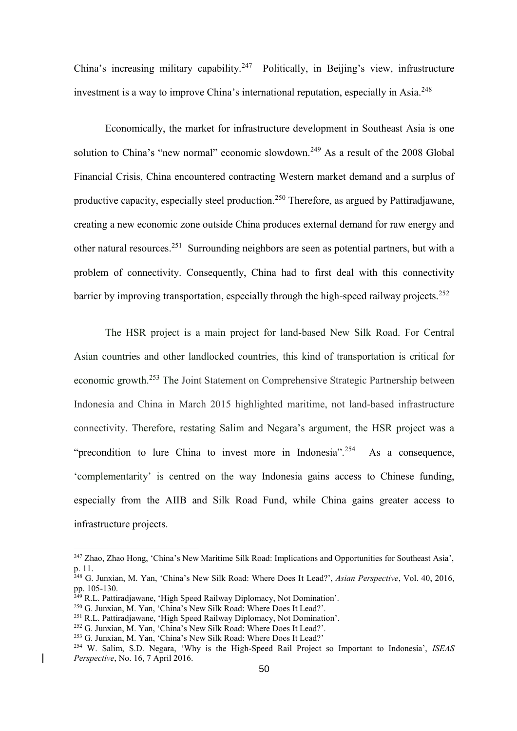China's increasing military capability.<sup>247</sup> Politically, in Beijing's view, infrastructure investment is a way to improve China's international reputation, especially in Asia. 248

Economically, the market for infrastructure development in Southeast Asia is one solution to China's "new normal" economic slowdown.<sup>249</sup> As a result of the 2008 Global Financial Crisis, China encountered contracting Western market demand and a surplus of productive capacity, especially steel production.<sup>250</sup> Therefore, as argued by Pattiradjawane, creating a new economic zone outside China produces external demand for raw energy and other natural resources.<sup>251</sup> Surrounding neighbors are seen as potential partners, but with a problem of connectivity. Consequently, China had to first deal with this connectivity barrier by improving transportation, especially through the high-speed railway projects.<sup>252</sup>

The HSR project is a main project for land-based New Silk Road. For Central Asian countries and other landlocked countries, this kind of transportation is critical for economic growth.<sup>253</sup> The Joint Statement on Comprehensive Strategic Partnership between Indonesia and China in March 2015 highlighted maritime, not land-based infrastructure connectivity. Therefore, restating Salim and Negara's argument, the HSR project was a "precondition to lure China to invest more in Indonesia".<sup>254</sup> As a consequence, 'complementarity' is centred on the way Indonesia gains access to Chinese funding, especially from the AIIB and Silk Road Fund, while China gains greater access to infrastructure projects.

<sup>247</sup> Zhao, Zhao Hong, 'China's New Maritime Silk Road: Implications and Opportunities for Southeast Asia', p. 11.

<sup>248</sup> G. Junxian, M. Yan, 'China's New Silk Road: Where Does It Lead?', *Asian Perspective*, Vol. 40, 2016, pp. 105-130.

<sup>&</sup>lt;sup>249</sup> R.L. Pattiradjawane, 'High Speed Railway Diplomacy, Not Domination'.

<sup>250</sup> G. Junxian, M. Yan, 'China's New Silk Road: Where Does It Lead?'.

<sup>251</sup> R.L. Pattiradjawane, 'High Speed Railway Diplomacy, Not Domination'.

<sup>252</sup> G. Junxian, M. Yan, 'China's New Silk Road: Where Does It Lead?'.

<sup>253</sup> G. Junxian, M. Yan, 'China's New Silk Road: Where Does It Lead?'

<sup>254</sup> W. Salim, S.D. Negara, 'Why is the High-Speed Rail Project so Important to Indonesia', *ISEAS Perspective*, No. 16, 7 April 2016.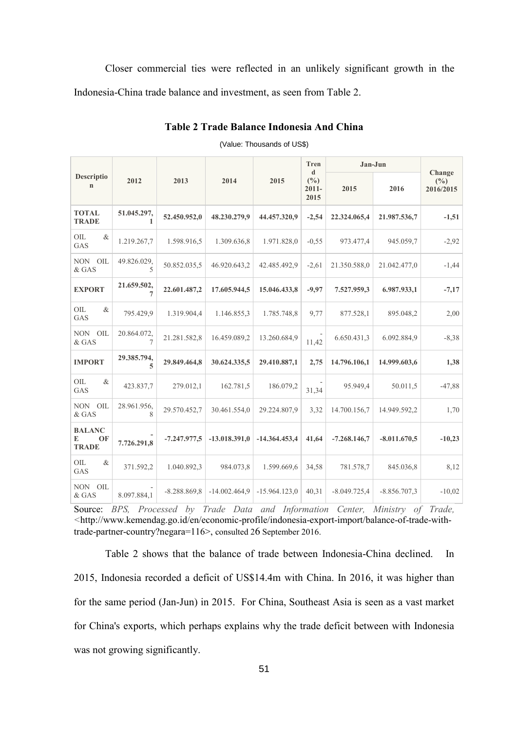Closer commercial ties were reflected in an unlikely significant growth in the Indonesia-China trade balance and investment, as seen from Table 2.

|                                          | 2012                                    | 2013           | 2014            | 2015            | Tren<br>$\mathbf d$<br>$(\%)$<br>$2011 -$<br>2015 | Jan-Jun        |                |                               |
|------------------------------------------|-----------------------------------------|----------------|-----------------|-----------------|---------------------------------------------------|----------------|----------------|-------------------------------|
| Descriptio<br>$\mathbf n$                |                                         |                |                 |                 |                                                   | 2015           | 2016           | Change<br>$(\%)$<br>2016/2015 |
| <b>TOTAL</b><br><b>TRADE</b>             | 51.045.297,                             | 52.450.952,0   | 48.230.279,9    | 44.457.320,9    | $-2,54$                                           | 22.324.065,4   | 21.987.536,7   | $-1,51$                       |
| OIL<br>$\&$<br><b>GAS</b>                | 1.219.267,7                             | 1.598.916,5    | 1.309.636,8     | 1.971.828,0     | $-0.55$                                           | 973.477,4      | 945.059,7      | $-2,92$                       |
| NON OIL<br>$\&$ GAS                      | 49.826.029,<br>$\overline{\mathcal{L}}$ | 50.852.035,5   | 46.920.643,2    | 42.485.492,9    | $-2,61$                                           | 21.350.588,0   | 21.042.477,0   | $-1,44$                       |
| <b>EXPORT</b>                            | 21.659.502,<br>$\overline{7}$           | 22.601.487,2   | 17.605.944,5    | 15.046.433,8    | $-9,97$                                           | 7.527.959,3    | 6.987.933,1    | $-7,17$                       |
| OIL<br>$\&$<br>GAS                       | 795.429,9                               | 1.319.904,4    | 1.146.855,3     | 1.785.748,8     | 9,77                                              | 877.528,1      | 895.048,2      | 2,00                          |
| <b>NON</b><br>OIL<br>& GAS               | 20.864.072,<br>$\tau$                   | 21.281.582,8   | 16.459.089,2    | 13.260.684,9    | 11,42                                             | 6.650.431,3    | 6.092.884,9    | $-8,38$                       |
| <b>IMPORT</b>                            | 29.385.794,<br>5                        | 29.849.464,8   | 30.624.335,5    | 29.410.887,1    | 2,75                                              | 14.796.106,1   | 14.999.603,6   | 1,38                          |
| $\&$<br>OIL<br>GAS                       | 423.837,7                               | 279.012,1      | 162.781,5       | 186.079,2       | 31,34                                             | 95.949,4       | 50.011,5       | $-47,88$                      |
| <b>NON</b><br>OIL<br>& GAS               | 28.961.956,<br>8                        | 29.570.452,7   | 30.461.554,0    | 29.224.807,9    | 3,32                                              | 14.700.156,7   | 14.949.592,2   | 1,70                          |
| <b>BALANC</b><br>E<br>OF<br><b>TRADE</b> | 7.726.291,8                             | $-7.247.977.5$ | $-13.018.391.0$ | $-14.364.453,4$ | 41,64                                             | $-7.268.146,7$ | $-8.011.670,5$ | $-10,23$                      |
| OIL<br>$\&$<br>GAS                       | 371.592,2                               | 1.040.892,3    | 984.073,8       | 1.599.669,6     | 34,58                                             | 781.578,7      | 845.036,8      | 8,12                          |
| <b>NON</b><br>OIL<br>& GAS               | 8.097.884,1                             | $-8.288.869,8$ | $-14.002.464,9$ | $-15.964.123,0$ | 40,31                                             | $-8.049.725,4$ | $-8.856.707,3$ | $-10,02$                      |

**Table 2 Trade Balance Indonesia And China**

#### (Value: Thousands of US\$)

Source: *BPS, Processed by Trade Data and Information Center, Ministry of Trade, <*http://www.kemendag.go.id/en/economic-profile/indonesia-export-import/balance-of-trade-withtrade-partner-country?negara=116>, consulted 26 September 2016.

Table 2 shows that the balance of trade between Indonesia-China declined. In 2015, Indonesia recorded a deficit of US\$14.4m with China. In 2016, it was higher than for the same period (Jan-Jun) in 2015. For China, Southeast Asia is seen as a vast market for China's exports, which perhaps explains why the trade deficit between with Indonesia was not growing significantly.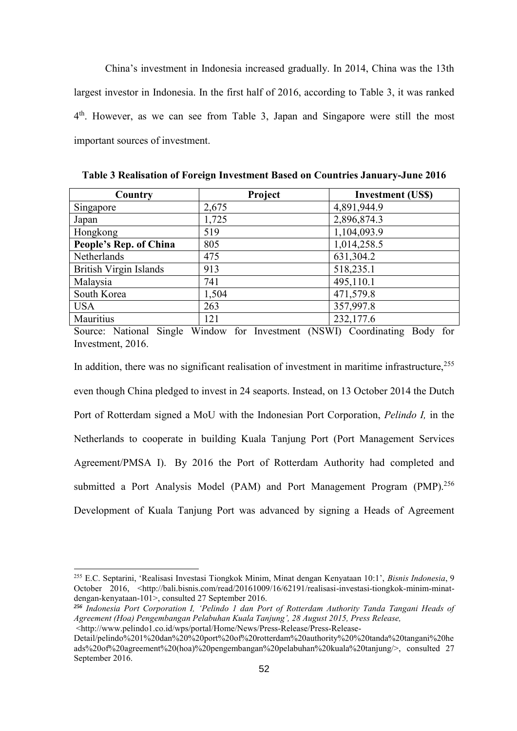China's investment in Indonesia increased gradually. In 2014, China was the 13th largest investor in Indonesia. In the first half of 2016, according to Table 3, it was ranked 4<sup>th</sup>. However, as we can see from Table 3, Japan and Singapore were still the most important sources of investment.

| Country                       | Project | <b>Investment (US\$)</b> |
|-------------------------------|---------|--------------------------|
| Singapore                     | 2,675   | 4,891,944.9              |
| Japan                         | 1,725   | 2,896,874.3              |
| Hongkong                      | 519     | 1,104,093.9              |
| People's Rep. of China        | 805     | 1,014,258.5              |
| Netherlands                   | 475     | 631,304.2                |
| <b>British Virgin Islands</b> | 913     | 518,235.1                |
| Malaysia                      | 741     | 495,110.1                |
| South Korea                   | 1,504   | 471,579.8                |
| <b>USA</b>                    | 263     | 357,997.8                |
| Mauritius                     | 121     | 232,177.6                |

**Table 3 Realisation of Foreign Investment Based on Countries January-June 2016**

Source: National Single Window for Investment (NSWI) Coordinating Body for Investment, 2016.

In addition, there was no significant realisation of investment in maritime infrastructure,  $255$ even though China pledged to invest in 24 seaports. Instead, on 13 October 2014 the Dutch Port of Rotterdam signed a MoU with the Indonesian Port Corporation, *Pelindo I,* in the Netherlands to cooperate in building Kuala Tanjung Port (Port Management Services Agreement/PMSA I). By 2016 the Port of Rotterdam Authority had completed and submitted a Port Analysis Model (PAM) and Port Management Program (PMP).<sup>256</sup> Development of Kuala Tanjung Port was advanced by signing a Heads of Agreement

<sup>255</sup> E.C. Septarini, 'Realisasi Investasi Tiongkok Minim, Minat dengan Kenyataan 10:1', *Bisnis Indonesia*, 9 October 2016, <http://bali.bisnis.com/read/20161009/16/62191/realisasi-investasi-tiongkok-minim-minatdengan-kenyataan-101>, consulted 27 September 2016.

*<sup>256</sup> Indonesia Port Corporation I, 'Pelindo 1 dan Port of Rotterdam Authority Tanda Tangani Heads of Agreement (Hoa) Pengembangan Pelabuhan Kuala Tanjung', 28 August 2015, Press Release,* <http://www.pelindo1.co.id/wps/portal/Home/News/Press-Release/Press-Release-

Detail/pelindo%201%20dan%20%20port%20of%20rotterdam%20authority%20%20tanda%20tangani%20he ads%20of%20agreement%20(hoa)%20pengembangan%20pelabuhan%20kuala%20tanjung/>, consulted 27 September 2016.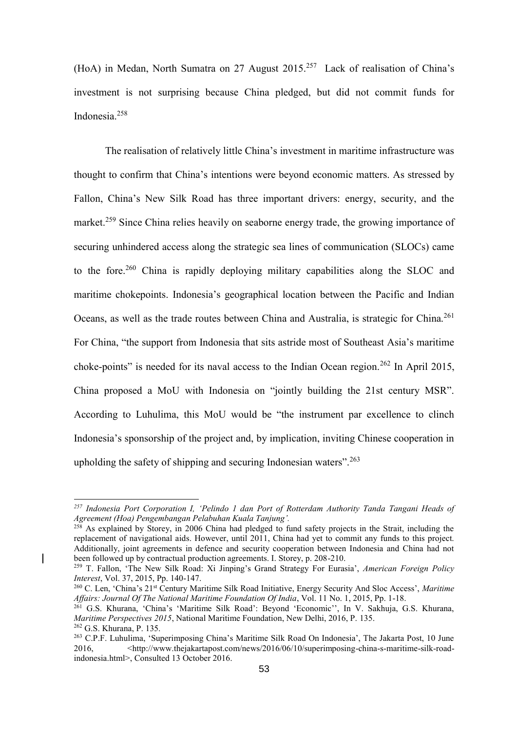(HoA) in Medan, North Sumatra on 27 August 2015.<sup>257</sup> Lack of realisation of China's investment is not surprising because China pledged, but did not commit funds for Indonesia.<sup>258</sup>

The realisation of relatively little China's investment in maritime infrastructure was thought to confirm that China's intentions were beyond economic matters. As stressed by Fallon, China's New Silk Road has three important drivers: energy, security, and the market.<sup>259</sup> Since China relies heavily on seaborne energy trade, the growing importance of securing unhindered access along the strategic sea lines of communication (SLOCs) came to the fore.<sup>260</sup> China is rapidly deploying military capabilities along the SLOC and maritime chokepoints. Indonesia's geographical location between the Pacific and Indian Oceans, as well as the trade routes between China and Australia, is strategic for China.<sup>261</sup> For China, "the support from Indonesia that sits astride most of Southeast Asia's maritime choke-points" is needed for its naval access to the Indian Ocean region.<sup>262</sup> In April 2015, China proposed a MoU with Indonesia on "jointly building the 21st century MSR". According to Luhulima, this MoU would be "the instrument par excellence to clinch Indonesia's sponsorship of the project and, by implication, inviting Chinese cooperation in upholding the safety of shipping and securing Indonesian waters".<sup>263</sup>

*<sup>257</sup> Indonesia Port Corporation I, 'Pelindo 1 dan Port of Rotterdam Authority Tanda Tangani Heads of Agreement (Hoa) Pengembangan Pelabuhan Kuala Tanjung'.*

 $258$  As explained by Storey, in 2006 China had pledged to fund safety projects in the Strait, including the replacement of navigational aids. However, until 2011, China had yet to commit any funds to this project. Additionally, joint agreements in defence and security cooperation between Indonesia and China had not been followed up by contractual production agreements. I. Storey, p. 208-210.

<sup>259</sup> T. Fallon, 'The New Silk Road: Xi Jinping's Grand Strategy For Eurasia', *American Foreign Policy Interest*, Vol. 37, 2015, Pp. 140-147.

<sup>&</sup>lt;sup>260</sup> C. Len, 'China's 21<sup>st</sup> Century Maritime Silk Road Initiative, Energy Security And Sloc Access', *Maritime Affairs: Journal Of The National Maritime Foundation Of India*, Vol. 11 No. 1, 2015, Pp. 1-18.

<sup>261</sup> G.S. Khurana, 'China's 'Maritime Silk Road': Beyond 'Economic'', In V. Sakhuja, G.S. Khurana, *Maritime Perspectives 2015*, National Maritime Foundation, New Delhi, 2016, P. 135. <sup>262</sup> G.S. Khurana, P. 135.

<sup>263</sup> C.P.F. Luhulima, 'Superimposing China's Maritime Silk Road On Indonesia', The Jakarta Post, 10 June 2016, [<http://www.thejakartapost.com/news/2016/06/10/superimposing-china-s-maritime-silk-road](http://www.thejakartapost.com/news/2016/06/10/superimposing-china-s-maritime-silk-road-indonesia.html)[indonesia.html>](http://www.thejakartapost.com/news/2016/06/10/superimposing-china-s-maritime-silk-road-indonesia.html), Consulted 13 October 2016.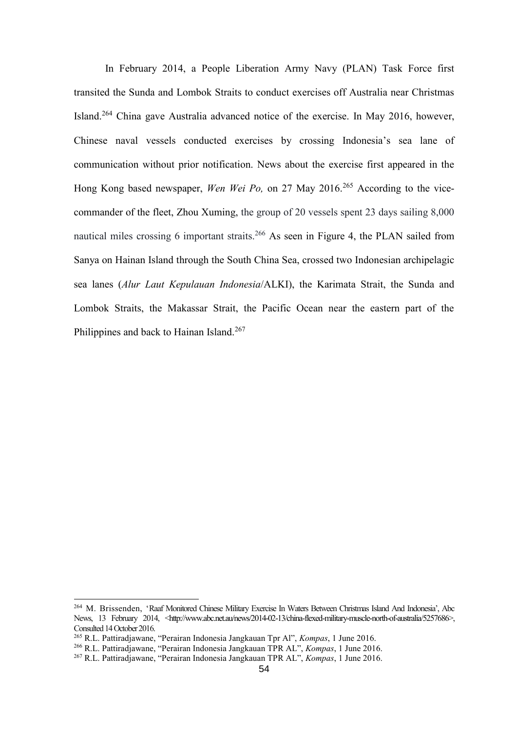In February 2014, a People Liberation Army Navy (PLAN) Task Force first transited the Sunda and Lombok Straits to conduct exercises off Australia near Christmas Island.<sup>264</sup> China gave Australia advanced notice of the exercise. In May 2016, however, Chinese naval vessels conducted exercises by crossing Indonesia's sea lane of communication without prior notification. News about the exercise first appeared in the Hong Kong based newspaper, *Wen Wei Po,* on 27 May 2016. <sup>265</sup> According to the vicecommander of the fleet, Zhou Xuming, the group of 20 vessels spent 23 days sailing 8,000 nautical miles crossing 6 important straits.<sup>266</sup> As seen in Figure 4, the PLAN sailed from Sanya on Hainan Island through the South China Sea, crossed two Indonesian archipelagic sea lanes (*Alur Laut Kepulauan Indonesia*/ALKI), the Karimata Strait, the Sunda and Lombok Straits, the Makassar Strait, the Pacific Ocean near the eastern part of the Philippines and back to Hainan Island.<sup>267</sup>

<sup>264</sup> M. Brissenden, 'Raaf Monitored Chinese Military Exercise In Waters Between Christmas Island And Indonesia', Abc News, 13 February 2014, [<http://www.abc.net.au/news/2014-02-13/china-flexed-military-muscle-north-of-australia/5257686>](http://www.abc.net.au/news/2014-02-13/china-flexed-military-muscle-north-of-australia/5257686), Consulted 14 October 2016.

<sup>265</sup> R.L. Pattiradjawane, "Perairan Indonesia Jangkauan Tpr Al", *Kompas*, 1 June 2016.

<sup>266</sup> R.L. Pattiradjawane, "Perairan Indonesia Jangkauan TPR AL", *Kompas*, 1 June 2016.

<sup>267</sup> R.L. Pattiradjawane, "Perairan Indonesia Jangkauan TPR AL", *Kompas*, 1 June 2016.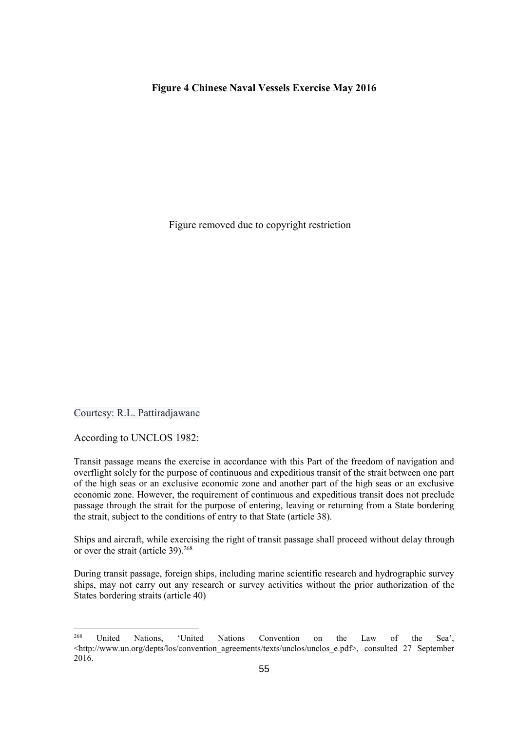#### **Figure 4 Chinese Naval Vessels Exercise May 2016**

Figure removed due to copyright restriction

Courtesy: R.L. Pattiradjawane

According to UNCLOS 1982:

Transit passage means the exercise in accordance with this Part of the freedom of navigation and overflight solely for the purpose of continuous and expeditious transit of the strait between one part of the high seas or an exclusive economic zone and another part of the high seas or an exclusive economic zone. However, the requirement of continuous and expeditious transit does not preclude passage through the strait for the purpose of entering, leaving or returning from a State bordering the strait, subject to the conditions of entry to that State (article 38).

Ships and aircraft, while exercising the right of transit passage shall proceed without delay through or over the strait (article 39).<sup>268</sup>

During transit passage, foreign ships, including marine scientific research and hydrographic survey ships, may not carry out any research or survey activities without the prior authorization of the States bordering straits (article 40)

<sup>268</sup> United Nations, 'United Nations Convention on the Law of the Sea', <http://www.un.org/depts/los/convention\_agreements/texts/unclos/unclos\_e.pdf>,\_consulted 27 September 2016.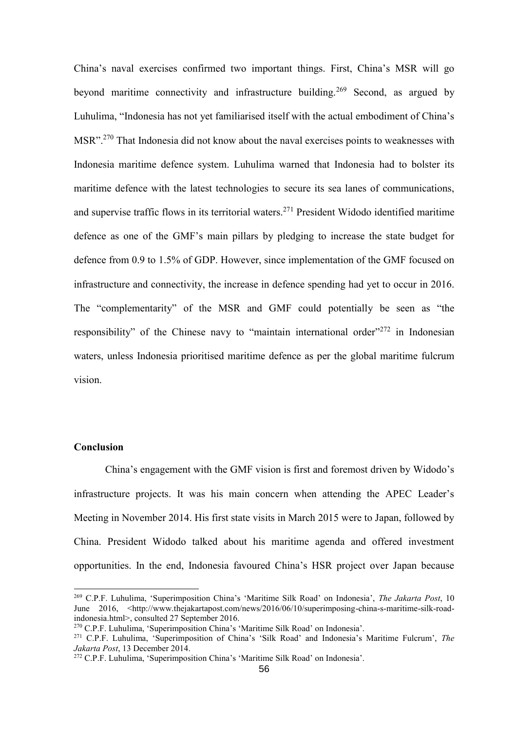China's naval exercises confirmed two important things. First, China's MSR will go beyond maritime connectivity and infrastructure building.<sup>269</sup> Second, as argued by Luhulima, "Indonesia has not yet familiarised itself with the actual embodiment of China's MSR".<sup>270</sup> That Indonesia did not know about the naval exercises points to weaknesses with Indonesia maritime defence system. Luhulima warned that Indonesia had to bolster its maritime defence with the latest technologies to secure its sea lanes of communications, and supervise traffic flows in its territorial waters.<sup>271</sup> President Widodo identified maritime defence as one of the GMF's main pillars by pledging to increase the state budget for defence from 0.9 to 1.5% of GDP. However, since implementation of the GMF focused on infrastructure and connectivity, the increase in defence spending had yet to occur in 2016. The "complementarity" of the MSR and GMF could potentially be seen as "the responsibility" of the Chinese navy to "maintain international order"<sup>272</sup> in Indonesian waters, unless Indonesia prioritised maritime defence as per the global maritime fulcrum vision.

#### **Conclusion**

China's engagement with the GMF vision is first and foremost driven by Widodo's infrastructure projects. It was his main concern when attending the APEC Leader's Meeting in November 2014. His first state visits in March 2015 were to Japan, followed by China. President Widodo talked about his maritime agenda and offered investment opportunities. In the end, Indonesia favoured China's HSR project over Japan because

<sup>269</sup> C.P.F. Luhulima, 'Superimposition China's 'Maritime Silk Road' on Indonesia', *The Jakarta Post*, 10 June 2016, <http://www.thejakartapost.com/news/2016/06/10/superimposing-china-s-maritime-silk-roadindonesia.html>, consulted 27 September 2016.

<sup>270</sup> C.P.F. Luhulima, 'Superimposition China's 'Maritime Silk Road' on Indonesia'.

<sup>271</sup> C.P.F. Luhulima, 'Superimposition of China's 'Silk Road' and Indonesia's Maritime Fulcrum', *The Jakarta Post*, 13 December 2014.

<sup>272</sup> C.P.F. Luhulima, 'Superimposition China's 'Maritime Silk Road' on Indonesia'.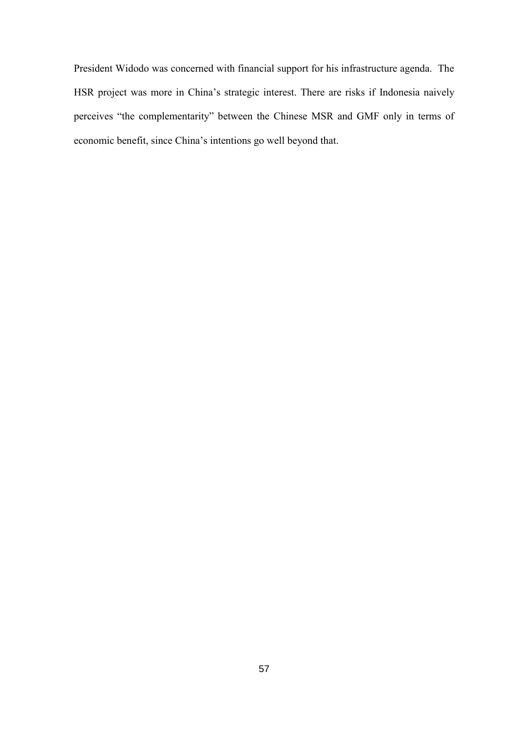President Widodo was concerned with financial support for his infrastructure agenda. The HSR project was more in China's strategic interest. There are risks if Indonesia naively perceives "the complementarity" between the Chinese MSR and GMF only in terms of economic benefit, since China's intentions go well beyond that.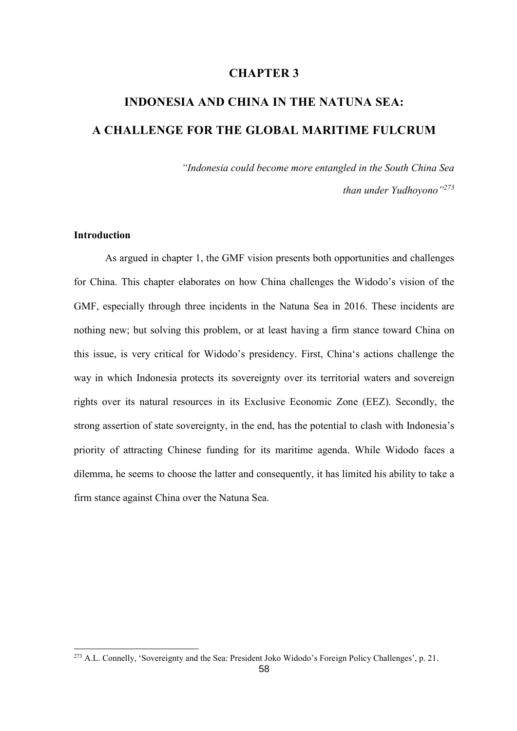# **CHAPTER 3**

# **INDONESIA AND CHINA IN THE NATUNA SEA: A CHALLENGE FOR THE GLOBAL MARITIME FULCRUM**

*"Indonesia could become more entangled in the South China Sea than under Yudhoyono"<sup>273</sup>*

## **Introduction**

As argued in chapter 1, the GMF vision presents both opportunities and challenges for China. This chapter elaborates on how China challenges the Widodo's vision of the GMF, especially through three incidents in the Natuna Sea in 2016. These incidents are nothing new; but solving this problem, or at least having a firm stance toward China on this issue, is very critical for Widodo's presidency. First, China's actions challenge the way in which Indonesia protects its sovereignty over its territorial waters and sovereign rights over its natural resources in its Exclusive Economic Zone (EEZ). Secondly, the strong assertion of state sovereignty, in the end, has the potential to clash with Indonesia's priority of attracting Chinese funding for its maritime agenda. While Widodo faces a dilemma, he seems to choose the latter and consequently, it has limited his ability to take a firm stance against China over the Natuna Sea.

<sup>273</sup> A.L. Connelly, 'Sovereignty and the Sea: President Joko Widodo's Foreign Policy Challenges', p. 21.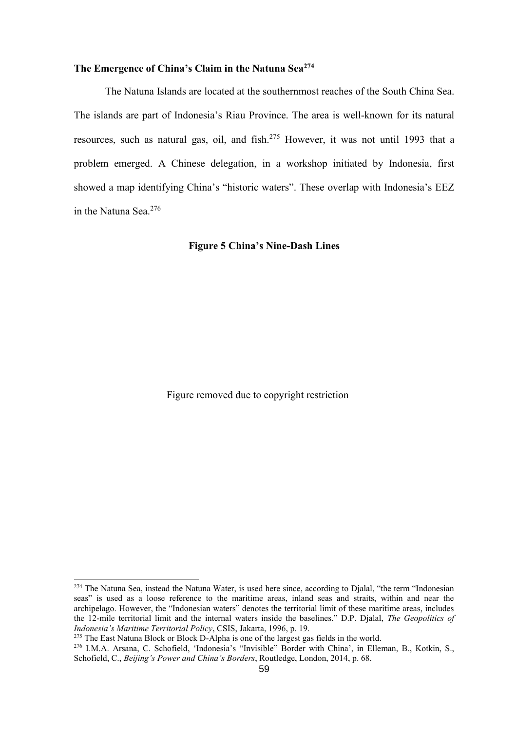# **The Emergence of China's Claim in the Natuna Sea<sup>274</sup>**

The Natuna Islands are located at the southernmost reaches of the South China Sea. The islands are part of Indonesia's Riau Province. The area is well-known for its natural resources, such as natural gas, oil, and fish.<sup>275</sup> However, it was not until 1993 that a problem emerged. A Chinese delegation, in a workshop initiated by Indonesia, first showed a map identifying China's "historic waters". These overlap with Indonesia's EEZ in the Natuna Sea. 276

**Figure 5 China's Nine-Dash Lines**

Figure removed due to copyright restriction

<sup>&</sup>lt;sup>274</sup> The Natuna Sea, instead the Natuna Water, is used here since, according to Djalal, "the term "Indonesian seas" is used as a loose reference to the maritime areas, inland seas and straits, within and near the archipelago. However, the "Indonesian waters" denotes the territorial limit of these maritime areas, includes the 12-mile territorial limit and the internal waters inside the baselines." D.P. Djalal, *The Geopolitics of Indonesia's Maritime Territorial Policy*, CSIS, Jakarta, 1996, p. 19.

<sup>&</sup>lt;sup>275</sup> The East Natuna Block or Block D-Alpha is one of the largest gas fields in the world.

<sup>276</sup> I.M.A. Arsana, C. Schofield, 'Indonesia's "Invisible" Border with China', in Elleman, B., Kotkin, S., Schofield, C., *Beijing's Power and China's Borders*, Routledge, London, 2014, p. 68.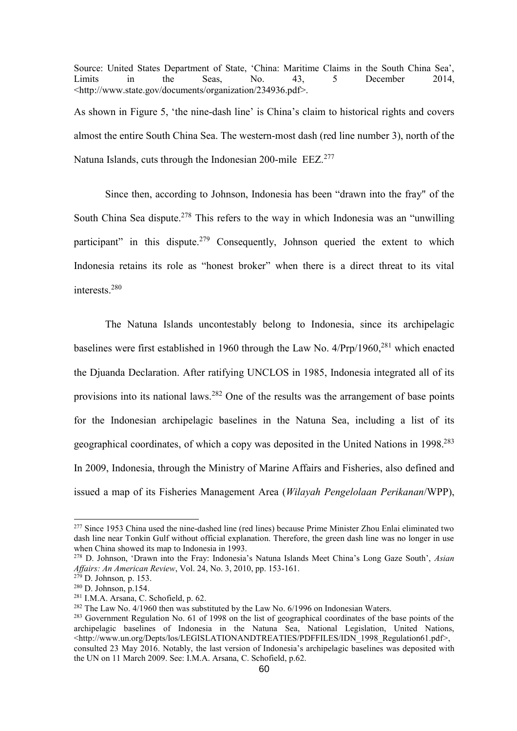Source: United States Department of State, 'China: Maritime Claims in the South China Sea', Limits in the Seas, No. 43, 5 December 2014, [<http://www.state.gov/documents/organization/234936.pdf>](http://www.state.gov/documents/organization/234936.pdf). As shown in Figure 5, 'the nine-dash line' is China's claim to historical rights and covers

almost the entire South China Sea. The western-most dash (red line number 3), north of the Natuna Islands, cuts through the Indonesian 200-mile EEZ.<sup>277</sup>

Since then, according to Johnson, Indonesia has been "drawn into the fray" of the South China Sea dispute.<sup>278</sup> This refers to the way in which Indonesia was an "unwilling participant" in this dispute.<sup>279</sup> Consequently, Johnson queried the extent to which Indonesia retains its role as "honest broker" when there is a direct threat to its vital interests.<sup>280</sup>

The Natuna Islands uncontestably belong to Indonesia, since its archipelagic baselines were first established in 1960 through the Law No. 4/Prp/1960,<sup>281</sup> which enacted the Djuanda Declaration. After ratifying UNCLOS in 1985, Indonesia integrated all of its provisions into its national laws.<sup>282</sup> One of the results was the arrangement of base points for the Indonesian archipelagic baselines in the Natuna Sea, including a list of its geographical coordinates, of which a copy was deposited in the United Nations in 1998.<sup>283</sup> In 2009, Indonesia, through the Ministry of Marine Affairs and Fisheries, also defined and issued a map of its Fisheries Management Area (*Wilayah Pengelolaan Perikanan*/WPP),

<sup>&</sup>lt;sup>277</sup> Since 1953 China used the nine-dashed line (red lines) because Prime Minister Zhou Enlai eliminated two dash line near Tonkin Gulf without official explanation. Therefore, the green dash line was no longer in use when China showed its map to Indonesia in 1993.

<sup>278</sup> D. Johnson, 'Drawn into the Fray: Indonesia's Natuna Islands Meet China's Long Gaze South', *Asian Affairs: An American Review*, Vol. 24, No. 3, 2010, pp. 153-161.

<sup>279</sup> D. Johnson*,* p. 153.

<sup>280</sup> D. Johnson, p.154.

<sup>281</sup> I.M.A. Arsana, C. Schofield, p. 62.

<sup>&</sup>lt;sup>282</sup> The Law No. 4/1960 then was substituted by the Law No. 6/1996 on Indonesian Waters.

<sup>&</sup>lt;sup>283</sup> Government Regulation No. 61 of 1998 on the list of geographical coordinates of the base points of the archipelagic baselines of Indonesia in the Natuna Sea, National Legislation, United Nations, <http://www.un.org/Depts/los/LEGISLATIONANDTREATIES/PDFFILES/IDN\_1998\_Regulation61.pdf>, consulted 23 May 2016. Notably, the last version of Indonesia's archipelagic baselines was deposited with the UN on 11 March 2009. See: I.M.A. Arsana, C. Schofield, p.62.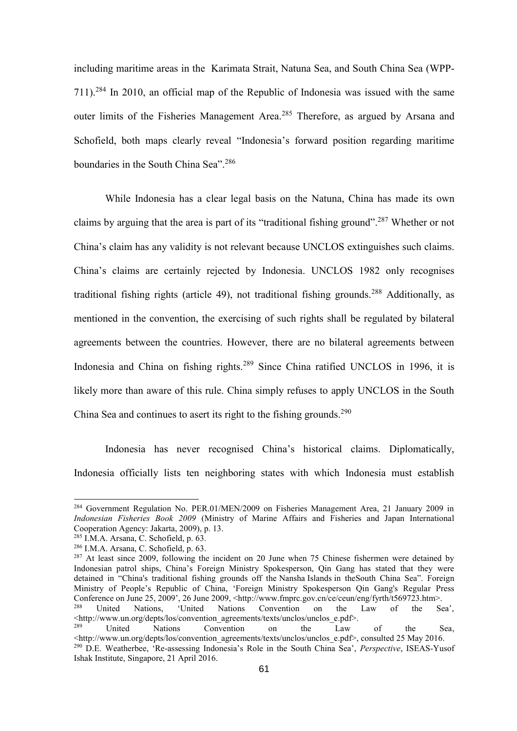including maritime areas in the Karimata Strait, Natuna Sea, and South China Sea (WPP-711). <sup>284</sup> In 2010, an official map of the Republic of Indonesia was issued with the same outer limits of the Fisheries Management Area.<sup>285</sup> Therefore, as argued by Arsana and Schofield, both maps clearly reveal "Indonesia's forward position regarding maritime boundaries in the South China Sea". 286

While Indonesia has a clear legal basis on the Natuna, China has made its own claims by arguing that the area is part of its "traditional fishing ground".<sup>287</sup> Whether or not China's claim has any validity is not relevant because UNCLOS extinguishes such claims. China's claims are certainly rejected by Indonesia. UNCLOS 1982 only recognises traditional fishing rights (article 49), not traditional fishing grounds.<sup>288</sup> Additionally, as mentioned in the convention, the exercising of such rights shall be regulated by bilateral agreements between the countries. However, there are no bilateral agreements between Indonesia and China on fishing rights.<sup>289</sup> Since China ratified UNCLOS in 1996, it is likely more than aware of this rule. China simply refuses to apply UNCLOS in the South China Sea and continues to asert its right to the fishing grounds.<sup>290</sup>

Indonesia has never recognised China's historical claims. Diplomatically, Indonesia officially lists ten neighboring states with which Indonesia must establish

-

<sup>&</sup>lt;sup>284</sup> Government Regulation No. PER.01/MEN/2009 on Fisheries Management Area, 21 January 2009 in *Indonesian Fisheries Book 2009* (Ministry of Marine Affairs and Fisheries and Japan International Cooperation Agency: Jakarta, 2009), p. 13.

<sup>285</sup> I.M.A. Arsana, C. Schofield, p. 63.

<sup>286</sup> I.M.A. Arsana, C. Schofield, p. 63.

<sup>&</sup>lt;sup>287</sup> At least since 2009, following the incident on 20 June when 75 Chinese fishermen were detained by Indonesian patrol ships, China's Foreign Ministry Spokesperson, Qin Gang has stated that they were detained in "China's traditional fishing grounds off the Nansha Islands in theSouth China Sea". Foreign Ministry of People's Republic of China, 'Foreign Ministry Spokesperson Qin Gang's Regular Press Conference on June 25, 2009', 26 June 2009, <http://www.fmprc.gov.cn/ce/ceun/eng/fyrth/t569723.htm>.<br><sup>288</sup> United Nations, 'United Nations Convention on the Law of the Se

Nations, 'United Nations Convention on the Law of the Sea', <http://www.un.org/depts/los/convention\_agreements/texts/unclos/unclos\_e.pdf>.

<sup>&</sup>lt;sup>289</sup> United Nations Convention on the Law of the Sea,  $\text{http://www.un.org/depts/los/convention}$  agreements/texts/unclos/unclos e.pdf>, consulted 25 May 2016. <sup>290</sup> D.E. Weatherbee, 'Re-assessing Indonesia's Role in the South China Sea', *Perspective*, ISEAS-Yusof Ishak Institute, Singapore, 21 April 2016.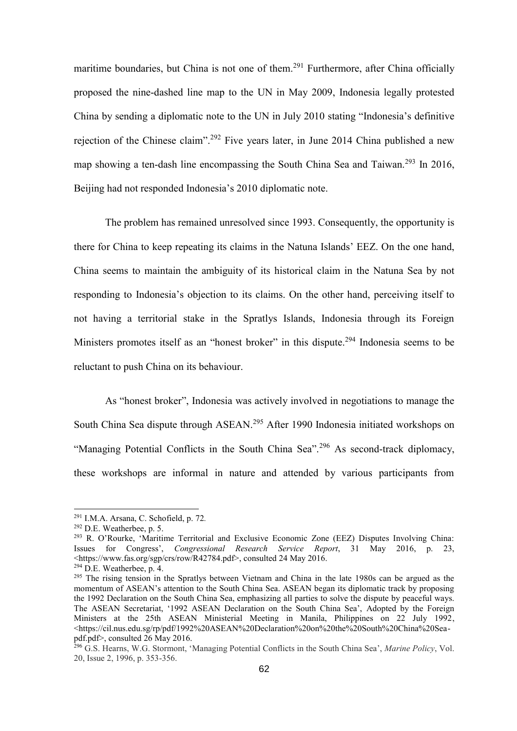maritime boundaries, but China is not one of them.<sup>291</sup> Furthermore, after China officially proposed the nine-dashed line map to the UN in May 2009, Indonesia legally protested China by sending a diplomatic note to the UN in July 2010 stating "Indonesia's definitive rejection of the Chinese claim".<sup>292</sup> Five years later, in June 2014 China published a new map showing a ten-dash line encompassing the South China Sea and Taiwan.<sup>293</sup> In 2016, Beijing had not responded Indonesia's 2010 diplomatic note.

The problem has remained unresolved since 1993. Consequently, the opportunity is there for China to keep repeating its claims in the Natuna Islands' EEZ. On the one hand, China seems to maintain the ambiguity of its historical claim in the Natuna Sea by not responding to Indonesia's objection to its claims. On the other hand, perceiving itself to not having a territorial stake in the Spratlys Islands, Indonesia through its Foreign Ministers promotes itself as an "honest broker" in this dispute.<sup>294</sup> Indonesia seems to be reluctant to push China on its behaviour.

As "honest broker", Indonesia was actively involved in negotiations to manage the South China Sea dispute through ASEAN.<sup>295</sup> After 1990 Indonesia initiated workshops on "Managing Potential Conflicts in the South China Sea".<sup>296</sup> As second-track diplomacy, these workshops are informal in nature and attended by various participants from

<sup>291</sup> I.M.A. Arsana, C. Schofield, p. 72*.*

 $292$  D.E. Weatherbee, p. 5.

<sup>293</sup> R. O'Rourke, 'Maritime Territorial and Exclusive Economic Zone (EEZ) Disputes Involving China: Issues for Congress', *Congressional Research Service Report*, 31 May 2016, p. 23, <https://www.fas.org/sgp/crs/row/R42784.pdf>, consulted 24 May 2016.

 $294$  D.E. Weatherbee, p. 4.

<sup>&</sup>lt;sup>295</sup> The rising tension in the Spratlys between Vietnam and China in the late 1980s can be argued as the momentum of ASEAN's attention to the South China Sea. ASEAN began its diplomatic track by proposing the 1992 Declaration on the South China Sea, emphasizing all parties to solve the dispute by peaceful ways. The ASEAN Secretariat, '1992 ASEAN Declaration on the South China Sea', Adopted by the Foreign Ministers at the 25th ASEAN Ministerial Meeting in Manila, Philippines on 22 July 1992, <https://cil.nus.edu.sg/rp/pdf/1992%20ASEAN%20Declaration%20on%20the%20South%20China%20Seapdf.pdf>, consulted 26 May 2016.

<sup>296</sup> G.S. Hearns, W.G. Stormont, 'Managing Potential Conflicts in the South China Sea', *Marine Policy*, Vol. 20, Issue 2, 1996, p. 353-356.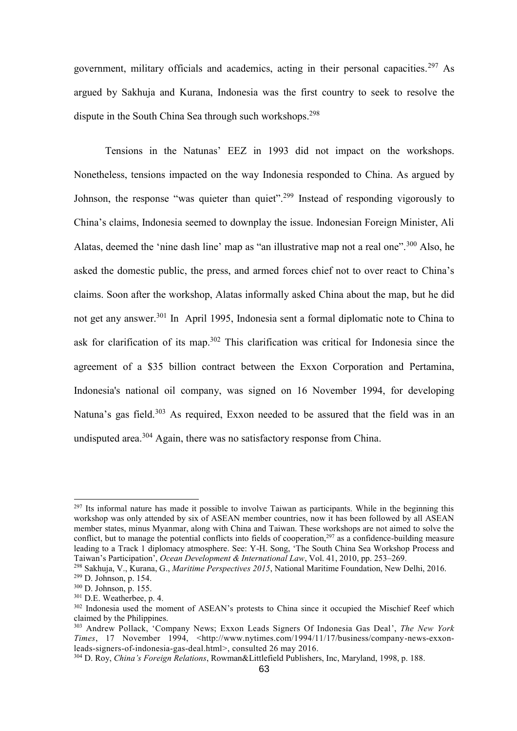government, military officials and academics, acting in their personal capacities.<sup>297</sup> As argued by Sakhuja and Kurana, Indonesia was the first country to seek to resolve the dispute in the South China Sea through such workshops.<sup>298</sup>

Tensions in the Natunas' EEZ in 1993 did not impact on the workshops. Nonetheless, tensions impacted on the way Indonesia responded to China. As argued by Johnson, the response "was quieter than quiet".<sup>299</sup> Instead of responding vigorously to China's claims, Indonesia seemed to downplay the issue. Indonesian Foreign Minister, Ali Alatas, deemed the 'nine dash line' map as "an illustrative map not a real one".<sup>300</sup> Also, he asked the domestic public, the press, and armed forces chief not to over react to China's claims. Soon after the workshop, Alatas informally asked China about the map, but he did not get any answer.<sup>301</sup> In April 1995, Indonesia sent a formal diplomatic note to China to ask for clarification of its map.<sup>302</sup> This clarification was critical for Indonesia since the agreement of a \$35 billion contract between the Exxon Corporation and Pertamina, Indonesia's national oil company, was signed on 16 November 1994, for developing Natuna's gas field.<sup>303</sup> As required, Exxon needed to be assured that the field was in an undisputed area.<sup>304</sup> Again, there was no satisfactory response from China.

<sup>&</sup>lt;sup>297</sup> Its informal nature has made it possible to involve Taiwan as participants. While in the beginning this workshop was only attended by six of ASEAN member countries, now it has been followed by all ASEAN member states, minus Myanmar, along with China and Taiwan. These workshops are not aimed to solve the conflict, but to manage the potential conflicts into fields of cooperation,<sup>297</sup> as a confidence-building measure leading to a Track 1 diplomacy atmosphere. See: Y-H. Song, 'The South China Sea Workshop Process and Taiwan's Participation', *Ocean Development & International Law*, Vol. 41, 2010, pp. 253–269.

<sup>298</sup> Sakhuja, V., Kurana, G., *Maritime Perspectives 2015*, National Maritime Foundation, New Delhi, 2016.

<sup>299</sup> D. Johnson, p. 154.

<sup>300</sup> D. Johnson, p. 155.

<sup>301</sup> D.E. Weatherbee, p. 4.

<sup>&</sup>lt;sup>302</sup> Indonesia used the moment of ASEAN's protests to China since it occupied the Mischief Reef which claimed by the Philippines.

<sup>303</sup> Andrew Pollack, 'Company News; Exxon Leads Signers Of Indonesia Gas Deal', *The New York Times*, 17 November 1994, <http://www.nytimes.com/1994/11/17/business/company-news-exxonleads-signers-of-indonesia-gas-deal.html>, consulted 26 may 2016.

<sup>304</sup> D. Roy, *China's Foreign Relations*, Rowman&Littlefield Publishers, Inc, Maryland, 1998, p. 188.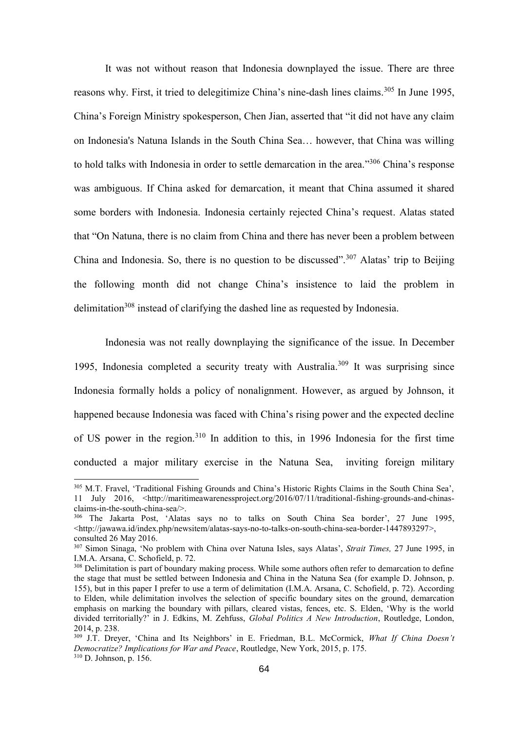It was not without reason that Indonesia downplayed the issue. There are three reasons why. First, it tried to delegitimize China's nine-dash lines claims.<sup>305</sup> In June 1995, China's Foreign Ministry spokesperson, Chen Jian, asserted that "it did not have any claim on Indonesia's Natuna Islands in the South China Sea… however, that China was willing to hold talks with Indonesia in order to settle demarcation in the area."<sup>306</sup> China's response was ambiguous. If China asked for demarcation, it meant that China assumed it shared some borders with Indonesia. Indonesia certainly rejected China's request. Alatas stated that "On Natuna, there is no claim from China and there has never been a problem between China and Indonesia. So, there is no question to be discussed".<sup>307</sup> Alatas' trip to Beijing the following month did not change China's insistence to laid the problem in delimitation<sup>308</sup> instead of clarifying the dashed line as requested by Indonesia.

Indonesia was not really downplaying the significance of the issue. In December 1995, Indonesia completed a security treaty with Australia. <sup>309</sup> It was surprising since Indonesia formally holds a policy of nonalignment. However, as argued by Johnson, it happened because Indonesia was faced with China's rising power and the expected decline of US power in the region.<sup>310</sup> In addition to this, in 1996 Indonesia for the first time conducted a major military exercise in the Natuna Sea, inviting foreign military

<sup>305</sup> M.T. Fravel, 'Traditional Fishing Grounds and China's Historic Rights Claims in the South China Sea', 11 July 2016, <http://maritimeawarenessproject.org/2016/07/11/traditional-fishing-grounds-and-chinasclaims-in-the-south-china-sea/>.

<sup>306</sup> The Jakarta Post, 'Alatas says no to talks on South China Sea border', 27 June 1995,  $\lt$ http://jawawa.id/index.php/newsitem/alatas-says-no-to-talks-on-south-china-sea-border-1447893297>, consulted 26 May 2016.

<sup>307</sup> Simon Sinaga, 'No problem with China over Natuna Isles, says Alatas', *Strait Times,* 27 June 1995, in I.M.A. Arsana, C. Schofield, p. 72.

<sup>&</sup>lt;sup>308</sup> Delimitation is part of boundary making process. While some authors often refer to demarcation to define the stage that must be settled between Indonesia and China in the Natuna Sea (for example D. Johnson, p. 155), but in this paper I prefer to use a term of delimitation (I.M.A. Arsana, C. Schofield, p. 72). According to Elden, while delimitation involves the selection of specific boundary sites on the ground, demarcation emphasis on marking the boundary with pillars, cleared vistas, fences, etc. S. Elden, 'Why is the world divided territorially?' in J. Edkins, M. Zehfuss, *Global Politics A New Introduction*, Routledge, London, 2014, p. 238.

<sup>309</sup> J.T. Dreyer, 'China and Its Neighbors' in E. Friedman, B.L. McCormick, *What If China Doesn't Democratize? Implications for War and Peace*, Routledge, New York, 2015, p. 175. <sup>310</sup> D. Johnson, p. 156.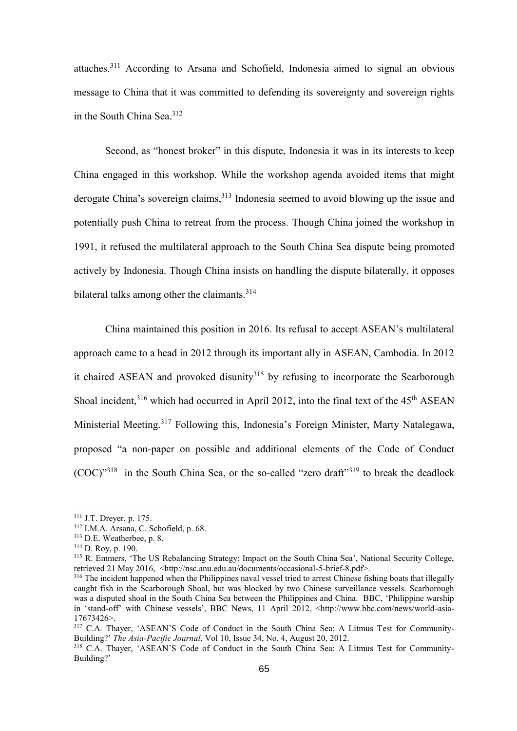attaches.<sup>311</sup> According to Arsana and Schofield, Indonesia aimed to signal an obvious message to China that it was committed to defending its sovereignty and sovereign rights in the South China Sea.<sup>312</sup>

Second, as "honest broker" in this dispute, Indonesia it was in its interests to keep China engaged in this workshop. While the workshop agenda avoided items that might derogate China's sovereign claims,<sup>313</sup> Indonesia seemed to avoid blowing up the issue and potentially push China to retreat from the process. Though China joined the workshop in 1991, it refused the multilateral approach to the South China Sea dispute being promoted actively by Indonesia. Though China insists on handling the dispute bilaterally, it opposes bilateral talks among other the claimants.<sup>314</sup>

China maintained this position in 2016. Its refusal to accept ASEAN's multilateral approach came to a head in 2012 through its important ally in ASEAN, Cambodia. In 2012 it chaired ASEAN and provoked disunity<sup>315</sup> by refusing to incorporate the Scarborough Shoal incident,<sup>316</sup> which had occurred in April 2012, into the final text of the 45<sup>th</sup> ASEAN Ministerial Meeting.<sup>317</sup> Following this, Indonesia's Foreign Minister, Marty Natalegawa, proposed "a non-paper on possible and additional elements of the Code of Conduct (COC)"<sup>318</sup> in the South China Sea, or the so-called "zero draft"<sup>319</sup> to break the deadlock

<sup>311</sup> J.T. Dreyer, p. 175.

<sup>312</sup> I.M.A. Arsana, C. Schofield, p. 68.

<sup>313</sup> D.E. Weatherbee, p. 8.

<sup>314</sup> D. Roy, p. 190.

<sup>&</sup>lt;sup>315</sup> R. Emmers, 'The US Rebalancing Strategy: Impact on the South China Sea', National Security College, retrieved 21 May 2016, <http://nsc.anu.edu.au/documents/occasional-5-brief-8.pdf>.

<sup>&</sup>lt;sup>316</sup> The incident happened when the Philippines naval vessel tried to arrest Chinese fishing boats that illegally caught fish in the Scarborough Shoal, but was blocked by two Chinese surveillance vessels. Scarborough was a disputed shoal in the South China Sea between the Philippines and China. BBC, 'Philippine warship in 'stand-off' with Chinese vessels', BBC News, 11 April 2012, <http://www.bbc.com/news/world-asia-17673426>.

<sup>&</sup>lt;sup>317</sup> C.A. Thayer, 'ASEAN'S Code of Conduct in the South China Sea: A Litmus Test for Community-Building?' *The Asia-Pacific Journal*, Vol 10, Issue 34, No. 4, August 20, 2012.

<sup>318</sup> C.A. Thayer, 'ASEAN'S Code of Conduct in the South China Sea: A Litmus Test for Community-Building?'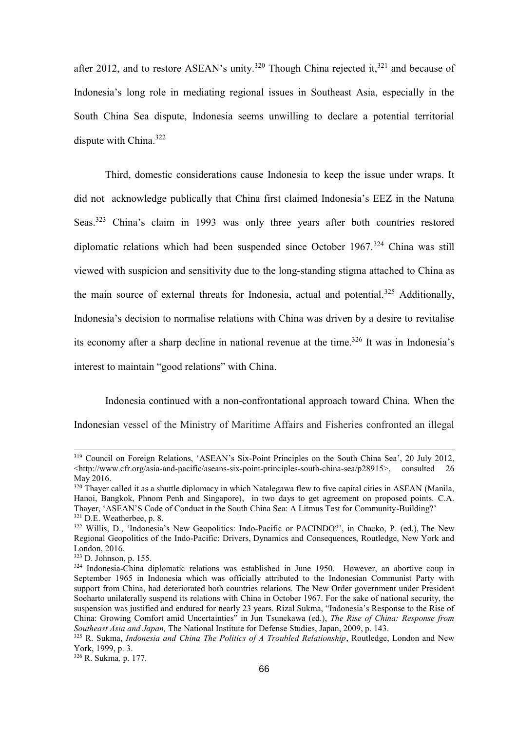after 2012, and to restore ASEAN's unity.<sup>320</sup> Though China rejected it,<sup>321</sup> and because of Indonesia's long role in mediating regional issues in Southeast Asia, especially in the South China Sea dispute, Indonesia seems unwilling to declare a potential territorial dispute with China.<sup>322</sup>

Third, domestic considerations cause Indonesia to keep the issue under wraps. It did not acknowledge publically that China first claimed Indonesia's EEZ in the Natuna Seas.<sup>323</sup> China's claim in 1993 was only three years after both countries restored diplomatic relations which had been suspended since October  $1967$ <sup>324</sup> China was still viewed with suspicion and sensitivity due to the long-standing stigma attached to China as the main source of external threats for Indonesia, actual and potential.<sup>325</sup> Additionally, Indonesia's decision to normalise relations with China was driven by a desire to revitalise its economy after a sharp decline in national revenue at the time.<sup>326</sup> It was in Indonesia's interest to maintain "good relations" with China.

Indonesia continued with a non-confrontational approach toward China. When the Indonesian vessel of the Ministry of Maritime Affairs and Fisheries confronted an illegal

<sup>319</sup> Council on Foreign Relations, 'ASEAN's Six-Point Principles on the South China Sea', 20 July 2012, <http://www.cfr.org/asia-and-pacific/aseans-six-point-principles-south-china-sea/p28915>, consulted 26 May 2016.

<sup>&</sup>lt;sup>320</sup> Thayer called it as a shuttle diplomacy in which Natalegawa flew to five capital cities in ASEAN (Manila, Hanoi, Bangkok, Phnom Penh and Singapore), in two days to get agreement on proposed points. C.A. Thayer, 'ASEAN'S Code of Conduct in the South China Sea: A Litmus Test for Community-Building?' <sup>321</sup> D.E. Weatherbee, p. 8.

<sup>322</sup> Willis, D., 'Indonesia's New Geopolitics: Indo-Pacific or PACINDO?', in Chacko, P. (ed.), The New Regional Geopolitics of the Indo-Pacific: Drivers, Dynamics and Consequences, Routledge, New York and London, 2016.

<sup>323</sup> D. Johnson, p. 155.

 $324$  Indonesia-China diplomatic relations was established in June 1950. However, an abortive coup in September 1965 in Indonesia which was officially attributed to the Indonesian Communist Party with support from China, had deteriorated both countries relations. The New Order government under President Soeharto unilaterally suspend its relations with China in October 1967. For the sake of national security, the suspension was justified and endured for nearly 23 years. Rizal Sukma, "Indonesia's Response to the Rise of China: Growing Comfort amid Uncertainties" in Jun Tsunekawa (ed.), *The Rise of China: Response from Southeast Asia and Japan,* The National Institute for Defense Studies, Japan, 2009, p. 143.

<sup>&</sup>lt;sup>325</sup> R. Sukma, *Indonesia and China The Politics of A Troubled Relationship*, Routledge, London and New York, 1999, p. 3.

<sup>326</sup> R. Sukma*,* p. 177.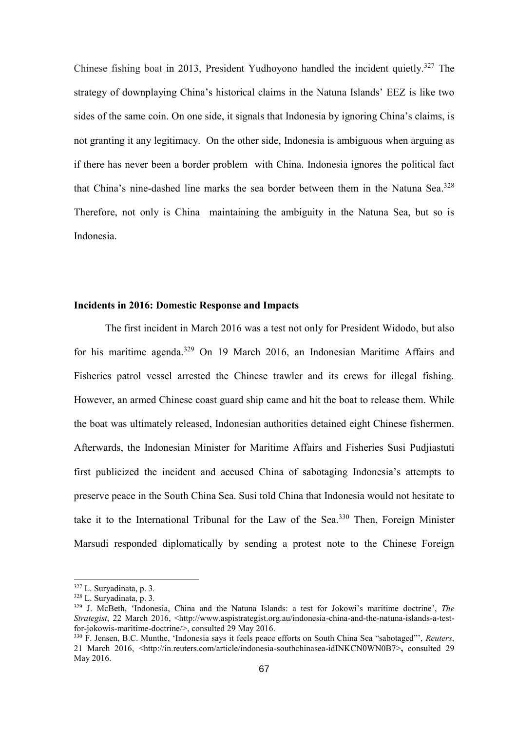Chinese fishing boat in 2013, President Yudhoyono handled the incident quietly.<sup>327</sup> The strategy of downplaying China's historical claims in the Natuna Islands' EEZ is like two sides of the same coin. On one side, it signals that Indonesia by ignoring China's claims, is not granting it any legitimacy. On the other side, Indonesia is ambiguous when arguing as if there has never been a border problem with China. Indonesia ignores the political fact that China's nine-dashed line marks the sea border between them in the Natuna Sea. 328 Therefore, not only is China maintaining the ambiguity in the Natuna Sea, but so is Indonesia.

### **Incidents in 2016: Domestic Response and Impacts**

The first incident in March 2016 was a test not only for President Widodo, but also for his maritime agenda.<sup>329</sup> On 19 March 2016, an Indonesian Maritime Affairs and Fisheries patrol vessel arrested the Chinese trawler and its crews for illegal fishing. However, an armed Chinese coast guard ship came and hit the boat to release them. While the boat was ultimately released, Indonesian authorities detained eight Chinese fishermen. Afterwards, the Indonesian Minister for Maritime Affairs and Fisheries Susi Pudjiastuti first publicized the incident and accused China of sabotaging Indonesia's attempts to preserve peace in the South China Sea. Susi told China that Indonesia would not hesitate to take it to the International Tribunal for the Law of the Sea. $330$  Then, Foreign Minister Marsudi responded diplomatically by sending a protest note to the Chinese Foreign

<sup>327</sup> L. Suryadinata, p. 3*.*

<sup>328</sup> L. Suryadinata, p. 3*.*

<sup>329</sup> J. McBeth, 'Indonesia, China and the Natuna Islands: a test for Jokowi's maritime doctrine', *The Strategist*, 22 March 2016, <http://www.aspistrategist.org.au/indonesia-china-and-the-natuna-islands-a-testfor-jokowis-maritime-doctrine/>, consulted 29 May 2016.

<sup>330</sup> F. Jensen, B.C. Munthe, 'Indonesia says it feels peace efforts on South China Sea "sabotaged"', *Reuters*, 21 March 2016, <http://in.reuters.com/article/indonesia-southchinasea-idINKCN0WN0B7>**,** consulted 29 May 2016.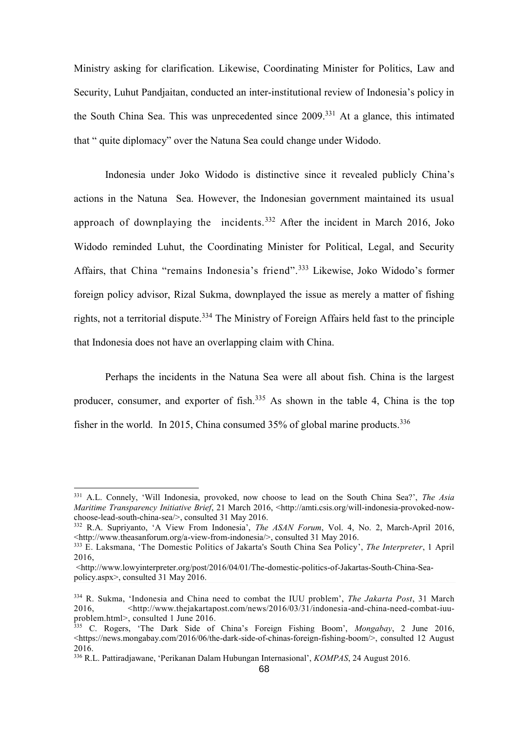Ministry asking for clarification. Likewise, Coordinating Minister for Politics, Law and Security, Luhut Pandjaitan, conducted an inter-institutional review of Indonesia's policy in the South China Sea. This was unprecedented since  $2009$ <sup>331</sup> At a glance, this intimated that " quite diplomacy" over the Natuna Sea could change under Widodo.

Indonesia under Joko Widodo is distinctive since it revealed publicly China's actions in the Natuna Sea. However, the Indonesian government maintained its usual approach of downplaying the incidents.<sup>332</sup> After the incident in March 2016, Joko Widodo reminded Luhut, the Coordinating Minister for Political, Legal, and Security Affairs, that China "remains Indonesia's friend". <sup>333</sup> Likewise, Joko Widodo's former foreign policy advisor, Rizal Sukma, downplayed the issue as merely a matter of fishing rights, not a territorial dispute.<sup>334</sup> The Ministry of Foreign Affairs held fast to the principle that Indonesia does not have an overlapping claim with China.

Perhaps the incidents in the Natuna Sea were all about fish. China is the largest producer, consumer, and exporter of fish.<sup>335</sup> As shown in the table 4, China is the top fisher in the world. In 2015, China consumed  $35%$  of global marine products.<sup>336</sup>

<sup>331</sup> A.L. Connely, 'Will Indonesia, provoked, now choose to lead on the South China Sea?', *The Asia Maritime Transparency Initiative Brief*, 21 March 2016, <http://amti.csis.org/will-indonesia-provoked-nowchoose-lead-south-china-sea/>, consulted 31 May 2016.

<sup>332</sup> R.A. Supriyanto, 'A View From Indonesia', *The ASAN Forum*, Vol. 4, No. 2, March-April 2016, <http://www.theasanforum.org/a-view-from-indonesia/>, consulted 31 May 2016.

<sup>333</sup> E. Laksmana, 'The Domestic Politics of Jakarta's South China Sea Policy', *The Interpreter*, 1 April 2016,

<sup>&</sup>lt;http://www.lowyinterpreter.org/post/2016/04/01/The-domestic-politics-of-Jakartas-South-China-Seapolicy.aspx>, consulted 31 May 2016.

<sup>334</sup> R. Sukma, 'Indonesia and China need to combat the IUU problem', *The Jakarta Post*, 31 March 2016, <http://www.thejakartapost.com/news/2016/03/31/indonesia-and-china-need-combat-iuuproblem.html>, consulted 1 June 2016.

<sup>335</sup> C. Rogers, 'The Dark Side of China's Foreign Fishing Boom', *Mongabay*, 2 June 2016,  $\lt$ https://news.mongabay.com/2016/06/the-dark-side-of-chinas-foreign-fishing-boom/>, consulted 12 August 2016.

<sup>336</sup> R.L. Pattiradjawane, 'Perikanan Dalam Hubungan Internasional', *KOMPAS*, 24 August 2016.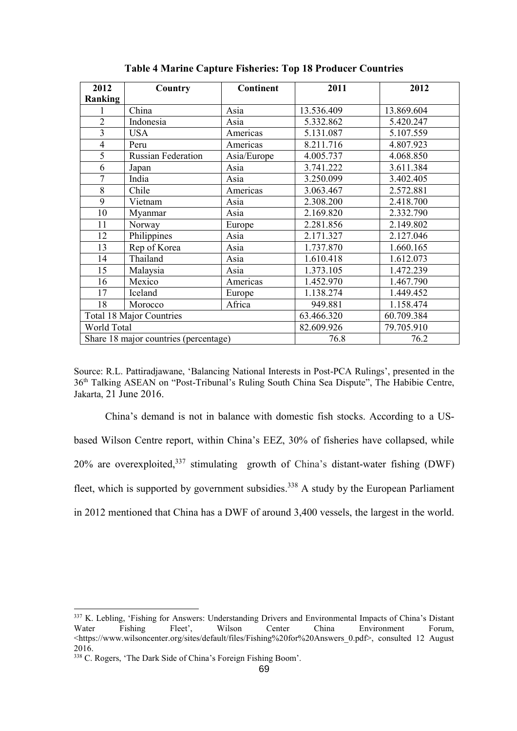| 2012                                  | Country                   | <b>Continent</b> | 2011       | 2012       |
|---------------------------------------|---------------------------|------------------|------------|------------|
| Ranking                               |                           |                  |            |            |
| 1                                     | China                     | Asia             | 13.536.409 | 13.869.604 |
| $\overline{2}$                        | Indonesia                 | Asia             | 5.332.862  | 5.420.247  |
| $\overline{\mathbf{3}}$               | <b>USA</b>                | Americas         | 5.131.087  | 5.107.559  |
| $\overline{4}$                        | Peru                      | Americas         | 8.211.716  | 4.807.923  |
| $\overline{5}$                        | <b>Russian Federation</b> | Asia/Europe      | 4.005.737  | 4.068.850  |
| 6                                     | Japan                     | Asia             | 3.741.222  | 3.611.384  |
| $\overline{7}$                        | India                     | Asia             | 3.250.099  | 3.402.405  |
| 8                                     | Chile                     | Americas         | 3.063.467  | 2.572.881  |
| 9                                     | Vietnam                   | Asia             | 2.308.200  | 2.418.700  |
| 10                                    | Myanmar                   | Asia             | 2.169.820  | 2.332.790  |
| 11                                    | Norway                    | Europe           | 2.281.856  | 2.149.802  |
| 12                                    | Philippines               | Asia             | 2.171.327  | 2.127.046  |
| 13                                    | Rep of Korea              | Asia             | 1.737.870  | 1.660.165  |
| 14                                    | Thailand                  | Asia             | 1.610.418  | 1.612.073  |
| 15                                    | Malaysia                  | Asia             | 1.373.105  | 1.472.239  |
| 16                                    | Mexico                    | Americas         | 1.452.970  | 1.467.790  |
| 17                                    | Iceland                   | Europe           | 1.138.274  | 1.449.452  |
| 18                                    | Morocco                   | Africa           | 949.881    | 1.158.474  |
| <b>Total 18 Major Countries</b>       |                           |                  | 63.466.320 | 60.709.384 |
| World Total                           |                           |                  | 82.609.926 | 79.705.910 |
| Share 18 major countries (percentage) |                           |                  | 76.8       | 76.2       |

**Table 4 Marine Capture Fisheries: Top 18 Producer Countries**

Source: R.L. Pattiradjawane, 'Balancing National Interests in Post-PCA Rulings', presented in the 36th Talking ASEAN on "Post-Tribunal's Ruling South China Sea Dispute", The Habibie Centre, Jakarta, 21 June 2016.

China's demand is not in balance with domestic fish stocks. According to a USbased Wilson Centre report, within China's EEZ, 30% of fisheries have collapsed, while 20% are overexploited,  $337$  stimulating growth of China's distant-water fishing (DWF) fleet, which is supported by government subsidies.<sup>338</sup> A study by the European Parliament in 2012 mentioned that China has a DWF of around 3,400 vessels, the largest in the world.

<sup>337</sup> K. Lebling, 'Fishing for Answers: Understanding Drivers and Environmental Impacts of China's Distant Water Fishing Fleet', Wilson Center China Environment Forum, <https://www.wilsoncenter.org/sites/default/files/Fishing%20for%20Answers\_0.pdf>, consulted 12 August 2016.

<sup>338</sup> C. Rogers, 'The Dark Side of China's Foreign Fishing Boom'.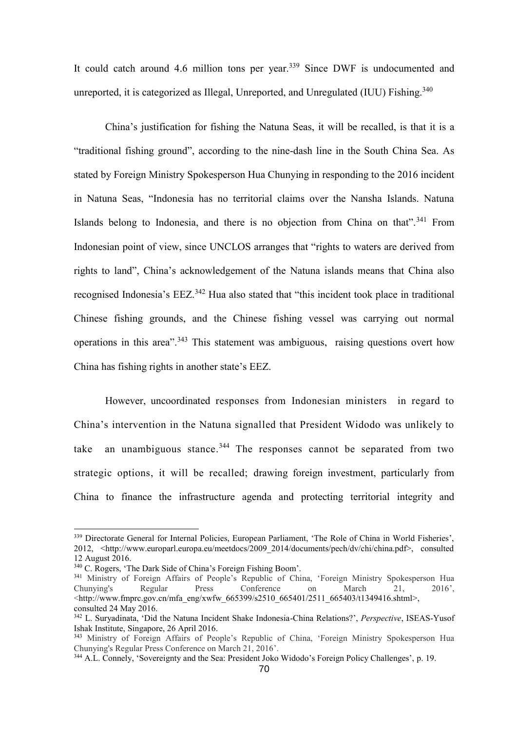It could catch around 4.6 million tons per year.<sup>339</sup> Since DWF is undocumented and unreported, it is categorized as Illegal, Unreported, and Unregulated (IUU) Fishing.<sup>340</sup>

China's justification for fishing the Natuna Seas, it will be recalled, is that it is a "traditional fishing ground", according to the nine-dash line in the South China Sea. As stated by Foreign Ministry Spokesperson Hua Chunying in responding to the 2016 incident in Natuna Seas, "Indonesia has no territorial claims over the Nansha Islands. Natuna Islands belong to Indonesia, and there is no objection from China on that".<sup>341</sup> From Indonesian point of view, since UNCLOS arranges that "rights to waters are derived from rights to land", China's acknowledgement of the Natuna islands means that China also recognised Indonesia's EEZ.<sup>342</sup> Hua also stated that "this incident took place in traditional Chinese fishing grounds, and the Chinese fishing vessel was carrying out normal operations in this area".<sup>343</sup> This statement was ambiguous, raising questions overt how China has fishing rights in another state's EEZ.

However, uncoordinated responses from Indonesian ministers in regard to China's intervention in the Natuna signalled that President Widodo was unlikely to take an unambiguous stance.<sup>344</sup> The responses cannot be separated from two strategic options, it will be recalled; drawing foreign investment, particularly from China to finance the infrastructure agenda and protecting territorial integrity and

<sup>339</sup> Directorate General for Internal Policies, European Parliament, 'The Role of China in World Fisheries', 2012, <http://www.europarl.europa.eu/meetdocs/2009\_2014/documents/pech/dv/chi/china.pdf>, consulted 12 August 2016.

<sup>340</sup> C. Rogers, 'The Dark Side of China's Foreign Fishing Boom'.

<sup>&</sup>lt;sup>341</sup> Ministry of Foreign Affairs of People's Republic of China, 'Foreign Ministry Spokesperson Hua<br>Chunving's Regular Press Conference on March 21, 2016'. Chunying's Regular Press Conference on March 21, 2016', <http://www.fmprc.gov.cn/mfa\_eng/xwfw\_665399/s2510\_665401/2511\_665403/t1349416.shtml>, consulted 24 May 2016.

<sup>342</sup> L. Suryadinata, 'Did the Natuna Incident Shake Indonesia-China Relations?', *Perspective*, ISEAS-Yusof Ishak Institute, Singapore, 26 April 2016.

<sup>&</sup>lt;sup>343</sup> Ministry of Foreign Affairs of People's Republic of China, 'Foreign Ministry Spokesperson Hua Chunying's Regular Press Conference on March 21, 2016'.

<sup>344</sup> A.L. Connely, 'Sovereignty and the Sea: President Joko Widodo's Foreign Policy Challenges', p. 19.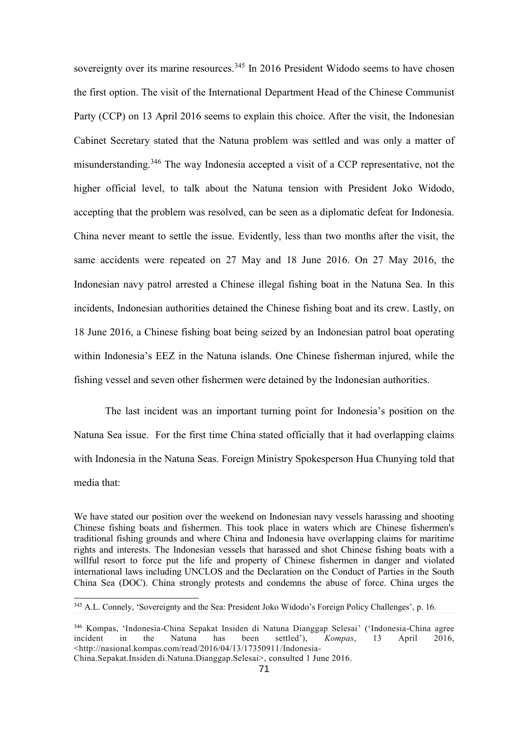sovereignty over its marine resources.<sup>345</sup> In 2016 President Widodo seems to have chosen the first option. The visit of the International Department Head of the Chinese Communist Party (CCP) on 13 April 2016 seems to explain this choice. After the visit, the Indonesian Cabinet Secretary stated that the Natuna problem was settled and was only a matter of misunderstanding.<sup>346</sup> The way Indonesia accepted a visit of a CCP representative, not the higher official level, to talk about the Natuna tension with President Joko Widodo, accepting that the problem was resolved, can be seen as a diplomatic defeat for Indonesia. China never meant to settle the issue. Evidently, less than two months after the visit, the same accidents were repeated on 27 May and 18 June 2016. On 27 May 2016, the Indonesian navy patrol arrested a Chinese illegal fishing boat in the Natuna Sea. In this incidents, Indonesian authorities detained the Chinese fishing boat and its crew. Lastly, on 18 June 2016, a Chinese fishing boat being seized by an Indonesian patrol boat operating within Indonesia's EEZ in the Natuna islands. One Chinese fisherman injured, while the fishing vessel and seven other fishermen were detained by the Indonesian authorities.

The last incident was an important turning point for Indonesia's position on the Natuna Sea issue. For the first time China stated officially that it had overlapping claims with Indonesia in the Natuna Seas. Foreign Ministry Spokesperson Hua Chunying told that media that:

We have stated our position over the weekend on Indonesian navy vessels harassing and shooting Chinese fishing boats and fishermen. This took place in waters which are Chinese fishermen's traditional fishing grounds and where China and Indonesia have overlapping claims for maritime rights and interests. The Indonesian vessels that harassed and shot Chinese fishing boats with a willful resort to force put the life and property of Chinese fishermen in danger and violated international laws including UNCLOS and the Declaration on the Conduct of Parties in the South China Sea (DOC). China strongly protests and condemns the abuse of force. China urges the

<sup>345</sup> A.L. Connely, 'Sovereignty and the Sea: President Joko Widodo's Foreign Policy Challenges', p. 16.

<sup>346</sup> Kompas, 'Indonesia-China Sepakat Insiden di Natuna Dianggap Selesai' ('Indonesia-China agree incident in the Natuna has been settled'), *Kompas*, 13 April 2016, <http://nasional.kompas.com/read/2016/04/13/17350911/Indonesia-

China.Sepakat.Insiden.di.Natuna.Dianggap.Selesai>, consulted 1 June 2016.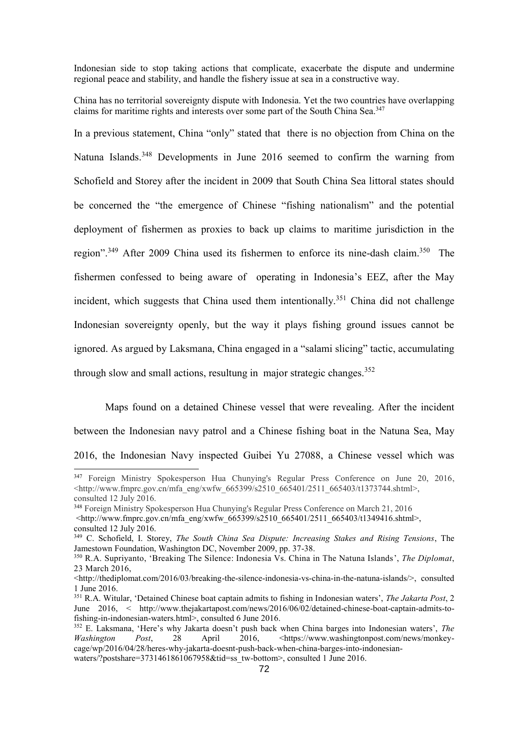Indonesian side to stop taking actions that complicate, exacerbate the dispute and undermine regional peace and stability, and handle the fishery issue at sea in a constructive way.

China has no territorial sovereignty dispute with Indonesia. Yet the two countries have overlapping claims for maritime rights and interests over some part of the South China Sea.<sup>347</sup>

In a previous statement, China "only" stated that there is no objection from China on the Natuna Islands.<sup>348</sup> Developments in June 2016 seemed to confirm the warning from Schofield and Storey after the incident in 2009 that South China Sea littoral states should be concerned the "the emergence of Chinese "fishing nationalism" and the potential deployment of fishermen as proxies to back up claims to maritime jurisdiction in the region".<sup>349</sup> After 2009 China used its fishermen to enforce its nine-dash claim.<sup>350</sup> The fishermen confessed to being aware of operating in Indonesia's EEZ, after the May incident, which suggests that China used them intentionally.<sup>351</sup> China did not challenge Indonesian sovereignty openly, but the way it plays fishing ground issues cannot be ignored. As argued by Laksmana, China engaged in a ["salami slicing"](http://link.springer.com/article/10.1007/s11366-014-9326-y) tactic, accumulating through slow and small actions, resultung in major strategic changes.<sup>352</sup>

Maps found on a detained Chinese vessel that were revealing. After the incident between the Indonesian navy patrol and a Chinese fishing boat in the Natuna Sea, May 2016, the Indonesian Navy inspected Guibei Yu 27088, a Chinese vessel which was

<sup>347</sup> Foreign Ministry Spokesperson Hua Chunying's Regular Press Conference on June 20, 2016, <http://www.fmprc.gov.cn/mfa\_eng/xwfw\_665399/s2510\_665401/2511\_665403/t1373744.shtml>, consulted 12 July 2016.

<sup>348</sup> Foreign Ministry Spokesperson Hua Chunying's Regular Press Conference on March 21, 2016  $\text{Khttp://www.fmprc.gov.cn/mfa eng/xwfw}$  665399/s2510 665401/2511 665403/t1349416.shtml>, consulted 12 July 2016.

<sup>349</sup> C. Schofield, I. Storey, *The South China Sea Dispute: Increasing Stakes and Rising Tensions*, The Jamestown Foundation, Washington DC, November 2009, pp. 37-38.

<sup>350</sup> R.A. Supriyanto, 'Breaking The Silence: Indonesia Vs. China in The Natuna Islands', *The Diplomat*, 23 March 2016,

<sup>&</sup>lt;http://thediplomat.com/2016/03/breaking-the-silence-indonesia-vs-china-in-the-natuna-islands/>, consulted 1 June 2016.

<sup>351</sup> R.A. Witular, 'Detained Chinese boat captain admits to fishing in Indonesian waters', *The Jakarta Post*, 2 June 2016, < http://www.thejakartapost.com/news/2016/06/02/detained-chinese-boat-captain-admits-tofishing-in-indonesian-waters.html>, consulted 6 June 2016.

<sup>352</sup> E. Laksmana, 'Here's why Jakarta doesn't push back when China barges into Indonesian waters', *The Washington Post*, 28 April 2016, [<https://www.washingtonpost.com/news/monkey](https://www.washingtonpost.com/news/monkey-cage/wp/2016/04/28/heres-why-jakarta-doesnt-push-back-when-china-barges-into-indonesian-waters/?postshare=3731461861067958&tid=ss_tw-bottom)[cage/wp/2016/04/28/heres-why-jakarta-doesnt-push-back-when-china-barges-into-indonesian-](https://www.washingtonpost.com/news/monkey-cage/wp/2016/04/28/heres-why-jakarta-doesnt-push-back-when-china-barges-into-indonesian-waters/?postshare=3731461861067958&tid=ss_tw-bottom)

[waters/?postshare=3731461861067958&tid=ss\\_tw-bottom>](https://www.washingtonpost.com/news/monkey-cage/wp/2016/04/28/heres-why-jakarta-doesnt-push-back-when-china-barges-into-indonesian-waters/?postshare=3731461861067958&tid=ss_tw-bottom), consulted 1 June 2016.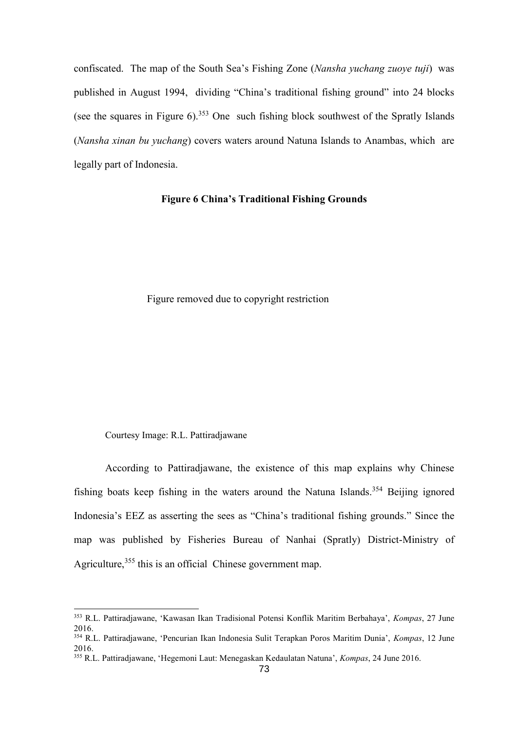confiscated. The map of the South Sea's Fishing Zone (*Nansha yuchang zuoye tuji*) was published in August 1994, dividing "China's traditional fishing ground" into 24 blocks (see the squares in Figure 6).<sup>353</sup> One such fishing block southwest of the Spratly Islands (*Nansha xinan bu yuchang*) covers waters around Natuna Islands to Anambas, which are legally part of Indonesia.

# **Figure 6 China's Traditional Fishing Grounds**

Figure removed due to copyright restriction

Courtesy Image: R.L. Pattiradjawane

According to Pattiradjawane, the existence of this map explains why Chinese fishing boats keep fishing in the waters around the Natuna Islands.<sup>354</sup> Beijing ignored Indonesia's EEZ as asserting the sees as "China's traditional fishing grounds." Since the map was published by Fisheries Bureau of Nanhai (Spratly) District-Ministry of Agriculture,<sup>355</sup> this is an official Chinese government map.

<sup>353</sup> R.L. Pattiradjawane, 'Kawasan Ikan Tradisional Potensi Konflik Maritim Berbahaya', *Kompas*, 27 June 2016.

<sup>354</sup> R.L. Pattiradjawane, 'Pencurian Ikan Indonesia Sulit Terapkan Poros Maritim Dunia', *Kompas*, 12 June 2016.

<sup>355</sup> R.L. Pattiradjawane, 'Hegemoni Laut: Menegaskan Kedaulatan Natuna', *Kompas*, 24 June 2016.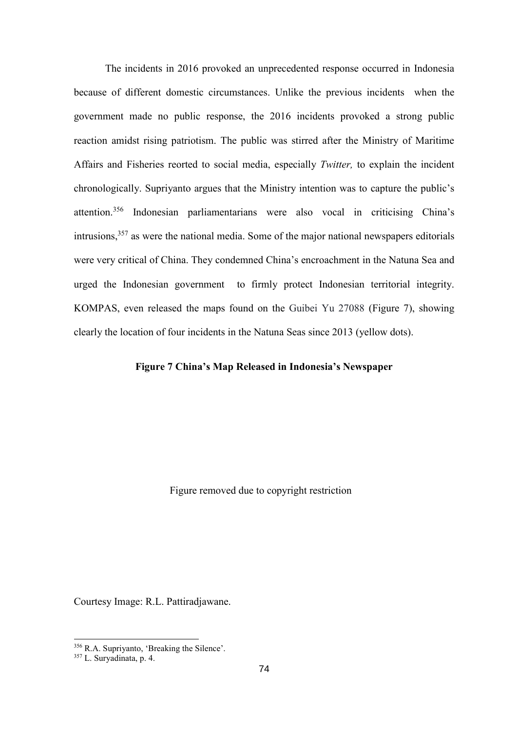The incidents in 2016 provoked an unprecedented response occurred in Indonesia because of different domestic circumstances. Unlike the previous incidents when the government made no public response, the 2016 incidents provoked a strong public reaction amidst rising patriotism. The public was stirred after the Ministry of Maritime Affairs and Fisheries reorted to social media, especially *Twitter,* to explain the incident chronologically. Supriyanto argues that the Ministry intention was to capture the public's attention.<sup>356</sup> Indonesian parliamentarians were also vocal in criticising China's intrusions, <sup>357</sup> as were the national media. Some of the major national newspapers editorials were very critical of China. They condemned China's encroachment in the Natuna Sea and urged the Indonesian government to firmly protect Indonesian territorial integrity. KOMPAS, even released the maps found on the Guibei Yu 27088 (Figure 7), showing clearly the location of four incidents in the Natuna Seas since 2013 (yellow dots).

# **Figure 7 China's Map Released in Indonesia's Newspaper**

Figure removed due to copyright restriction

Courtesy Image: R.L. Pattiradjawane.

<sup>356</sup> R.A. Supriyanto, 'Breaking the Silence'.

<sup>357</sup> L. Suryadinata, p. 4.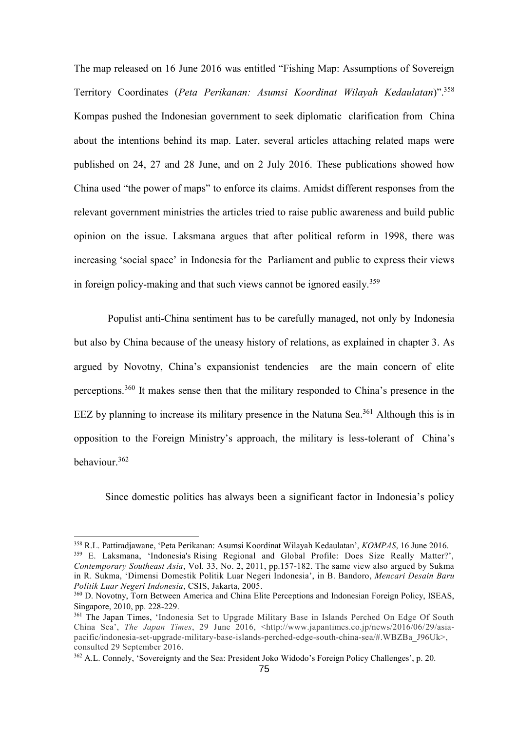The map released on 16 June 2016 was entitled "Fishing Map: Assumptions of Sovereign Territory Coordinates (*Peta Perikanan: Asumsi Koordinat Wilayah Kedaulatan*)".<sup>358</sup> Kompas pushed the Indonesian government to seek diplomatic clarification from China about the intentions behind its map. Later, several articles attaching related maps were published on 24, 27 and 28 June, and on 2 July 2016. These publications showed how China used "the power of maps" to enforce its claims. Amidst different responses from the relevant government ministries the articles tried to raise public awareness and build public opinion on the issue. Laksmana argues that after political reform in 1998, there was increasing 'social space' in Indonesia for the Parliament and public to express their views in foreign policy-making and that such views cannot be ignored easily.<sup>359</sup>

Populist anti-China sentiment has to be carefully managed, not only by Indonesia but also by China because of the uneasy history of relations, as explained in chapter 3. As argued by Novotny, China's expansionist tendencies are the main concern of elite perceptions.<sup>360</sup> It makes sense then that the military responded to China's presence in the EEZ by planning to increase its military presence in the Natuna Sea.<sup>361</sup> Although this is in opposition to the Foreign Ministry's approach, the military is less-tolerant of China's behaviour. 362

Since domestic politics has always been a significant factor in Indonesia's policy

<sup>358</sup> R.L. Pattiradjawane, 'Peta Perikanan: Asumsi Koordinat Wilayah Kedaulatan', *KOMPAS*, 16 June 2016. <sup>359</sup> E. Laksmana, 'Indonesia's Rising Regional and Global Profile: Does Size Really Matter?', *Contemporary Southeast Asia*, Vol. 33, No. 2, 2011, pp.157-182. The same view also argued by Sukma in R. Sukma, 'Dimensi Domestik Politik Luar Negeri Indonesia', in B. Bandoro, *Mencari Desain Baru Politik Luar Negeri Indonesia*, CSIS, Jakarta, 2005.

<sup>360</sup> D. Novotny, Torn Between America and China Elite Perceptions and Indonesian Foreign Policy, ISEAS, Singapore, 2010, pp. 228-229.

<sup>&</sup>lt;sup>361</sup> The Japan Times, 'Indonesia Set to Upgrade Military Base in Islands Perched On Edge Of South China Sea', *The Japan Times*, 29 June 2016, <http://www.japantimes.co.jp/news/2016/06/29/asiapacific/indonesia-set-upgrade-military-base-islands-perched-edge-south-china-sea/#.WBZBa\_J96Uk>, consulted 29 September 2016.

<sup>362</sup> A.L. Connely, 'Sovereignty and the Sea: President Joko Widodo's Foreign Policy Challenges', p. 20.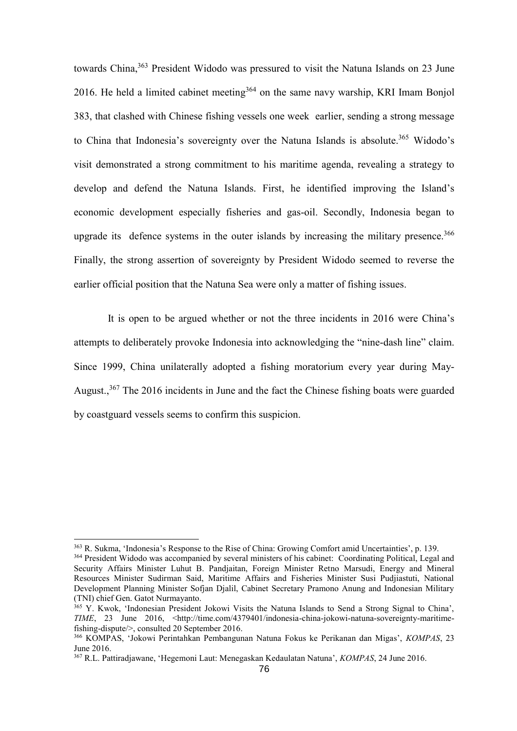towards China,<sup>363</sup> President Widodo was pressured to visit the Natuna Islands on 23 June 2016. He held a limited cabinet meeting  $364$  on the same navy warship, KRI Imam Bonjol 383, that clashed with Chinese fishing vessels one week earlier, sending a strong message to China that Indonesia's sovereignty over the Natuna Islands is absolute.<sup>365</sup> Widodo's visit demonstrated a strong commitment to his maritime agenda, revealing a strategy to develop and defend the Natuna Islands. First, he identified improving the Island's economic development especially fisheries and gas-oil. Secondly, Indonesia began to upgrade its defence systems in the outer islands by increasing the military presence.<sup>366</sup> Finally, the strong assertion of sovereignty by President Widodo seemed to reverse the earlier official position that the Natuna Sea were only a matter of fishing issues.

It is open to be argued whether or not the three incidents in 2016 were China's attempts to deliberately provoke Indonesia into acknowledging the "nine-dash line" claim. Since 1999, China unilaterally adopted a fishing moratorium every year during May-August.,<sup>367</sup> The 2016 incidents in June and the fact the Chinese fishing boats were guarded by coastguard vessels seems to confirm this suspicion.

<sup>363</sup> R. Sukma, 'Indonesia's Response to the Rise of China: Growing Comfort amid Uncertainties', p. 139. <sup>364</sup> President Widodo was accompanied by several ministers of his cabinet: Coordinating Political, Legal and Security Affairs Minister Luhut B. Pandjaitan, Foreign Minister Retno Marsudi, Energy and Mineral Resources Minister Sudirman Said, Maritime Affairs and Fisheries Minister Susi Pudjiastuti, National Development Planning Minister Sofjan Djalil, Cabinet Secretary Pramono Anung and Indonesian Military (TNI) chief Gen. Gatot Nurmayanto.

<sup>&</sup>lt;sup>365</sup> Y. Kwok, 'Indonesian President Jokowi Visits the Natuna Islands to Send a Strong Signal to China', *TIME*, 23 June 2016, <http://time.com/4379401/indonesia-china-jokowi-natuna-sovereignty-maritimefishing-dispute/>, consulted 20 September 2016.

<sup>366</sup> KOMPAS, 'Jokowi Perintahkan Pembangunan Natuna Fokus ke Perikanan dan Migas', *KOMPAS*, 23 June 2016.

<sup>367</sup> R.L. Pattiradjawane, 'Hegemoni Laut: Menegaskan Kedaulatan Natuna', *KOMPAS*, 24 June 2016.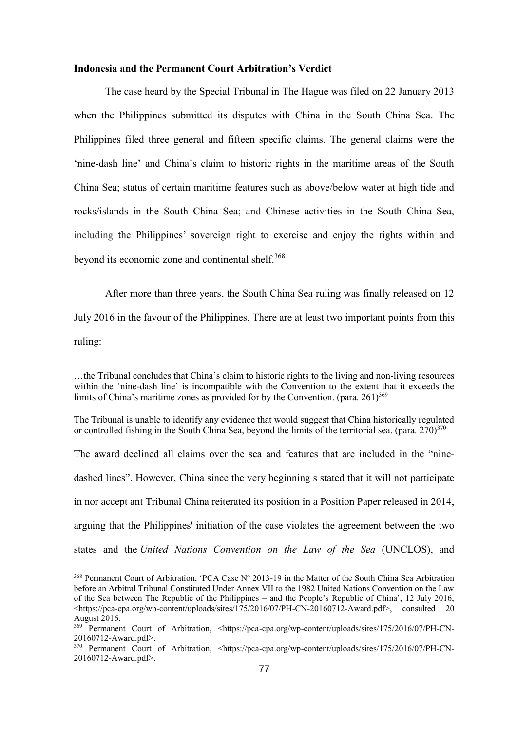#### **Indonesia and the Permanent Court Arbitration's Verdict**

The case heard by the Special Tribunal in The Hague was filed on 22 January 2013 when the Philippines submitted its disputes with China in the South China Sea. The Philippines filed three general and fifteen specific claims. The general claims were the 'nine-dash line' and China's claim to historic rights in the maritime areas of the South China Sea; status of certain maritime features such as above/below water at high tide and rocks/islands in the South China Sea; and Chinese activities in the South China Sea, including the Philippines' sovereign right to exercise and enjoy the rights within and beyond its economic zone and continental shelf.<sup>368</sup>

After more than three years, the South China Sea ruling was finally released on 12 July 2016 in the favour of the Philippines. There are at least two important points from this ruling:

…the Tribunal concludes that China's claim to historic rights to the living and non-living resources within the 'nine-dash line' is incompatible with the Convention to the extent that it exceeds the limits of China's maritime zones as provided for by the Convention. (para.  $261$ )<sup>369</sup>

The Tribunal is unable to identify any evidence that would suggest that China historically regulated or controlled fishing in the South China Sea, beyond the limits of the territorial sea. (para. 270)<sup>370</sup>

The award declined all claims over the sea and features that are included in the "ninedashed lines". However, China since the very beginning s stated that it will not participate in nor accept ant Tribunal China reiterated its position in a Position Paper released in 2014, arguing that the Philippines' initiation of the case violates the agreement between the two states and the *United Nations Convention on the Law of the Sea* (UNCLOS), and

<sup>368</sup> Permanent Court of Arbitration, 'PCA Case Nº 2013-19 in the Matter of the South China Sea Arbitration before an Arbitral Tribunal Constituted Under Annex VII to the 1982 United Nations Convention on the Law of the Sea between The Republic of the Philippines – and the People's Republic of China', 12 July 2016, <https://pca-cpa.org/wp-content/uploads/sites/175/2016/07/PH-CN-20160712-Award.pdf>, consulted 20 August 2016.

<sup>&</sup>lt;sup>369</sup> Permanent Court of Arbitration, <https://pca-cpa.org/wp-content/uploads/sites/175/2016/07/PH-CN-20160712-Award.pdf>.

<sup>&</sup>lt;sup>370</sup> Permanent Court of Arbitration, <https://pca-cpa.org/wp-content/uploads/sites/175/2016/07/PH-CN-20160712-Award.pdf>.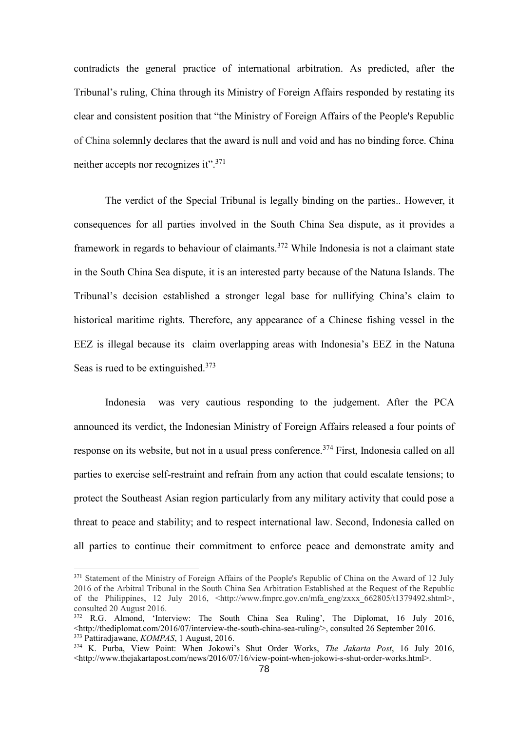contradicts the general practice of international arbitration. As predicted, after the Tribunal's ruling, China through its Ministry of Foreign Affairs responded by restating its clear and consistent position that "the Ministry of Foreign Affairs of the People's Republic of China solemnly declares that the award is null and void and has no binding force. China neither accepts nor recognizes it".<sup>371</sup>

The verdict of the Special Tribunal is legally binding on the parties.. However, it consequences for all parties involved in the South China Sea dispute, as it provides a framework in regards to behaviour of claimants.<sup>372</sup> While Indonesia is not a claimant state in the South China Sea dispute, it is an interested party because of the Natuna Islands. The Tribunal's decision established a stronger legal base for nullifying China's claim to historical maritime rights. Therefore, any appearance of a Chinese fishing vessel in the EEZ is illegal because its claim overlapping areas with Indonesia's EEZ in the Natuna Seas is rued to be extinguished.<sup>373</sup>

Indonesia was very cautious responding to the judgement. After the PCA announced its verdict, the Indonesian Ministry of Foreign Affairs released a four points of response on its website, but not in a usual press conference.<sup>374</sup> First, Indonesia called on all parties to exercise self-restraint and refrain from any action that could escalate tensions; to protect the Southeast Asian region particularly from any military activity that could pose a threat to peace and stability; and to respect international law. Second, Indonesia called on all parties to continue their commitment to enforce peace and demonstrate amity and

<sup>&</sup>lt;sup>371</sup> Statement of the Ministry of Foreign Affairs of the People's Republic of China on the Award of 12 July 2016 of the Arbitral Tribunal in the South China Sea Arbitration Established at the Request of the Republic of the Philippines, 12 July 2016,  $\langle \text{http://www.fmprc.gov.cn/mfa eng/zxxx} 662805/t1379492.shtml \rangle$ , consulted 20 August 2016.

<sup>&</sup>lt;sup>372</sup> R.G. Almond, 'Interview: The South China Sea Ruling', The Diplomat, 16 July 2016,  $\lt$ http://thediplomat.com/2016/07/interview-the-south-china-sea-ruling/>, consulted 26 September 2016. <sup>373</sup> Pattiradjawane, *KOMPAS*, 1 August, 2016.

<sup>374</sup> K. Purba, View Point: When Jokowi's Shut Order Works, *The Jakarta Post*, 16 July 2016, <http://www.thejakartapost.com/news/2016/07/16/view-point-when-jokowi-s-shut-order-works.html>.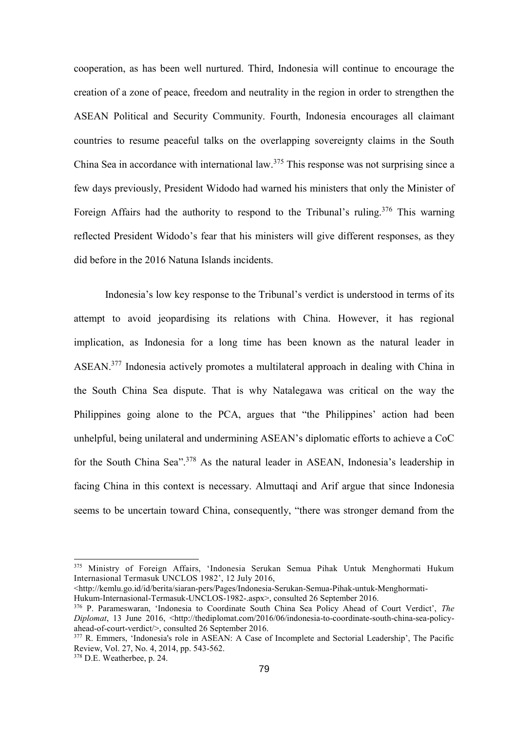cooperation, as has been well nurtured. Third, Indonesia will continue to encourage the creation of a zone of peace, freedom and neutrality in the region in order to strengthen the ASEAN Political and Security Community. Fourth, Indonesia encourages all claimant countries to resume peaceful talks on the overlapping sovereignty claims in the South China Sea in accordance with international law. <sup>375</sup> This response was not surprising since a few days previously, President Widodo had warned his ministers that only the Minister of Foreign Affairs had the authority to respond to the Tribunal's ruling.<sup>376</sup> This warning reflected President Widodo's fear that his ministers will give different responses, as they did before in the 2016 Natuna Islands incidents.

Indonesia's low key response to the Tribunal's verdict is understood in terms of its attempt to avoid jeopardising its relations with China. However, it has regional implication, as Indonesia for a long time has been known as the natural leader in ASEAN.<sup>377</sup> Indonesia actively promotes a multilateral approach in dealing with China in the South China Sea dispute. That is why Natalegawa was critical on the way the Philippines going alone to the PCA, argues that "the Philippines' action had been unhelpful, being unilateral and undermining ASEAN's diplomatic efforts to achieve a CoC for the South China Sea".<sup>378</sup> As the natural leader in ASEAN, Indonesia's leadership in facing China in this context is necessary. Almuttaqi and Arif argue that since Indonesia seems to be uncertain toward China, consequently, "there was stronger demand from the

<http://kemlu.go.id/id/berita/siaran-pers/Pages/Indonesia-Serukan-Semua-Pihak-untuk-Menghormati-

<sup>375</sup> Ministry of Foreign Affairs, 'Indonesia Serukan Semua Pihak Untuk Menghormati Hukum Internasional Termasuk UNCLOS 1982', 12 July 2016,

Hukum-Internasional-Termasuk-UNCLOS-1982-.aspx>, consulted 26 September 2016.

<sup>376</sup> P. Parameswaran, 'Indonesia to Coordinate South China Sea Policy Ahead of Court Verdict', *The Diplomat*, 13 June 2016, <http://thediplomat.com/2016/06/indonesia-to-coordinate-south-china-sea-policyahead-of-court-verdict/>, consulted 26 September 2016.

<sup>377</sup> R. Emmers, 'Indonesia's role in ASEAN: A Case of Incomplete and Sectorial Leadership', The Pacific Review, Vol. 27, No. 4, 2014, pp. 543-562.

<sup>378</sup> D.E. Weatherbee, p. 24.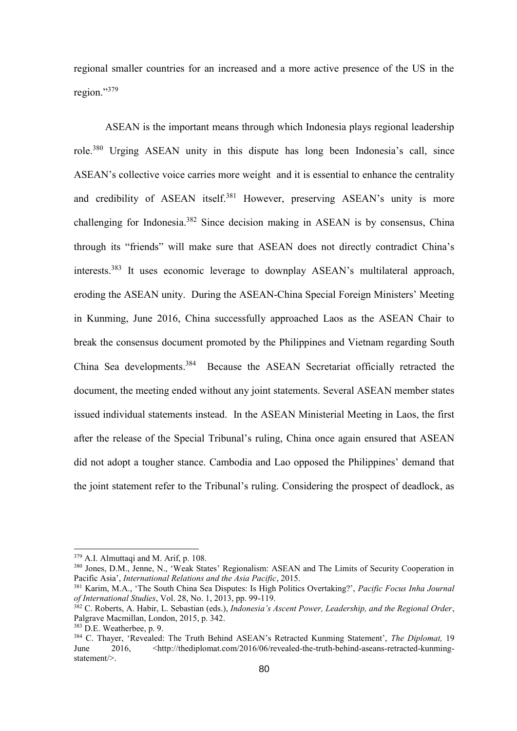regional smaller countries for an increased and a more active presence of the US in the region."379

ASEAN is the important means through which Indonesia plays regional leadership role. <sup>380</sup> Urging ASEAN unity in this dispute has long been Indonesia's call, since ASEAN's collective voice carries more weight and it is essential to enhance the centrality and credibility of ASEAN itself.<sup>381</sup> However, preserving ASEAN's unity is more challenging for Indonesia.<sup>382</sup> Since decision making in ASEAN is by consensus, China through its "friends" will make sure that ASEAN does not directly contradict China's interests.<sup>383</sup> It uses economic leverage to downplay ASEAN's multilateral approach, eroding the ASEAN unity. During the ASEAN-China Special Foreign Ministers' Meeting in Kunming, June 2016, China successfully approached Laos as the ASEAN Chair to break the consensus document promoted by the Philippines and Vietnam regarding South China Sea developments.<sup>384</sup> Because the ASEAN Secretariat officially retracted the document, the meeting ended without any joint statements. Several ASEAN member states issued individual statements instead. In the ASEAN Ministerial Meeting in Laos, the first after the release of the Special Tribunal's ruling, China once again ensured that ASEAN did not adopt a tougher stance. Cambodia and Lao opposed the Philippines' demand that the joint statement refer to the Tribunal's ruling. Considering the prospect of deadlock, as

1

 $379$  A.I. Almuttaqi and M. Arif, p. 108.

<sup>380</sup> Jones, D.M., Jenne, N., 'Weak States' Regionalism: ASEAN and The Limits of Security Cooperation in Pacific Asia', *International Relations and the Asia Pacific*, 2015.

<sup>381</sup> Karim, M.A., 'The South China Sea Disputes: Is High Politics Overtaking?', *Pacific Focus Inha Journal of International Studies*, Vol. 28, No. 1, 2013, pp. 99-119.

<sup>382</sup> C. Roberts, A. Habir, L. Sebastian (eds.), *Indonesia's Ascent Power, Leadership, and the Regional Order*, Palgrave Macmillan, London, 2015, p. 342.

<sup>383</sup> D.E. Weatherbee, p. 9.

<sup>384</sup> C. Thayer, 'Revealed: The Truth Behind ASEAN's Retracted Kunming Statement', *The Diplomat,* 19 June 2016, <http://thediplomat.com/2016/06/revealed-the-truth-behind-aseans-retracted-kunmingstatement/>.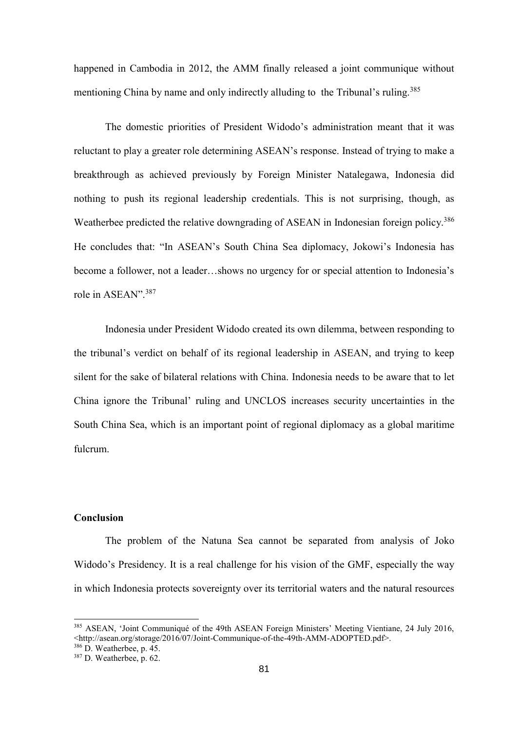happened in Cambodia in 2012, the AMM finally released a joint communique without mentioning China by name and only indirectly alluding to the Tribunal's ruling.<sup>385</sup>

The domestic priorities of President Widodo's administration meant that it was reluctant to play a greater role determining ASEAN's response. Instead of trying to make a breakthrough as achieved previously by Foreign Minister Natalegawa, Indonesia did nothing to push its regional leadership credentials. This is not surprising, though, as Weatherbee predicted the relative downgrading of ASEAN in Indonesian foreign policy.<sup>386</sup> He concludes that: "In ASEAN's South China Sea diplomacy, Jokowi's Indonesia has become a follower, not a leader…shows no urgency for or special attention to Indonesia's role in ASEAN".<sup>387</sup>

Indonesia under President Widodo created its own dilemma, between responding to the tribunal's verdict on behalf of its regional leadership in ASEAN, and trying to keep silent for the sake of bilateral relations with China. Indonesia needs to be aware that to let China ignore the Tribunal' ruling and UNCLOS increases security uncertainties in the South China Sea, which is an important point of regional diplomacy as a global maritime fulcrum.

# **Conclusion**

The problem of the Natuna Sea cannot be separated from analysis of Joko Widodo's Presidency. It is a real challenge for his vision of the GMF, especially the way in which Indonesia protects sovereignty over its territorial waters and the natural resources

<sup>385</sup> ASEAN, 'Joint Communiqué of the 49th ASEAN Foreign Ministers' Meeting Vientiane, 24 July 2016,  $\langle$ http://asean.org/storage/2016/07/Joint-Communique-of-the-49th-AMM-ADOPTED.pdf>.

<sup>386</sup> D. Weatherbee, p. 45.

<sup>387</sup> D. Weatherbee, p. 62.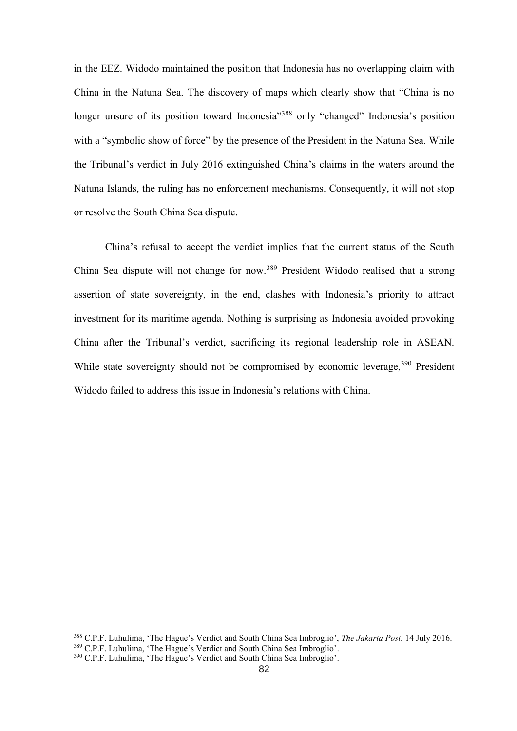in the EEZ. Widodo maintained the position that Indonesia has no overlapping claim with China in the Natuna Sea. The discovery of maps which clearly show that "China is no longer unsure of its position toward Indonesia<sup>"388</sup> only "changed" Indonesia's position with a "symbolic show of force" by the presence of the President in the Natuna Sea. While the Tribunal's verdict in July 2016 extinguished China's claims in the waters around the Natuna Islands, the ruling has no enforcement mechanisms. Consequently, it will not stop or resolve the South China Sea dispute.

China's refusal to accept the verdict implies that the current status of the South China Sea dispute will not change for now.<sup>389</sup> President Widodo realised that a strong assertion of state sovereignty, in the end, clashes with Indonesia's priority to attract investment for its maritime agenda. Nothing is surprising as Indonesia avoided provoking China after the Tribunal's verdict, sacrificing its regional leadership role in ASEAN. While state sovereignty should not be compromised by economic leverage,<sup>390</sup> President Widodo failed to address this issue in Indonesia's relations with China.

<sup>388</sup> C.P.F. Luhulima, 'The Hague's Verdict and South China Sea Imbroglio', *The Jakarta Post*, 14 July 2016. <sup>389</sup> C.P.F. Luhulima, 'The Hague's Verdict and South China Sea Imbroglio'.

<sup>390</sup> C.P.F. Luhulima, 'The Hague's Verdict and South China Sea Imbroglio'.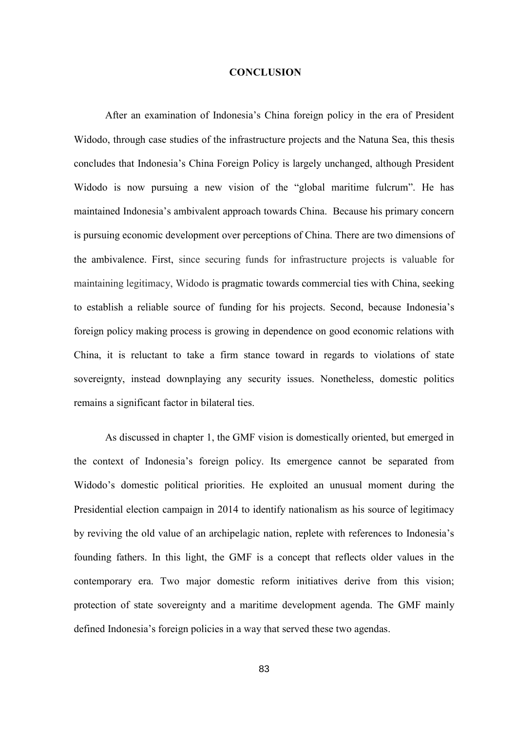#### **CONCLUSION**

After an examination of Indonesia's China foreign policy in the era of President Widodo, through case studies of the infrastructure projects and the Natuna Sea, this thesis concludes that Indonesia's China Foreign Policy is largely unchanged, although President Widodo is now pursuing a new vision of the "global maritime fulcrum". He has maintained Indonesia's ambivalent approach towards China. Because his primary concern is pursuing economic development over perceptions of China. There are two dimensions of the ambivalence. First, since securing funds for infrastructure projects is valuable for maintaining legitimacy, Widodo is pragmatic towards commercial ties with China, seeking to establish a reliable source of funding for his projects. Second, because Indonesia's foreign policy making process is growing in dependence on good economic relations with China, it is reluctant to take a firm stance toward in regards to violations of state sovereignty, instead downplaying any security issues. Nonetheless, domestic politics remains a significant factor in bilateral ties.

As discussed in chapter 1, the GMF vision is domestically oriented, but emerged in the context of Indonesia's foreign policy. Its emergence cannot be separated from Widodo's domestic political priorities. He exploited an unusual moment during the Presidential election campaign in 2014 to identify nationalism as his source of legitimacy by reviving the old value of an archipelagic nation, replete with references to Indonesia's founding fathers. In this light, the GMF is a concept that reflects older values in the contemporary era. Two major domestic reform initiatives derive from this vision; protection of state sovereignty and a maritime development agenda. The GMF mainly defined Indonesia's foreign policies in a way that served these two agendas.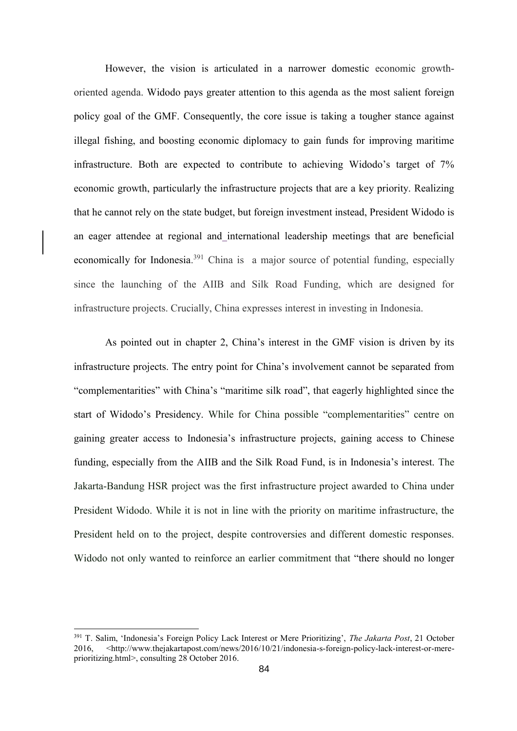However, the vision is articulated in a narrower domestic economic growthoriented agenda. Widodo pays greater attention to this agenda as the most salient foreign policy goal of the GMF. Consequently, the core issue is taking a tougher stance against illegal fishing, and boosting economic diplomacy to gain funds for improving maritime infrastructure. Both are expected to contribute to achieving Widodo's target of 7% economic growth, particularly the infrastructure projects that are a key priority. Realizing that he cannot rely on the state budget, but foreign investment instead, President Widodo is an eager attendee at regional and international leadership meetings that are beneficial economically for Indonesia.<sup>391</sup> China is a major source of potential funding, especially since the launching of the AIIB and Silk Road Funding, which are designed for infrastructure projects. Crucially, China expresses interest in investing in Indonesia.

As pointed out in chapter 2, China's interest in the GMF vision is driven by its infrastructure projects. The entry point for China's involvement cannot be separated from "complementarities" with China's "maritime silk road", that eagerly highlighted since the start of Widodo's Presidency. While for China possible "complementarities" centre on gaining greater access to Indonesia's infrastructure projects, gaining access to Chinese funding, especially from the AIIB and the Silk Road Fund, is in Indonesia's interest. The Jakarta-Bandung HSR project was the first infrastructure project awarded to China under President Widodo. While it is not in line with the priority on maritime infrastructure, the President held on to the project, despite controversies and different domestic responses. Widodo not only wanted to reinforce an earlier commitment that "there should no longer

<sup>391</sup> T. Salim, 'Indonesia's Foreign Policy Lack Interest or Mere Prioritizing', *The Jakarta Post*, 21 October 2016, [<http://www.thejakartapost.com/news/2016/10/21/indonesia-s-foreign-policy-lack-interest-or-mere](http://www.thejakartapost.com/news/2016/10/21/indonesia-s-foreign-policy-lack-interest-or-mere-prioritizing.html)[prioritizing.html>](http://www.thejakartapost.com/news/2016/10/21/indonesia-s-foreign-policy-lack-interest-or-mere-prioritizing.html), consulting 28 October 2016.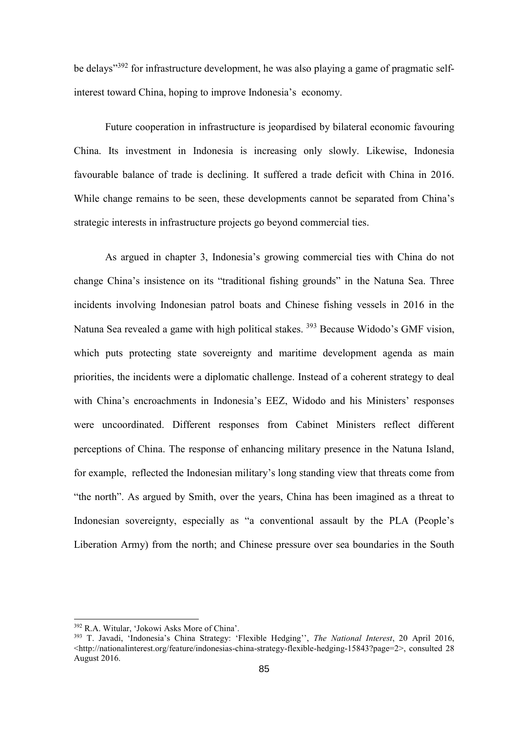be delays"<sup>392</sup> for infrastructure development, he was also playing a game of pragmatic selfinterest toward China, hoping to improve Indonesia's economy.

Future cooperation in infrastructure is jeopardised by bilateral economic favouring China. Its investment in Indonesia is increasing only slowly. Likewise, Indonesia favourable balance of trade is declining. It suffered a trade deficit with China in 2016. While change remains to be seen, these developments cannot be separated from China's strategic interests in infrastructure projects go beyond commercial ties.

As argued in chapter 3, Indonesia's growing commercial ties with China do not change China's insistence on its "traditional fishing grounds" in the Natuna Sea. Three incidents involving Indonesian patrol boats and Chinese fishing vessels in 2016 in the Natuna Sea revealed a game with high political stakes. <sup>393</sup> Because Widodo's GMF vision, which puts protecting state sovereignty and maritime development agenda as main priorities, the incidents were a diplomatic challenge. Instead of a coherent strategy to deal with China's encroachments in Indonesia's EEZ, Widodo and his Ministers' responses were uncoordinated. Different responses from Cabinet Ministers reflect different perceptions of China. The response of enhancing military presence in the Natuna Island, for example, reflected the Indonesian military's long standing view that threats come from "the north". As argued by Smith, over the years, China has been imagined as a threat to Indonesian sovereignty, especially as "a conventional assault by the PLA (People's Liberation Army) from the north; and Chinese pressure over sea boundaries in the South

<sup>392</sup> R.A. Witular, 'Jokowi Asks More of China'.

<sup>393</sup> T. Javadi, 'Indonesia's China Strategy: 'Flexible Hedging'', *The National Interest*, 20 April 2016, <http://nationalinterest.org/feature/indonesias-china-strategy-flexible-hedging-15843?page=2>, consulted 28 August 2016.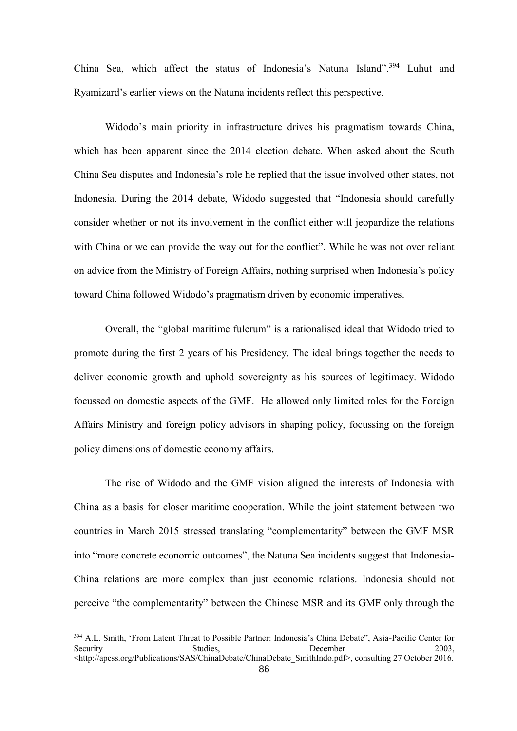China Sea, which affect the status of Indonesia's Natuna Island".<sup>394</sup> Luhut and Ryamizard's earlier views on the Natuna incidents reflect this perspective.

Widodo's main priority in infrastructure drives his pragmatism towards China, which has been apparent since the 2014 election debate. When asked about the South China Sea disputes and Indonesia's role he replied that the issue involved other states, not Indonesia. During the 2014 debate, Widodo suggested that "Indonesia should carefully consider whether or not its involvement in the conflict either will jeopardize the relations with China or we can provide the way out for the conflict". While he was not over reliant on advice from the Ministry of Foreign Affairs, nothing surprised when Indonesia's policy toward China followed Widodo's pragmatism driven by economic imperatives.

Overall, the "global maritime fulcrum" is a rationalised ideal that Widodo tried to promote during the first 2 years of his Presidency. The ideal brings together the needs to deliver economic growth and uphold sovereignty as his sources of legitimacy. Widodo focussed on domestic aspects of the GMF. He allowed only limited roles for the Foreign Affairs Ministry and foreign policy advisors in shaping policy, focussing on the foreign policy dimensions of domestic economy affairs.

The rise of Widodo and the GMF vision aligned the interests of Indonesia with China as a basis for closer maritime cooperation. While the joint statement between two countries in March 2015 stressed translating "complementarity" between the GMF MSR into "more concrete economic outcomes", the Natuna Sea incidents suggest that Indonesia-China relations are more complex than just economic relations. Indonesia should not perceive "the complementarity" between the Chinese MSR and its GMF only through the

<sup>394</sup> A.L. Smith, 'From Latent Threat to Possible Partner: Indonesia's China Debate", Asia-Pacific Center for Security Studies, Security Studies, December 2003, <http://apcss.org/Publications/SAS/ChinaDebate/ChinaDebate\_SmithIndo.pdf>, consulting 27 October 2016.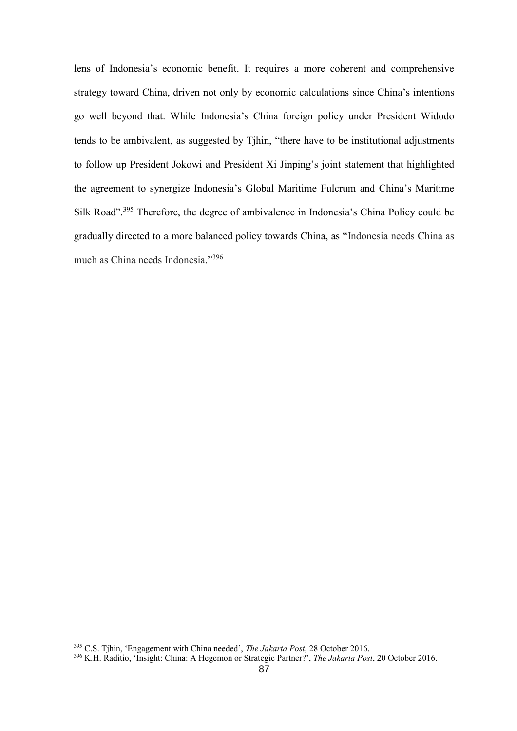lens of Indonesia's economic benefit. It requires a more coherent and comprehensive strategy toward China, driven not only by economic calculations since China's intentions go well beyond that. While Indonesia's China foreign policy under President Widodo tends to be ambivalent, as suggested by Tjhin, "there have to be institutional adjustments to follow up President Jokowi and President Xi Jinping's joint statement that highlighted the agreement to synergize Indonesia's Global Maritime Fulcrum and China's Maritime Silk Road".<sup>395</sup> Therefore, the degree of ambivalence in Indonesia's China Policy could be gradually directed to a more balanced policy towards China, as "Indonesia needs China as much as China needs Indonesia."<sup>396</sup>

<sup>395</sup> C.S. Tjhin, 'Engagement with China needed', *The Jakarta Post*, 28 October 2016.

<sup>396</sup> K.H. Raditio, 'Insight: China: A Hegemon or Strategic Partner?', *The Jakarta Post*, 20 October 2016.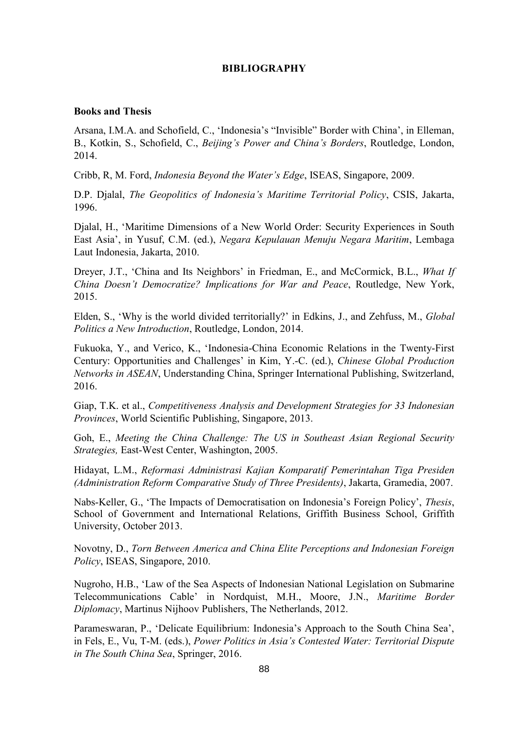## **BIBLIOGRAPHY**

# **Books and Thesis**

Arsana, I.M.A. and Schofield, C., 'Indonesia's "Invisible" Border with China', in Elleman, B., Kotkin, S., Schofield, C., *Beijing's Power and China's Borders*, Routledge, London, 2014.

Cribb, R, M. Ford, *Indonesia Beyond the Water's Edge*, ISEAS, Singapore, 2009.

D.P. Djalal, *The Geopolitics of Indonesia's Maritime Territorial Policy*, CSIS, Jakarta, 1996.

Djalal, H., 'Maritime Dimensions of a New World Order: Security Experiences in South East Asia', in Yusuf, C.M. (ed.), *Negara Kepulauan Menuju Negara Maritim*, Lembaga Laut Indonesia, Jakarta, 2010.

Dreyer, J.T., 'China and Its Neighbors' in Friedman, E., and McCormick, B.L., *What If China Doesn't Democratize? Implications for War and Peace*, Routledge, New York, 2015.

Elden, S., 'Why is the world divided territorially?' in Edkins, J., and Zehfuss, M., *Global Politics a New Introduction*, Routledge, London, 2014.

Fukuoka, Y., and Verico, K., 'Indonesia-China Economic Relations in the Twenty-First Century: Opportunities and Challenges' in Kim, Y.-C. (ed.), *Chinese Global Production Networks in ASEAN*, Understanding China, Springer International Publishing, Switzerland, 2016.

Giap, T.K. et al., *Competitiveness Analysis and Development Strategies for 33 Indonesian Provinces*, World Scientific Publishing, Singapore, 2013.

Goh, E., *Meeting the China Challenge: The US in Southeast Asian Regional Security Strategies,* East-West Center, Washington, 2005.

Hidayat, L.M., *Reformasi Administrasi Kajian Komparatif Pemerintahan Tiga Presiden (Administration Reform Comparative Study of Three Presidents)*, Jakarta, Gramedia, 2007.

Nabs-Keller, G., 'The Impacts of Democratisation on Indonesia's Foreign Policy', *Thesis*, School of Government and International Relations, Griffith Business School, Griffith University, October 2013.

Novotny, D., *Torn Between America and China Elite Perceptions and Indonesian Foreign Policy*, ISEAS, Singapore, 2010.

Nugroho, H.B., 'Law of the Sea Aspects of Indonesian National Legislation on Submarine Telecommunications Cable' in Nordquist, M.H., Moore, J.N., *Maritime Border Diplomacy*, Martinus Nijhoov Publishers, The Netherlands, 2012.

Parameswaran, P., 'Delicate Equilibrium: Indonesia's Approach to the South China Sea', in Fels, E., Vu, T-M. (eds.), *Power Politics in Asia's Contested Water: Territorial Dispute in The South China Sea*, Springer, 2016.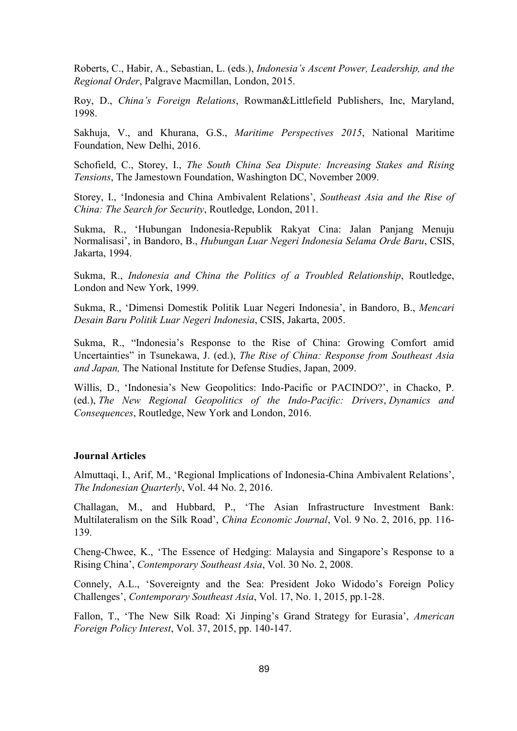Roberts, C., Habir, A., Sebastian, L. (eds.), *Indonesia's Ascent Power, Leadership, and the Regional Order*, Palgrave Macmillan, London, 2015.

Roy, D., *China's Foreign Relations*, Rowman&Littlefield Publishers, Inc, Maryland, 1998.

Sakhuja, V., and Khurana, G.S., *Maritime Perspectives 2015*, National Maritime Foundation, New Delhi, 2016.

Schofield, C., Storey, I., *The South China Sea Dispute: Increasing Stakes and Rising Tensions*, The Jamestown Foundation, Washington DC, November 2009.

Storey, I., 'Indonesia and China Ambivalent Relations', *Southeast Asia and the Rise of China: The Search for Security*, Routledge, London, 2011.

Sukma, R., 'Hubungan Indonesia-Republik Rakyat Cina: Jalan Panjang Menuju Normalisasi', in Bandoro, B., *Hubungan Luar Negeri Indonesia Selama Orde Baru*, CSIS, Jakarta, 1994.

Sukma, R., *Indonesia and China the Politics of a Troubled Relationship*, Routledge, London and New York, 1999.

Sukma, R., 'Dimensi Domestik Politik Luar Negeri Indonesia', in Bandoro, B., *Mencari Desain Baru Politik Luar Negeri Indonesia*, CSIS, Jakarta, 2005.

Sukma, R., "Indonesia's Response to the Rise of China: Growing Comfort amid Uncertainties" in Tsunekawa, J. (ed.), *The Rise of China: Response from Southeast Asia and Japan,* The National Institute for Defense Studies, Japan, 2009.

Willis, D., 'Indonesia's New Geopolitics: Indo-Pacific or PACINDO?', in Chacko, P. (ed.), *The New Regional Geopolitics of the Indo-Pacific: Drivers*, *Dynamics and Consequences*, Routledge, New York and London, 2016.

#### **Journal Articles**

Almuttaqi, I., Arif, M., 'Regional Implications of Indonesia-China Ambivalent Relations', *The Indonesian Quarterly*, Vol. 44 No. 2, 2016.

Challagan, M., and Hubbard, P., 'The Asian Infrastructure Investment Bank: Multilateralism on the Silk Road', *China Economic Journal*, Vol. 9 No. 2, 2016, pp. 116- 139.

Cheng-Chwee, K., 'The Essence of Hedging: Malaysia and Singapore's Response to a Rising China', *Contemporary Southeast Asia*, Vol. 30 No. 2, 2008.

Connely, A.L., 'Sovereignty and the Sea: President Joko Widodo's Foreign Policy Challenges', *Contemporary Southeast Asia*, Vol. 17, No. 1, 2015, pp.1-28.

Fallon, T., 'The New Silk Road: Xi Jinping's Grand Strategy for Eurasia', *American Foreign Policy Interest*, Vol. 37, 2015, pp. 140-147.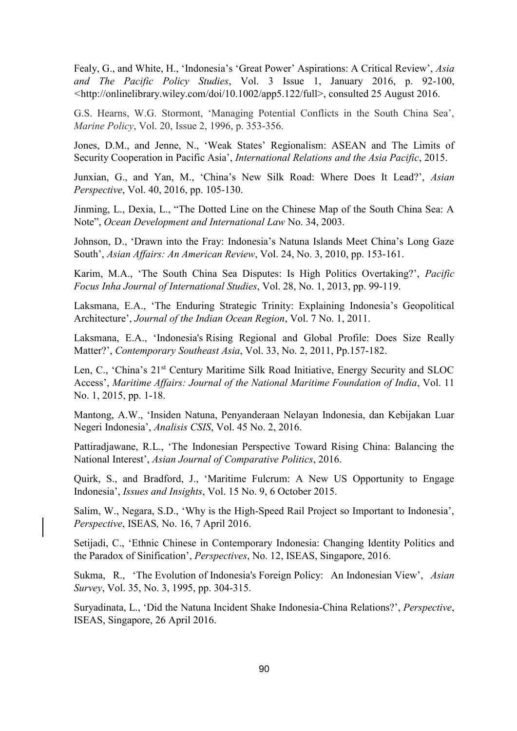Fealy, G., and White, H., 'Indonesia's 'Great Power' Aspirations: A Critical Review', *Asia and The Pacific Policy Studies*, Vol. 3 Issue 1, January 2016, p. 92-100, *<*http://onlinelibrary.wiley.com/doi/10.1002/app5.122/full>, consulted 25 August 2016.

G.S. Hearns, W.G. Stormont, 'Managing Potential Conflicts in the South China Sea', *Marine Policy*, Vol. 20, Issue 2, 1996, p. 353-356.

Jones, D.M., and Jenne, N., 'Weak States' Regionalism: ASEAN and The Limits of Security Cooperation in Pacific Asia', *International Relations and the Asia Pacific*, 2015.

Junxian, G., and Yan, M., 'China's New Silk Road: Where Does It Lead?', *Asian Perspective*, Vol. 40, 2016, pp. 105-130.

Jinming, L., Dexia, L., "The Dotted Line on the Chinese Map of the South China Sea: A Note", *Ocean Development and International Law* No. 34, 2003.

Johnson, D., 'Drawn into the Fray: Indonesia's Natuna Islands Meet China's Long Gaze South', *Asian Affairs: An American Review*, Vol. 24, No. 3, 2010, pp. 153-161.

Karim, M.A., 'The South China Sea Disputes: Is High Politics Overtaking?', *Pacific Focus Inha Journal of International Studies*, Vol. 28, No. 1, 2013, pp. 99-119.

Laksmana, E.A., 'The Enduring Strategic Trinity: Explaining Indonesia's Geopolitical Architecture', *Journal of the Indian Ocean Region*, Vol. 7 No. 1, 2011.

Laksmana, E.A., 'Indonesia's Rising Regional and Global Profile: Does Size Really Matter?', *Contemporary Southeast Asia*, Vol. 33, No. 2, 2011, Pp.157-182.

Len, C., 'China's 21<sup>st</sup> Century Maritime Silk Road Initiative, Energy Security and SLOC Access', *Maritime Affairs: Journal of the National Maritime Foundation of India*, Vol. 11 No. 1, 2015, pp. 1-18.

Mantong, A.W., 'Insiden Natuna, Penyanderaan Nelayan Indonesia, dan Kebijakan Luar Negeri Indonesia', *Analisis CSIS*, Vol. 45 No. 2, 2016.

Pattiradjawane, R.L., 'The Indonesian Perspective Toward Rising China: Balancing the National Interest', *Asian Journal of Comparative Politics*, 2016.

Quirk, S., and Bradford, J., 'Maritime Fulcrum: A New US Opportunity to Engage Indonesia', *Issues and Insights*, Vol. 15 No. 9, 6 October 2015.

Salim, W., Negara, S.D., 'Why is the High-Speed Rail Project so Important to Indonesia', *Perspective*, ISEAS*,* No. 16, 7 April 2016.

Setijadi, C., 'Ethnic Chinese in Contemporary Indonesia: Changing Identity Politics and the Paradox of Sinification', *Perspectives*, No. 12, ISEAS, Singapore, 2016.

Sukma, R., 'The Evolution of Indonesia's Foreign Policy: An Indonesian View', *Asian Survey*, Vol. 35, No. 3, 1995, pp. 304-315.

Suryadinata, L., 'Did the Natuna Incident Shake Indonesia-China Relations?', *Perspective*, ISEAS, Singapore, 26 April 2016.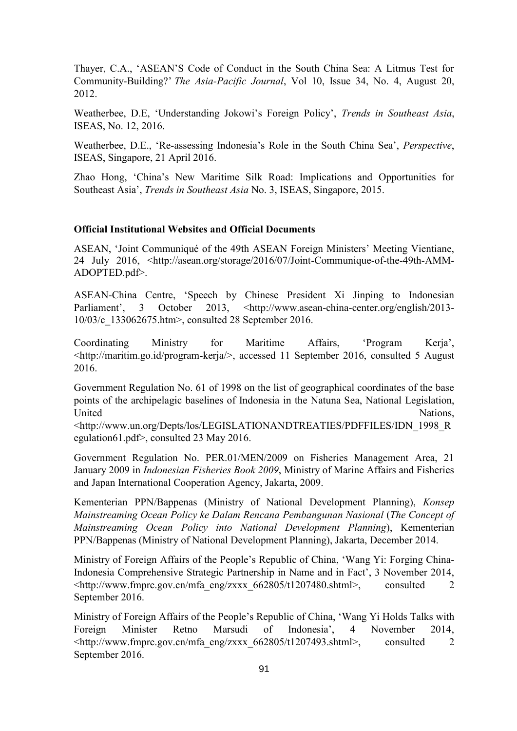Thayer, C.A., 'ASEAN'S Code of Conduct in the South China Sea: A Litmus Test for Community-Building?' *The Asia-Pacific Journal*, Vol 10, Issue 34, No. 4, August 20, 2012.

Weatherbee, D.E, 'Understanding Jokowi's Foreign Policy', *Trends in Southeast Asia*, ISEAS, No. 12, 2016.

Weatherbee, D.E., 'Re-assessing Indonesia's Role in the South China Sea', *Perspective*, ISEAS, Singapore, 21 April 2016.

Zhao Hong, 'China's New Maritime Silk Road: Implications and Opportunities for Southeast Asia', *Trends in Southeast Asia* No. 3, ISEAS, Singapore, 2015.

#### **Official Institutional Websites and Official Documents**

ASEAN, 'Joint Communiqué of the 49th ASEAN Foreign Ministers' Meeting Vientiane, 24 July 2016, <http://asean.org/storage/2016/07/Joint-Communique-of-the-49th-AMM-ADOPTED.pdf>.

ASEAN-China Centre, 'Speech by Chinese President Xi Jinping to Indonesian Parliament', 3 October 2013, [<http://www.asean-china-center.org/english/2013-](http://www.asean-china-center.org/english/2013-10/03/c_133062675.htm) [10/03/c\\_133062675.htm>](http://www.asean-china-center.org/english/2013-10/03/c_133062675.htm), consulted 28 September 2016.

Coordinating Ministry for Maritime Affairs, 'Program Kerja', <http://maritim.go.id/program-kerja/>, accessed 11 September 2016, consulted 5 August 2016.

Government Regulation No. 61 of 1998 on the list of geographical coordinates of the base points of the archipelagic baselines of Indonesia in the Natuna Sea, National Legislation, United Nations,

<http://www.un.org/Depts/los/LEGISLATIONANDTREATIES/PDFFILES/IDN\_1998\_R egulation61.pdf>, consulted 23 May 2016.

Government Regulation No. PER.01/MEN/2009 on Fisheries Management Area, 21 January 2009 in *Indonesian Fisheries Book 2009*, Ministry of Marine Affairs and Fisheries and Japan International Cooperation Agency, Jakarta, 2009.

Kementerian PPN/Bappenas (Ministry of National Development Planning), *Konsep Mainstreaming Ocean Policy ke Dalam Rencana Pembangunan Nasional* (*The Concept of Mainstreaming Ocean Policy into National Development Planning*), Kementerian PPN/Bappenas (Ministry of National Development Planning), Jakarta, December 2014.

Ministry of Foreign Affairs of the People's Republic of China, 'Wang Yi: Forging China-Indonesia Comprehensive Strategic Partnership in Name and in Fact', 3 November 2014,  $\lt$ http://www.fmprc.gov.cn/mfa\_eng/zxxx\_662805/t1207480.shtml>, consulted 2 September 2016.

Ministry of Foreign Affairs of the People's Republic of China, 'Wang Yi Holds Talks with Foreign Minister Retno Marsudi of Indonesia', 4 November 2014,  $\lt$ http://www.fmprc.gov.cn/mfa\_eng/zxxx\_662805/t1207493.shtml>, consulted 2 September 2016.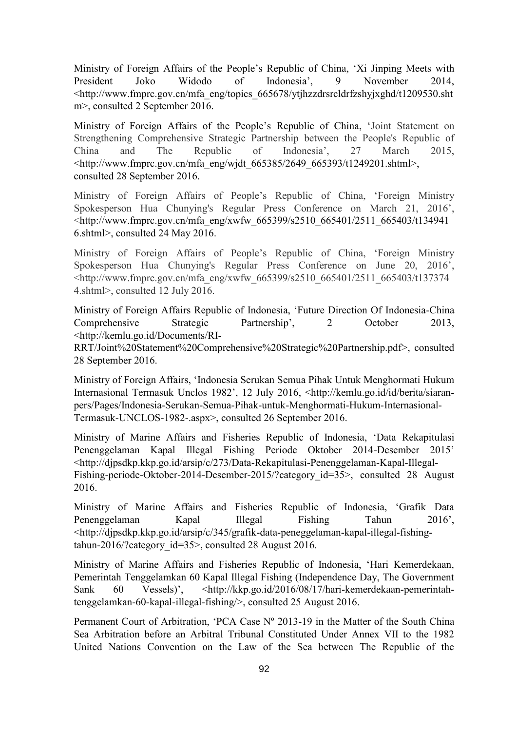Ministry of Foreign Affairs of the People's Republic of China, 'Xi Jinping Meets with President Joko Widodo of Indonesia', 9 November 2014, <http://www.fmprc.gov.cn/mfa\_eng/topics\_665678/ytjhzzdrsrcldrfzshyjxghd/t1209530.sht m>, consulted 2 September 2016.

Ministry of Foreign Affairs of the People's Republic of China, 'Joint Statement on Strengthening Comprehensive Strategic Partnership between the People's Republic of China and The Republic of Indonesia', 27 March 2015, <http://www.fmprc.gov.cn/mfa\_eng/wjdt\_665385/2649\_665393/t1249201.shtml>, consulted 28 September 2016.

Ministry of Foreign Affairs of People's Republic of China, 'Foreign Ministry Spokesperson Hua Chunying's Regular Press Conference on March 21, 2016', <http://www.fmprc.gov.cn/mfa\_eng/xwfw\_665399/s2510\_665401/2511\_665403/t134941 6.shtml>, consulted 24 May 2016.

Ministry of Foreign Affairs of People's Republic of China, 'Foreign Ministry Spokesperson Hua Chunying's Regular Press Conference on June 20, 2016', <http://www.fmprc.gov.cn/mfa\_eng/xwfw\_665399/s2510\_665401/2511\_665403/t137374 4.shtml>, consulted 12 July 2016.

Ministry of Foreign Affairs Republic of Indonesia, 'Future Direction Of Indonesia-China Comprehensive Strategic Partnership', 2 October 2013, [<http://kemlu.go.id/Documents/RI-](http://kemlu.go.id/Documents/RI-RRT/Joint%20Statement%20Comprehensive%20Strategic%20Partnership.pdf)

[RRT/Joint%20Statement%20Comprehensive%20Strategic%20Partnership.pdf>](http://kemlu.go.id/Documents/RI-RRT/Joint%20Statement%20Comprehensive%20Strategic%20Partnership.pdf), consulted 28 September 2016.

Ministry of Foreign Affairs, 'Indonesia Serukan Semua Pihak Untuk Menghormati Hukum Internasional Termasuk Unclos 1982', 12 July 2016, <http://kemlu.go.id/id/berita/siaranpers/Pages/Indonesia-Serukan-Semua-Pihak-untuk-Menghormati-Hukum-Internasional-Termasuk-UNCLOS-1982-.aspx>, consulted 26 September 2016.

Ministry of Marine Affairs and Fisheries Republic of Indonesia, 'Data Rekapitulasi Penenggelaman Kapal Illegal Fishing Periode Oktober 2014-Desember 2015' [<http://djpsdkp.kkp.go.id/arsip/c/273/Data-Rekapitulasi-Penenggelaman-Kapal-Illegal-](http://djpsdkp.kkp.go.id/arsip/c/273/Data-Rekapitulasi-Penenggelaman-Kapal-Illegal-Fishing-periode-Oktober-2014-Desember-2015/?category_id=35)Fishing-periode-Oktober-2014-Desember-2015/?category id=35>, consulted 28 August 2016.

Ministry of Marine Affairs and Fisheries Republic of Indonesia, 'Grafik Data Penenggelaman Kapal Illegal Fishing Tahun 2016', [<http://djpsdkp.kkp.go.id/arsip/c/345/grafik-data-peneggelaman-kapal-illegal-fishing](http://djpsdkp.kkp.go.id/arsip/c/345/GRAFIK-DATA-PENEGGELAMAN-KAPAL-ILLEGAL-FISHING-TAHUN-2016/?category_id=35)tahun-2016/?category  $id=35$ >, consulted 28 August 2016.

Ministry of Marine Affairs and Fisheries Republic of Indonesia, 'Hari Kemerdekaan, Pemerintah Tenggelamkan 60 Kapal Illegal Fishing (Independence Day, The Government Sank 60 Vessels)', <http://kkp.go.id/2016/08/17/hari-kemerdekaan-pemerintahtenggelamkan-60-kapal-illegal-fishing/>, consulted 25 August 2016.

Permanent Court of Arbitration, 'PCA Case Nº 2013-19 in the Matter of the South China Sea Arbitration before an Arbitral Tribunal Constituted Under Annex VII to the 1982 United Nations Convention on the Law of the Sea between The Republic of the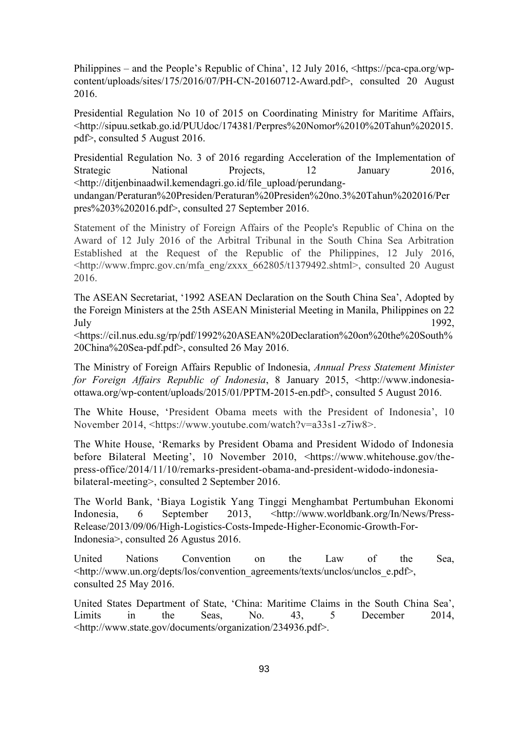Philippines – and the People's Republic of China', 12 July 2016, <https://pca-cpa.org/wpcontent/uploads/sites/175/2016/07/PH-CN-20160712-Award.pdf>, consulted 20 August 2016.

Presidential Regulation No 10 of 2015 on Coordinating Ministry for Maritime Affairs, <http://sipuu.setkab.go.id/PUUdoc/174381/Perpres%20Nomor%2010%20Tahun%202015. pdf>, consulted 5 August 2016.

Presidential Regulation No. 3 of 2016 regarding Acceleration of the Implementation of Strategic National Projects, 12 January 2016, <http://ditjenbinaadwil.kemendagri.go.id/file\_upload/perundang-

undangan/Peraturan%20Presiden/Peraturan%20Presiden%20no.3%20Tahun%202016/Per pres%203%202016.pdf>, consulted 27 September 2016.

Statement of the Ministry of Foreign Affairs of the People's Republic of China on the Award of 12 July 2016 of the Arbitral Tribunal in the South China Sea Arbitration Established at the Request of the Republic of the Philippines, 12 July 2016, <http://www.fmprc.gov.cn/mfa\_eng/zxxx\_662805/t1379492.shtml>, consulted 20 August 2016.

The ASEAN Secretariat, '1992 ASEAN Declaration on the South China Sea', Adopted by the Foreign Ministers at the 25th ASEAN Ministerial Meeting in Manila, Philippines on 22 July 1992,

<https://cil.nus.edu.sg/rp/pdf/1992%20ASEAN%20Declaration%20on%20the%20South% 20China%20Sea-pdf.pdf>, consulted 26 May 2016.

The Ministry of Foreign Affairs Republic of Indonesia, *Annual Press Statement Minister for Foreign Affairs Republic of Indonesia*, 8 January 2015, <http://www.indonesiaottawa.org/wp-content/uploads/2015/01/PPTM-2015-en.pdf>, consulted 5 August 2016.

The White House, 'President Obama meets with the President of Indonesia', 10 November 2014, <https://www.youtube.com/watch?v=a33s1-z7iw8>.

The White House, 'Remarks by President Obama and President Widodo of Indonesia before Bilateral Meeting', 10 November 2010, <https://www.whitehouse.gov/thepress-office/2014/11/10/remarks-president-obama-and-president-widodo-indonesiabilateral-meeting>, consulted 2 September 2016.

The World Bank, 'Biaya Logistik Yang Tinggi Menghambat Pertumbuhan Ekonomi Indonesia, 6 September 2013, <http://www.worldbank.org/In/News/Press-Release/2013/09/06/High-Logistics-Costs-Impede-Higher-Economic-Growth-For-Indonesia>, consulted 26 Agustus 2016.

United Nations Convention on the Law of the Sea, <http://www.un.org/depts/los/convention\_agreements/texts/unclos/unclos\_e.pdf>, consulted 25 May 2016.

United States Department of State, 'China: Maritime Claims in the South China Sea', Limits in the Seas, No. 43, 5 December 2014, [<http://www.state.gov/documents/organization/234936.pdf>](http://www.state.gov/documents/organization/234936.pdf).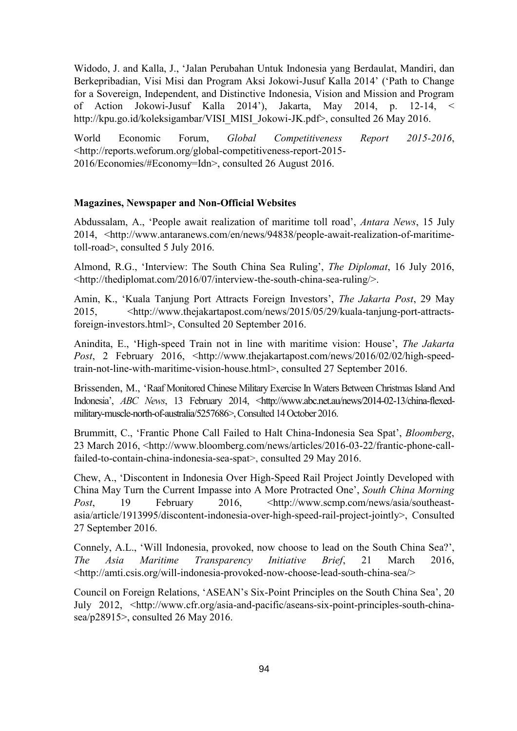Widodo, J. and Kalla, J., 'Jalan Perubahan Untuk Indonesia yang Berdaulat, Mandiri, dan Berkepribadian, Visi Misi dan Program Aksi Jokowi-Jusuf Kalla 2014' ('Path to Change for a Sovereign, Independent, and Distinctive Indonesia, Vision and Mission and Program of Action Jokowi-Jusuf Kalla 2014'), Jakarta, May 2014, p. 12-14, < http://kpu.go.id/koleksigambar/VISI\_MISI\_Jokowi-JK.pdf>, consulted 26 May 2016.

World Economic Forum, *Global Competitiveness Report 2015-2016*, <http://reports.weforum.org/global-competitiveness-report-2015- 2016/Economies/#Economy=Idn>, consulted 26 August 2016.

### **Magazines, Newspaper and Non-Official Websites**

Abdussalam, A., 'People await realization of maritime toll road', *Antara News*, 15 July 2014, <http://www.antaranews.com/en/news/94838/people-await-realization-of-maritimetoll-road>, consulted 5 July 2016.

Almond, R.G., 'Interview: The South China Sea Ruling', *The Diplomat*, 16 July 2016, <http://thediplomat.com/2016/07/interview-the-south-china-sea-ruling/>.

Amin, K., 'Kuala Tanjung Port Attracts Foreign Investors', *The Jakarta Post*, 29 May 2015, <http://www.thejakartapost.com/news/2015/05/29/kuala-tanjung-port-attractsforeign-investors.html>, Consulted 20 September 2016.

Anindita, E., 'High-speed Train not in line with maritime vision: House', *The Jakarta Post*, 2 February 2016, <http://www.thejakartapost.com/news/2016/02/02/high-speedtrain-not-line-with-maritime-vision-house.html>, consulted 27 September 2016.

Brissenden, M., 'Raaf Monitored Chinese Military Exercise In Waters Between Christmas Island And Indonesia', *ABC News*, 13 February 2014, [<http://www.abc.net.au/news/2014-02-13/china-flexed](http://www.abc.net.au/news/2014-02-13/china-flexed-military-muscle-north-of-australia/5257686)[military-muscle-north-of-australia/5257686>](http://www.abc.net.au/news/2014-02-13/china-flexed-military-muscle-north-of-australia/5257686), Consulted 14 October 2016.

Brummitt, C., 'Frantic Phone Call Failed to Halt China-Indonesia Sea Spat', *Bloomberg*, 23 March 2016, [<http://www.bloomberg.com/news/articles/2016-03-22/frantic-phone-call](http://www.bloomberg.com/news/articles/2016-03-22/frantic-phone-call-failed-to-contain-china-indonesia-sea-spat)[failed-to-contain-china-indonesia-sea-spat>](http://www.bloomberg.com/news/articles/2016-03-22/frantic-phone-call-failed-to-contain-china-indonesia-sea-spat), consulted 29 May 2016.

Chew, A., 'Discontent in Indonesia Over High-Speed Rail Project Jointly Developed with China May Turn the Current Impasse into A More Protracted One', *South China Morning Post*, 19 February 2016, <http://www.scmp.com/news/asia/southeastasia/article/1913995/discontent-indonesia-over-high-speed-rail-project-jointly>, Consulted 27 September 2016.

Connely, A.L., 'Will Indonesia, provoked, now choose to lead on the South China Sea?', *The Asia Maritime Transparency Initiative Brief*, 21 March 2016, <http://amti.csis.org/will-indonesia-provoked-now-choose-lead-south-china-sea/>

Council on Foreign Relations, 'ASEAN's Six-Point Principles on the South China Sea', 20 July 2012, [<http://www.cfr.org/asia-and-pacific/aseans-six-point-principles-south-china](http://www.cfr.org/asia-and-pacific/aseans-six-point-principles-south-china-sea/p28915)[sea/p28915>](http://www.cfr.org/asia-and-pacific/aseans-six-point-principles-south-china-sea/p28915), consulted 26 May 2016.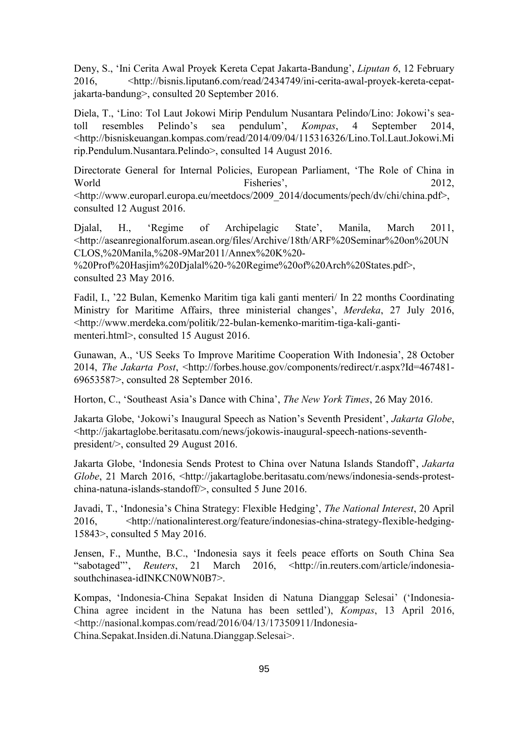Deny, S., 'Ini Cerita Awal Proyek Kereta Cepat Jakarta-Bandung', *Liputan 6*, 12 February 2016, <http://bisnis.liputan6.com/read/2434749/ini-cerita-awal-proyek-kereta-cepatjakarta-bandung>, consulted 20 September 2016.

Diela, T., 'Lino: Tol Laut Jokowi Mirip Pendulum Nusantara Pelindo/Lino: Jokowi's seatoll resembles Pelindo's sea pendulum', *Kompas*, 4 September 2014, <http://bisniskeuangan.kompas.com/read/2014/09/04/115316326/Lino.Tol.Laut.Jokowi.Mi rip.Pendulum.Nusantara.Pelindo>, consulted 14 August 2016.

Directorate General for Internal Policies, European Parliament, 'The Role of China in World Fisheries', 2012, <http://www.europarl.europa.eu/meetdocs/2009\_2014/documents/pech/dv/chi/china.pdf>, consulted 12 August 2016.

Djalal, H., 'Regime of Archipelagic State', Manila, March 2011, <http://aseanregionalforum.asean.org/files/Archive/18th/ARF%20Seminar%20on%20UN CLOS,%20Manila,%208-9Mar2011/Annex%20K%20-

%20Prof%20Hasjim%20Djalal%20-%20Regime%20of%20Arch%20States.pdf>, consulted 23 May 2016.

Fadil, I., '22 Bulan, Kemenko Maritim tiga kali ganti menteri/ In 22 months Coordinating Ministry for Maritime Affairs, three ministerial changes', *Merdeka*, 27 July 2016, <http://www.merdeka.com/politik/22-bulan-kemenko-maritim-tiga-kali-gantimenteri.html>, consulted 15 August 2016.

Gunawan, A., 'US Seeks To Improve Maritime Cooperation With Indonesia', 28 October 2014, *The Jakarta Post*, [<http://forbes.house.gov/components/redirect/r.aspx?Id=467481-](http://forbes.house.gov/components/redirect/r.aspx?Id=467481-69653587) [69653587>](http://forbes.house.gov/components/redirect/r.aspx?Id=467481-69653587), consulted 28 September 2016.

Horton, C., 'Southeast Asia's Dance with China', *The New York Times*, 26 May 2016.

Jakarta Globe, 'Jokowi's Inaugural Speech as Nation's Seventh President', *Jakarta Globe*, <http://jakartaglobe.beritasatu.com/news/jokowis-inaugural-speech-nations-seventhpresident/>, consulted 29 August 2016.

Jakarta Globe, 'Indonesia Sends Protest to China over Natuna Islands Standoff', *Jakarta Globe*, 21 March 2016, <http://jakartaglobe.beritasatu.com/news/indonesia-sends-protestchina-natuna-islands-standoff/>, consulted 5 June 2016.

Javadi, T., 'Indonesia's China Strategy: Flexible Hedging', *The National Interest*, 20 April 2016, <http://nationalinterest.org/feature/indonesias-china-strategy-flexible-hedging-15843>, consulted 5 May 2016.

Jensen, F., Munthe, B.C., 'Indonesia says it feels peace efforts on South China Sea "sabotaged"', *Reuters*, 21 March 2016, <http://in.reuters.com/article/indonesiasouthchinasea-idINKCN0WN0B7>.

Kompas, 'Indonesia-China Sepakat Insiden di Natuna Dianggap Selesai' ('Indonesia-China agree incident in the Natuna has been settled'), *Kompas*, 13 April 2016, <http://nasional.kompas.com/read/2016/04/13/17350911/Indonesia-China.Sepakat.Insiden.di.Natuna.Dianggap.Selesai>.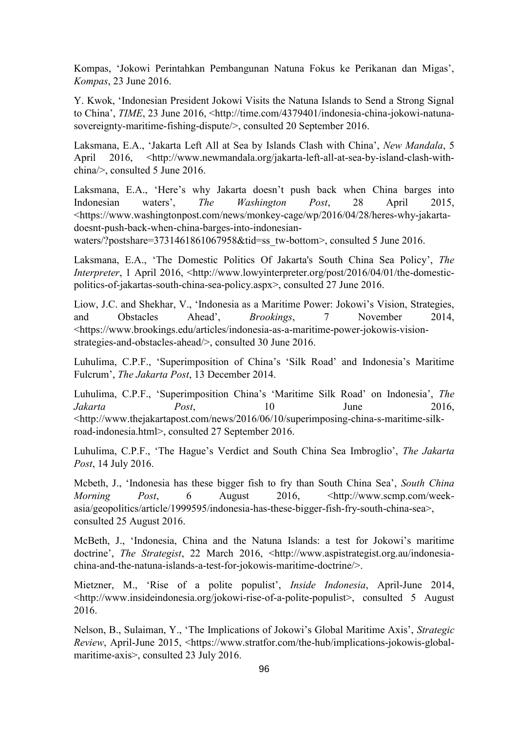Kompas, 'Jokowi Perintahkan Pembangunan Natuna Fokus ke Perikanan dan Migas', *Kompas*, 23 June 2016.

Y. Kwok, 'Indonesian President Jokowi Visits the Natuna Islands to Send a Strong Signal to China', *TIME*, 23 June 2016, <http://time.com/4379401/indonesia-china-jokowi-natunasovereignty-maritime-fishing-dispute/>, consulted 20 September 2016.

Laksmana, E.A., 'Jakarta Left All at Sea by Islands Clash with China', *New Mandala*, 5 April 2016, <http://www.newmandala.org/jakarta-left-all-at-sea-by-island-clash-withchina/>, consulted 5 June 2016.

Laksmana, E.A., 'Here's why Jakarta doesn't push back when China barges into Indonesian waters', *The Washington Post*, 28 April 2015, [<https://www.washingtonpost.com/news/monkey-cage/wp/2016/04/28/heres-why-jakarta](https://www.washingtonpost.com/news/monkey-cage/wp/2016/04/28/heres-why-jakarta-doesnt-push-back-when-china-barges-into-indonesian-waters/?postshare=3731461861067958&tid=ss_tw-bottom)[doesnt-push-back-when-china-barges-into-indonesian-](https://www.washingtonpost.com/news/monkey-cage/wp/2016/04/28/heres-why-jakarta-doesnt-push-back-when-china-barges-into-indonesian-waters/?postshare=3731461861067958&tid=ss_tw-bottom)

[waters/?postshare=3731461861067958&tid=ss\\_tw-bottom>](https://www.washingtonpost.com/news/monkey-cage/wp/2016/04/28/heres-why-jakarta-doesnt-push-back-when-china-barges-into-indonesian-waters/?postshare=3731461861067958&tid=ss_tw-bottom), consulted 5 June 2016.

Laksmana, E.A., 'The Domestic Politics Of Jakarta's South China Sea Policy', *The Interpreter*, 1 April 2016, <http://www.lowyinterpreter.org/post/2016/04/01/the-domesticpolitics-of-jakartas-south-china-sea-policy.aspx>, consulted 27 June 2016.

Liow, J.C. and Shekhar, V., 'Indonesia as a Maritime Power: Jokowi's Vision, Strategies, and Obstacles Ahead', *Brookings*, 7 November 2014, <https://www.brookings.edu/articles/indonesia-as-a-maritime-power-jokowis-visionstrategies-and-obstacles-ahead/>, consulted 30 June 2016.

Luhulima, C.P.F., 'Superimposition of China's 'Silk Road' and Indonesia's Maritime Fulcrum', *The Jakarta Post*, 13 December 2014.

Luhulima, C.P.F., 'Superimposition China's 'Maritime Silk Road' on Indonesia', *The Jakarta Post*, 10 June 2016, <http://www.thejakartapost.com/news/2016/06/10/superimposing-china-s-maritime-silkroad-indonesia.html>, consulted 27 September 2016.

Luhulima, C.P.F., 'The Hague's Verdict and South China Sea Imbroglio', *The Jakarta Post*, 14 July 2016.

Mcbeth, J., 'Indonesia has these bigger fish to fry than South China Sea', *South China Morning Post*, 6 August 2016, <http://www.scmp.com/weekasia/geopolitics/article/1999595/indonesia-has-these-bigger-fish-fry-south-china-sea>, consulted 25 August 2016.

McBeth, J., 'Indonesia, China and the Natuna Islands: a test for Jokowi's maritime doctrine', *The Strategist*, 22 March 2016, <http://www.aspistrategist.org.au/indonesiachina-and-the-natuna-islands-a-test-for-jokowis-maritime-doctrine/>.

Mietzner, M., 'Rise of a polite populist', *Inside Indonesia*, April-June 2014, <http://www.insideindonesia.org/jokowi-rise-of-a-polite-populist>, consulted 5 August 2016.

Nelson, B., Sulaiman, Y., 'The Implications of Jokowi's Global Maritime Axis', *Strategic Review*, April-June 2015, <https://www.stratfor.com/the-hub/implications-jokowis-globalmaritime-axis>, consulted 23 July 2016.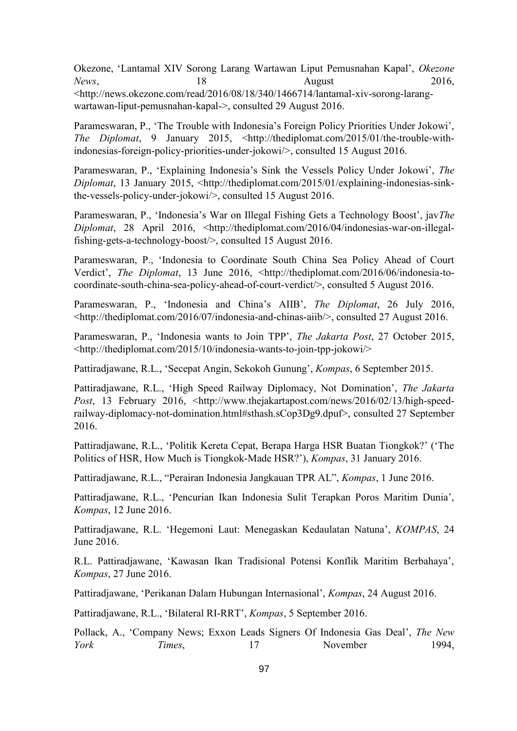Okezone, 'Lantamal XIV Sorong Larang Wartawan Liput Pemusnahan Kapal', *Okezone News*, 2016, 18 August 2016, <http://news.okezone.com/read/2016/08/18/340/1466714/lantamal-xiv-sorong-larangwartawan-liput-pemusnahan-kapal->, consulted 29 August 2016.

Parameswaran, P., 'The Trouble with Indonesia's Foreign Policy Priorities Under Jokowi', *The Diplomat*, 9 January 2015, <http://thediplomat.com/2015/01/the-trouble-withindonesias-foreign-policy-priorities-under-jokowi/>, consulted 15 August 2016.

Parameswaran, P., 'Explaining Indonesia's Sink the Vessels Policy Under Jokowi', *The Diplomat*, 13 January 2015, <http://thediplomat.com/2015/01/explaining-indonesias-sinkthe-vessels-policy-under-jokowi/>, consulted 15 August 2016.

Parameswaran, P., 'Indonesia's War on Illegal Fishing Gets a Technology Boost', jav*The Diplomat*, 28 April 2016, <http://thediplomat.com/2016/04/indonesias-war-on-illegalfishing-gets-a-technology-boost/>, consulted 15 August 2016.

Parameswaran, P., 'Indonesia to Coordinate South China Sea Policy Ahead of Court Verdict', *The Diplomat*, 13 June 2016, <http://thediplomat.com/2016/06/indonesia-tocoordinate-south-china-sea-policy-ahead-of-court-verdict/>, consulted 5 August 2016.

Parameswaran, P., 'Indonesia and China's AIIB', *The Diplomat*, 26 July 2016, <http://thediplomat.com/2016/07/indonesia-and-chinas-aiib/>, consulted 27 August 2016.

Parameswaran, P., 'Indonesia wants to Join TPP', *The Jakarta Post*, 27 October 2015, <http://thediplomat.com/2015/10/indonesia-wants-to-join-tpp-jokowi/>

Pattiradjawane, R.L., 'Secepat Angin, Sekokoh Gunung', *Kompas*, 6 September 2015.

Pattiradjawane, R.L., 'High Speed Railway Diplomacy, Not Domination', *The Jakarta*  Post, 13 February 2016, <http://www.thejakartapost.com/news/2016/02/13/high-speedrailway-diplomacy-not-domination.html#sthash.sCop3Dg9.dpuf>, consulted 27 September 2016.

Pattiradjawane, R.L., 'Politik Kereta Cepat, Berapa Harga HSR Buatan Tiongkok?' ('The Politics of HSR, How Much is Tiongkok-Made HSR?'), *Kompas*, 31 January 2016.

Pattiradjawane, R.L., "Perairan Indonesia Jangkauan TPR AL", *Kompas*, 1 June 2016.

Pattiradjawane, R.L., 'Pencurian Ikan Indonesia Sulit Terapkan Poros Maritim Dunia', *Kompas*, 12 June 2016.

Pattiradjawane, R.L. 'Hegemoni Laut: Menegaskan Kedaulatan Natuna', *KOMPAS*, 24 June 2016.

R.L. Pattiradjawane, 'Kawasan Ikan Tradisional Potensi Konflik Maritim Berbahaya', *Kompas*, 27 June 2016.

Pattiradjawane, 'Perikanan Dalam Hubungan Internasional', *Kompas*, 24 August 2016.

Pattiradjawane, R.L., 'Bilateral RI-RRT', *Kompas*, 5 September 2016.

Pollack, A., 'Company News; Exxon Leads Signers Of Indonesia Gas Deal', *The New York Times*, 17 November 1994,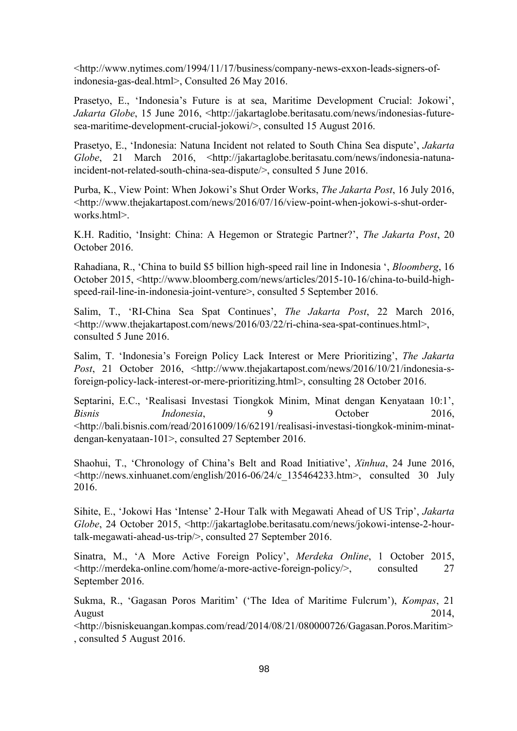<http://www.nytimes.com/1994/11/17/business/company-news-exxon-leads-signers-ofindonesia-gas-deal.html>, Consulted 26 May 2016.

Prasetyo, E., 'Indonesia's Future is at sea, Maritime Development Crucial: Jokowi', Jakarta Globe, 15 June 2016, <http://jakartaglobe.beritasatu.com/news/indonesias-futuresea-maritime-development-crucial-jokowi/>, consulted 15 August 2016.

Prasetyo, E., 'Indonesia: Natuna Incident not related to South China Sea dispute', *Jakarta Globe*, 21 March 2016, <http://jakartaglobe.beritasatu.com/news/indonesia-natunaincident-not-related-south-china-sea-dispute/>, consulted 5 June 2016.

Purba, K., View Point: When Jokowi's Shut Order Works, *The Jakarta Post*, 16 July 2016, <http://www.thejakartapost.com/news/2016/07/16/view-point-when-jokowi-s-shut-orderworks.html>.

K.H. Raditio, 'Insight: China: A Hegemon or Strategic Partner?', *The Jakarta Post*, 20 October 2016.

Rahadiana, R., 'China to build \$5 billion high-speed rail line in Indonesia ', *Bloomberg*, 16 October 2015, <http://www.bloomberg.com/news/articles/2015-10-16/china-to-build-highspeed-rail-line-in-indonesia-joint-venture>, consulted 5 September 2016.

Salim, T., 'RI-China Sea Spat Continues', *The Jakarta Post*, 22 March 2016, <http://www.thejakartapost.com/news/2016/03/22/ri-china-sea-spat-continues.html>, consulted 5 June 2016.

Salim, T. 'Indonesia's Foreign Policy Lack Interest or Mere Prioritizing', *The Jakarta*  Post, 21 October 2016, [<http://www.thejakartapost.com/news/2016/10/21/indonesia-s](http://www.thejakartapost.com/news/2016/10/21/indonesia-s-foreign-policy-lack-interest-or-mere-prioritizing.html)[foreign-policy-lack-interest-or-mere-prioritizing.html>](http://www.thejakartapost.com/news/2016/10/21/indonesia-s-foreign-policy-lack-interest-or-mere-prioritizing.html), consulting 28 October 2016.

Septarini, E.C., 'Realisasi Investasi Tiongkok Minim, Minat dengan Kenyataan 10:1', *Bisnis Indonesia*, 9 October 2016, <http://bali.bisnis.com/read/20161009/16/62191/realisasi-investasi-tiongkok-minim-minatdengan-kenyataan-101>, consulted 27 September 2016.

Shaohui, T., 'Chronology of China's Belt and Road Initiative', *Xinhua*, 24 June 2016, <http://news.xinhuanet.com/english/2016-06/24/c\_135464233.htm>, consulted 30 July 2016.

Sihite, E., 'Jokowi Has 'Intense' 2-Hour Talk with Megawati Ahead of US Trip', *Jakarta Globe*, 24 October 2015, <http://jakartaglobe.beritasatu.com/news/jokowi-intense-2-hourtalk-megawati-ahead-us-trip/>, consulted 27 September 2016.

Sinatra, M., 'A More Active Foreign Policy', *Merdeka Online*, 1 October 2015, <http://merdeka-online.com/home/a-more-active-foreign-policy/>, consulted 27 September 2016.

Sukma, R., 'Gagasan Poros Maritim' ('The Idea of Maritime Fulcrum'), *Kompas*, 21 August 2014,

<http://bisniskeuangan.kompas.com/read/2014/08/21/080000726/Gagasan.Poros.Maritim> , consulted 5 August 2016.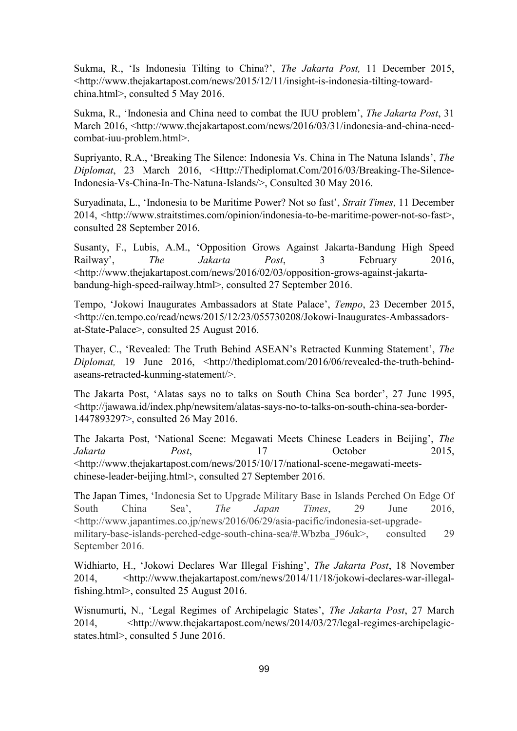Sukma, R., 'Is Indonesia Tilting to China?', *The Jakarta Post,* 11 December 2015, <http://www.thejakartapost.com/news/2015/12/11/insight-is-indonesia-tilting-towardchina.html>, consulted 5 May 2016.

Sukma, R., 'Indonesia and China need to combat the IUU problem', *The Jakarta Post*, 31 March 2016, <http://www.thejakartapost.com/news/2016/03/31/indonesia-and-china-needcombat-iuu-problem.html>.

Supriyanto, R.A., 'Breaking The Silence: Indonesia Vs. China in The Natuna Islands', *The Diplomat*, 23 March 2016, <Http://Thediplomat.Com/2016/03/Breaking-The-Silence-Indonesia-Vs-China-In-The-Natuna-Islands/>, Consulted 30 May 2016.

Suryadinata, L., 'Indonesia to be Maritime Power? Not so fast', *Strait Times*, 11 December 2014, <http://www.straitstimes.com/opinion/indonesia-to-be-maritime-power-not-so-fast>, consulted 28 September 2016.

Susanty, F., Lubis, A.M., 'Opposition Grows Against Jakarta-Bandung High Speed Railway', *The Jakarta Post*, 3 February 2016, <http://www.thejakartapost.com/news/2016/02/03/opposition-grows-against-jakartabandung-high-speed-railway.html>, consulted 27 September 2016.

Tempo, 'Jokowi Inaugurates Ambassadors at State Palace', *Tempo*, 23 December 2015, <http://en.tempo.co/read/news/2015/12/23/055730208/Jokowi-Inaugurates-Ambassadorsat-State-Palace>, consulted 25 August 2016.

Thayer, C., 'Revealed: The Truth Behind ASEAN's Retracted Kunming Statement', *The Diplomat,* 19 June 2016, <http://thediplomat.com/2016/06/revealed-the-truth-behindaseans-retracted-kunming-statement/>.

The Jakarta Post, 'Alatas says no to talks on South China Sea border', 27 June 1995, <http://jawawa.id/index.php/newsitem/alatas-says-no-to-talks-on-south-china-sea-border-1447893297>, consulted 26 May 2016.

The Jakarta Post, 'National Scene: Megawati Meets Chinese Leaders in Beijing', *The Jakarta Post*, 17 October 2015, <http://www.thejakartapost.com/news/2015/10/17/national-scene-megawati-meetschinese-leader-beijing.html>, consulted 27 September 2016.

The Japan Times, 'Indonesia Set to Upgrade Military Base in Islands Perched On Edge Of South China Sea', *The Japan Times*, 29 June 2016, <http://www.japantimes.co.jp/news/2016/06/29/asia-pacific/indonesia-set-upgrademilitary-base-islands-perched-edge-south-china-sea/#.Wbzba J96uk>, consulted 29 September 2016.

Widhiarto, H., 'Jokowi Declares War Illegal Fishing', *The Jakarta Post*, 18 November 2014, <http://www.thejakartapost.com/news/2014/11/18/jokowi-declares-war-illegalfishing.html>, consulted 25 August 2016.

Wisnumurti, N., 'Legal Regimes of Archipelagic States', *The Jakarta Post*, 27 March 2014, <http://www.thejakartapost.com/news/2014/03/27/legal-regimes-archipelagicstates.html>, consulted 5 June 2016.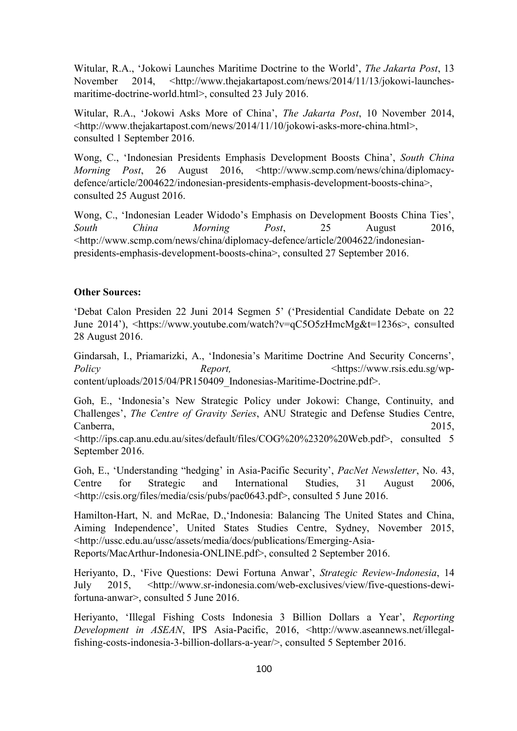Witular, R.A., 'Jokowi Launches Maritime Doctrine to the World', *The Jakarta Post*, 13 November 2014, <http://www.thejakartapost.com/news/2014/11/13/jokowi-launchesmaritime-doctrine-world.html>, consulted 23 July 2016.

Witular, R.A., 'Jokowi Asks More of China', *The Jakarta Post*, 10 November 2014, <http://www.thejakartapost.com/news/2014/11/10/jokowi-asks-more-china.html>, consulted 1 September 2016.

Wong, C., 'Indonesian Presidents Emphasis Development Boosts China', *South China Morning Post*, 26 August 2016, <http://www.scmp.com/news/china/diplomacydefence/article/2004622/indonesian-presidents-emphasis-development-boosts-china>, consulted 25 August 2016.

Wong, C., 'Indonesian Leader Widodo's Emphasis on Development Boosts China Ties', *South China Morning Post*, 25 August 2016, <http://www.scmp.com/news/china/diplomacy-defence/article/2004622/indonesianpresidents-emphasis-development-boosts-china>, consulted 27 September 2016.

## **Other Sources:**

'Debat Calon Presiden 22 Juni 2014 Segmen 5' ('Presidential Candidate Debate on 22 June 2014'), <https://www.youtube.com/watch?v=qC5O5zHmcMg&t=1236s>, consulted 28 August 2016.

Gindarsah, I., Priamarizki, A., 'Indonesia's Maritime Doctrine And Security Concerns', *Policy Report, Report, Report, Chttps://www.rsis.edu.sg/wp*[content/uploads/2015/04/PR150](https://www.rsis.edu.sg/wp-content/uploads/2015/04/PR15)409\_Indonesias-Maritime-Doctrine.pdf>.

Goh, E., 'Indonesia's New Strategic Policy under Jokowi: Change, Continuity, and Challenges', *The Centre of Gravity Series*, ANU Strategic and Defense Studies Centre, Canberra, 2015,

<http://ips.cap.anu.edu.au/sites/default/files/COG%20%2320%20Web.pdf>, consulted 5 September 2016.

Goh, E., 'Understanding "hedging' in Asia-Pacific Security', *PacNet Newsletter*, No. 43, Centre for Strategic and International Studies, 31 August 2006, <http://csis.org/files/media/csis/pubs/pac0643.pdf>, consulted 5 June 2016.

Hamilton-Hart, N. and McRae, D.,'Indonesia: Balancing The United States and China, Aiming Independence', United States Studies Centre, Sydney, November 2015, <http://ussc.edu.au/ussc/assets/media/docs/publications/Emerging-Asia-Reports/MacArthur-Indonesia-ONLINE.pdf>, consulted 2 September 2016.

Heriyanto, D., 'Five Questions: Dewi Fortuna Anwar', *Strategic Review-Indonesia*, 14 July 2015, <http://www.sr-indonesia.com/web-exclusives/view/five-questions-dewifortuna-anwar>, consulted 5 June 2016.

Heriyanto, 'Illegal Fishing Costs Indonesia 3 Billion Dollars a Year', *Reporting Development in ASEAN*, IPS Asia-Pacific, 2016, <http://www.aseannews.net/illegalfishing-costs-indonesia-3-billion-dollars-a-year/>, consulted 5 September 2016.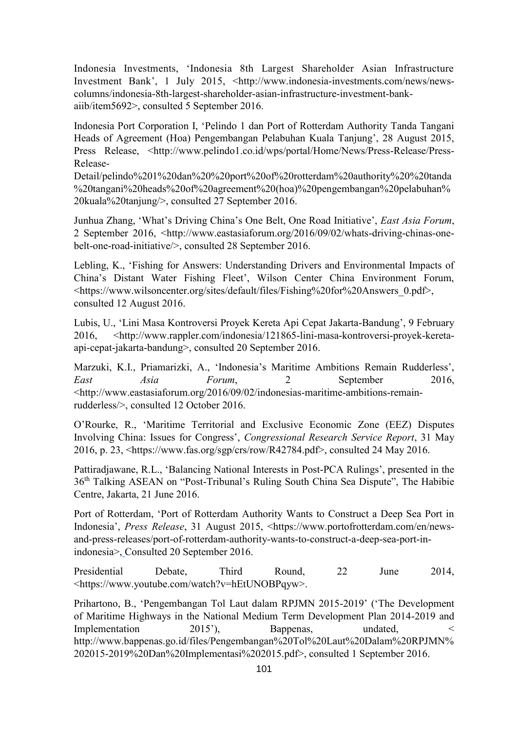Indonesia Investments, 'Indonesia 8th Largest Shareholder Asian Infrastructure Investment Bank', 1 July 2015, <http://www.indonesia-investments.com/news/newscolumns/indonesia-8th-largest-shareholder-asian-infrastructure-investment-bankaiib/item5692>, consulted 5 September 2016.

Indonesia Port Corporation I, 'Pelindo 1 dan Port of Rotterdam Authority Tanda Tangani Heads of Agreement (Hoa) Pengembangan Pelabuhan Kuala Tanjung', 28 August 2015, Press Release, <http://www.pelindo1.co.id/wps/portal/Home/News/Press-Release/Press-Release-

Detail/pelindo%201%20dan%20%20port%20of%20rotterdam%20authority%20%20tanda %20tangani%20heads%20of%20agreement%20(hoa)%20pengembangan%20pelabuhan% 20kuala%20tanjung/>, consulted 27 September 2016.

Junhua Zhang, 'What's Driving China's One Belt, One Road Initiative', *East Asia Forum*, 2 September 2016, <http://www.eastasiaforum.org/2016/09/02/whats-driving-chinas-onebelt-one-road-initiative/>, consulted 28 September 2016.

Lebling, K., 'Fishing for Answers: Understanding Drivers and Environmental Impacts of China's Distant Water Fishing Fleet', Wilson Center China Environment Forum, <https://www.wilsoncenter.org/sites/default/files/Fishing%20for%20Answers\_0.pdf>, consulted 12 August 2016.

Lubis, U., 'Lini Masa Kontroversi Proyek Kereta Api Cepat Jakarta-Bandung', 9 February 2016, <http://www.rappler.com/indonesia/121865-lini-masa-kontroversi-proyek-keretaapi-cepat-jakarta-bandung>, consulted 20 September 2016.

Marzuki, K.I., Priamarizki, A., 'Indonesia's Maritime Ambitions Remain Rudderless', *East Asia Forum*, 2 September 2016, <http://www.eastasiaforum.org/2016/09/02/indonesias-maritime-ambitions-remainrudderless/>, consulted 12 October 2016.

O'Rourke, R., 'Maritime Territorial and Exclusive Economic Zone (EEZ) Disputes Involving China: Issues for Congress', *Congressional Research Service Report*, 31 May 2016, p. 23, <https://www.fas.org/sgp/crs/row/R42784.pdf>, consulted 24 May 2016.

Pattiradjawane, R.L., 'Balancing National Interests in Post-PCA Rulings', presented in the 36th Talking ASEAN on "Post-Tribunal's Ruling South China Sea Dispute", The Habibie Centre, Jakarta, 21 June 2016.

Port of Rotterdam, 'Port of Rotterdam Authority Wants to Construct a Deep Sea Port in Indonesia', *Press Release*, 31 August 2015, <https://www.portofrotterdam.com/en/newsand-press-releases/port-of-rotterdam-authority-wants-to-construct-a-deep-sea-port-inindonesia>, Consulted 20 September 2016.

Presidential Debate, Third Round, 22 June 2014, <https://www.youtube.com/watch?v=hEtUNOBPqyw>.

Prihartono, B., 'Pengembangan Tol Laut dalam RPJMN 2015-2019' ('The Development of Maritime Highways in the National Medium Term Development Plan 2014-2019 and Implementation 2015'), Bappenas, undated,  $\leq$ http://www.bappenas.go.id/files/Pengembangan%20Tol%20Laut%20Dalam%20RPJMN% 202015-2019%20Dan%20Implementasi%202015.pdf>, consulted 1 September 2016.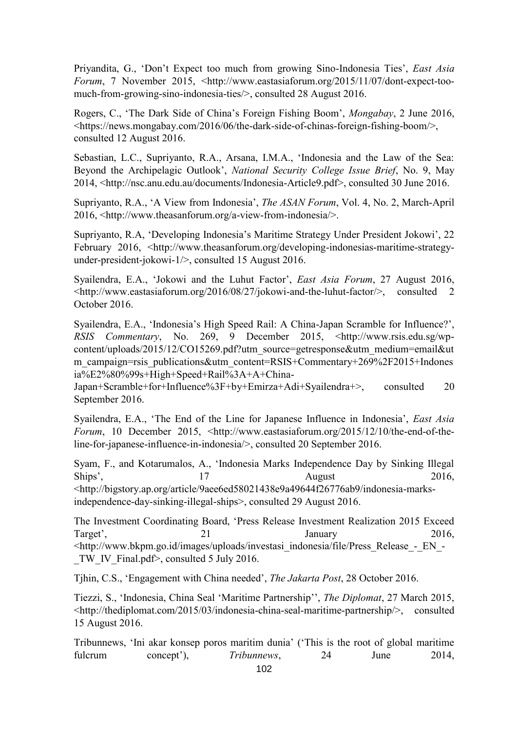Priyandita, G., 'Don't Expect too much from growing Sino-Indonesia Ties', *East Asia Forum*, 7 November 2015, <http://www.eastasiaforum.org/2015/11/07/dont-expect-toomuch-from-growing-sino-indonesia-ties/>, consulted 28 August 2016.

Rogers, C., 'The Dark Side of China's Foreign Fishing Boom', *Mongabay*, 2 June 2016, <https://news.mongabay.com/2016/06/the-dark-side-of-chinas-foreign-fishing-boom/>, consulted 12 August 2016.

Sebastian, L.C., Supriyanto, R.A., Arsana, I.M.A., 'Indonesia and the Law of the Sea: Beyond the Archipelagic Outlook', *National Security College Issue Brief*, No. 9, May 2014, <http://nsc.anu.edu.au/documents/Indonesia-Article9.pdf>, consulted 30 June 2016.

Supriyanto, R.A., 'A View from Indonesia', *The ASAN Forum*, Vol. 4, No. 2, March-April 2016, <http://www.theasanforum.org/a-view-from-indonesia/>.

Supriyanto, R.A, 'Developing Indonesia's Maritime Strategy Under President Jokowi', 22 February 2016, <http://www.theasanforum.org/developing-indonesias-maritime-strategyunder-president-jokowi-1/>, consulted 15 August 2016.

Syailendra, E.A., 'Jokowi and the Luhut Factor', *East Asia Forum*, 27 August 2016, <http://www.eastasiaforum.org/2016/08/27/jokowi-and-the-luhut-factor/>, consulted 2 October 2016.

Syailendra, E.A., 'Indonesia's High Speed Rail: A China-Japan Scramble for Influence?', *RSIS Commentary*, No. 269, 9 December 2015, <http://www.rsis.edu.sg/wpcontent/uploads/2015/12/CO15269.pdf?utm\_source=getresponse&utm\_medium=email&ut m\_campaign=rsis\_publications&utm\_content=RSIS+Commentary+269%2F2015+Indones ia%E2%80%99s+High+Speed+Rail%3A+A+China-

Japan+Scramble+for+Influence%3F+by+Emirza+Adi+Syailendra+>, consulted 20 September 2016.

Syailendra, E.A., 'The End of the Line for Japanese Influence in Indonesia', *East Asia Forum*, 10 December 2015, <http://www.eastasiaforum.org/2015/12/10/the-end-of-theline-for-japanese-influence-in-indonesia/>, consulted 20 September 2016.

Syam, F., and Kotarumalos, A., 'Indonesia Marks Independence Day by Sinking Illegal Ships', 17 August 2016, [<http://bigstory.ap.org/article/9aee6ed58021438e9a49644f26776ab9/indonesia-marks](http://bigstory.ap.org/article/9aee6ed58021438e9a49644f26776ab9/indonesia-marks-independence-day-sinking-illegal-ships)[independence-day-sinking-illegal-ships>](http://bigstory.ap.org/article/9aee6ed58021438e9a49644f26776ab9/indonesia-marks-independence-day-sinking-illegal-ships), consulted 29 August 2016.

The Investment Coordinating Board, 'Press Release Investment Realization 2015 Exceed Target', 21 January 2016, <http://www.bkpm.go.id/images/uploads/investasi\_indonesia/file/Press\_Release\_-\_EN\_- TW IV Final.pdf>, consulted 5 July 2016.

Tjhin, C.S., 'Engagement with China needed', *The Jakarta Post*, 28 October 2016.

Tiezzi, S., 'Indonesia, China Seal 'Maritime Partnership'', *The Diplomat*, 27 March 2015, <http://thediplomat.com/2015/03/indonesia-china-seal-maritime-partnership/>, consulted 15 August 2016.

Tribunnews, 'Ini akar konsep poros maritim dunia' ('This is the root of global maritime fulcrum concept'), *Tribunnews*, 24 June 2014,